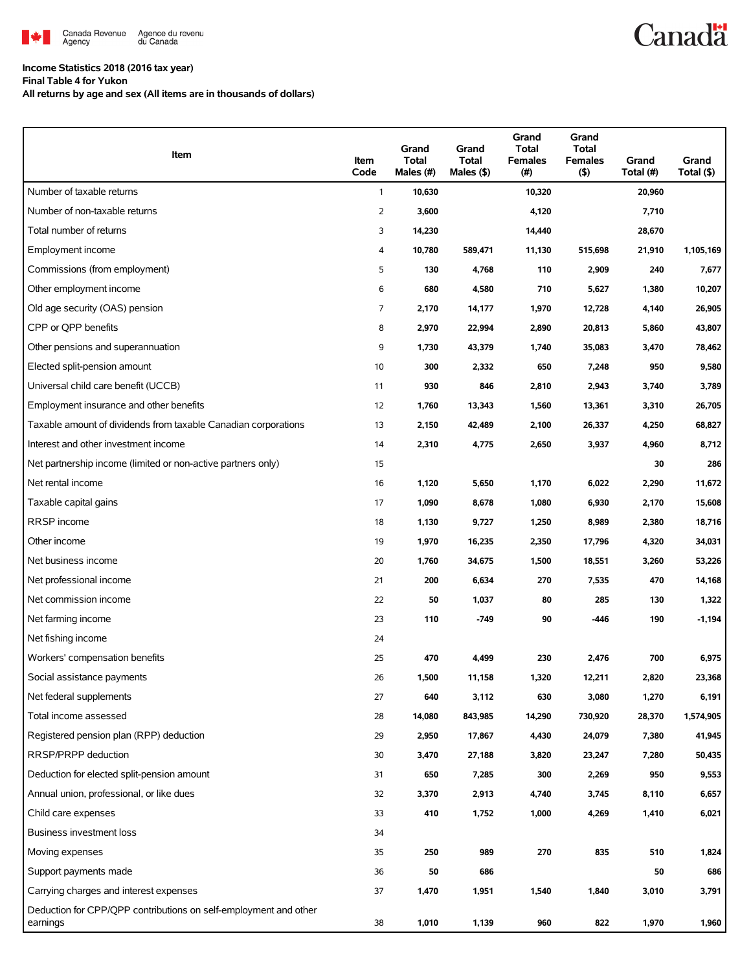

## **Income Statistics 2018 (2016 tax year)**

**Final Table 4 for Yukon**

**All returns by age and sex (All items are in thousands of dollars)**

| Item                                                                         | Item<br>Code   | Grand<br><b>Total</b><br>Males (#) | Grand<br><b>Total</b><br>Males $(\$)$ | Grand<br><b>Total</b><br><b>Females</b><br>(# ) | Grand<br><b>Total</b><br><b>Females</b><br>(5) | Grand<br>Total (#) | Grand<br>Total (\$) |
|------------------------------------------------------------------------------|----------------|------------------------------------|---------------------------------------|-------------------------------------------------|------------------------------------------------|--------------------|---------------------|
| Number of taxable returns                                                    | $\mathbf{1}$   | 10,630                             |                                       | 10,320                                          |                                                | 20,960             |                     |
| Number of non-taxable returns                                                | $\overline{2}$ | 3,600                              |                                       | 4,120                                           |                                                | 7,710              |                     |
| Total number of returns                                                      | 3              | 14,230                             |                                       | 14,440                                          |                                                | 28,670             |                     |
| Employment income                                                            | 4              | 10,780                             | 589,471                               | 11,130                                          | 515,698                                        | 21,910             | 1,105,169           |
| Commissions (from employment)                                                | 5              | 130                                | 4,768                                 | 110                                             | 2,909                                          | 240                | 7,677               |
| Other employment income                                                      | 6              | 680                                | 4,580                                 | 710                                             | 5,627                                          | 1,380              | 10,207              |
| Old age security (OAS) pension                                               | 7              | 2,170                              | 14,177                                | 1,970                                           | 12,728                                         | 4,140              | 26,905              |
| CPP or QPP benefits                                                          | 8              | 2,970                              | 22,994                                | 2,890                                           | 20,813                                         | 5,860              | 43,807              |
| Other pensions and superannuation                                            | 9              | 1,730                              | 43,379                                | 1,740                                           | 35,083                                         | 3,470              | 78,462              |
| Elected split-pension amount                                                 | 10             | 300                                | 2,332                                 | 650                                             | 7,248                                          | 950                | 9,580               |
| Universal child care benefit (UCCB)                                          | 11             | 930                                | 846                                   | 2,810                                           | 2,943                                          | 3,740              | 3,789               |
| Employment insurance and other benefits                                      | 12             | 1,760                              | 13,343                                | 1,560                                           | 13,361                                         | 3,310              | 26,705              |
| Taxable amount of dividends from taxable Canadian corporations               | 13             | 2,150                              | 42,489                                | 2,100                                           | 26,337                                         | 4,250              | 68,827              |
| Interest and other investment income                                         | 14             | 2,310                              | 4,775                                 | 2,650                                           | 3,937                                          | 4,960              | 8,712               |
| Net partnership income (limited or non-active partners only)                 | 15             |                                    |                                       |                                                 |                                                | 30                 | 286                 |
| Net rental income                                                            | 16             | 1,120                              | 5,650                                 | 1,170                                           | 6,022                                          | 2,290              | 11,672              |
| Taxable capital gains                                                        | 17             | 1,090                              | 8,678                                 | 1,080                                           | 6,930                                          | 2,170              | 15,608              |
| RRSP income                                                                  | 18             | 1,130                              | 9,727                                 | 1,250                                           | 8,989                                          | 2,380              | 18,716              |
| Other income                                                                 | 19             | 1,970                              | 16,235                                | 2,350                                           | 17,796                                         | 4,320              | 34,031              |
| Net business income                                                          | 20             | 1,760                              | 34,675                                | 1,500                                           | 18,551                                         | 3,260              | 53,226              |
| Net professional income                                                      | 21             | 200                                | 6,634                                 | 270                                             | 7,535                                          | 470                | 14,168              |
| Net commission income                                                        | 22             | 50                                 | 1,037                                 | 80                                              | 285                                            | 130                | 1,322               |
| Net farming income                                                           | 23             | 110                                | $-749$                                | 90                                              | -446                                           | 190                | $-1,194$            |
| Net fishing income                                                           | 24             |                                    |                                       |                                                 |                                                |                    |                     |
| Workers' compensation benefits                                               | 25             | 470                                | 4,499                                 | 230                                             | 2,476                                          | 700                | 6,975               |
| Social assistance payments                                                   | 26             | 1,500                              | 11,158                                | 1,320                                           | 12,211                                         | 2,820              | 23,368              |
| Net federal supplements                                                      | 27             | 640                                | 3,112                                 | 630                                             | 3,080                                          | 1,270              | 6,191               |
| Total income assessed                                                        | 28             | 14,080                             | 843,985                               | 14,290                                          | 730,920                                        | 28,370             | 1,574,905           |
| Registered pension plan (RPP) deduction                                      | 29             | 2,950                              | 17,867                                | 4,430                                           | 24,079                                         | 7,380              | 41,945              |
| RRSP/PRPP deduction                                                          | 30             | 3,470                              | 27,188                                | 3,820                                           | 23,247                                         | 7,280              | 50,435              |
| Deduction for elected split-pension amount                                   | 31             | 650                                | 7,285                                 | 300                                             | 2,269                                          | 950                | 9,553               |
| Annual union, professional, or like dues                                     | 32             | 3,370                              | 2,913                                 | 4,740                                           | 3,745                                          | 8,110              | 6,657               |
| Child care expenses                                                          | 33             | 410                                | 1,752                                 | 1,000                                           | 4,269                                          | 1,410              | 6,021               |
| Business investment loss                                                     | 34             |                                    |                                       |                                                 |                                                |                    |                     |
| Moving expenses                                                              | 35             | 250                                | 989                                   | 270                                             | 835                                            | 510                | 1,824               |
| Support payments made                                                        | 36             | 50                                 | 686                                   |                                                 |                                                | 50                 | 686                 |
| Carrying charges and interest expenses                                       | 37             | 1,470                              | 1,951                                 | 1,540                                           | 1,840                                          | 3,010              | 3,791               |
| Deduction for CPP/QPP contributions on self-employment and other<br>earnings | 38             | 1,010                              | 1,139                                 | 960                                             | 822                                            | 1,970              | 1,960               |

**Canadä**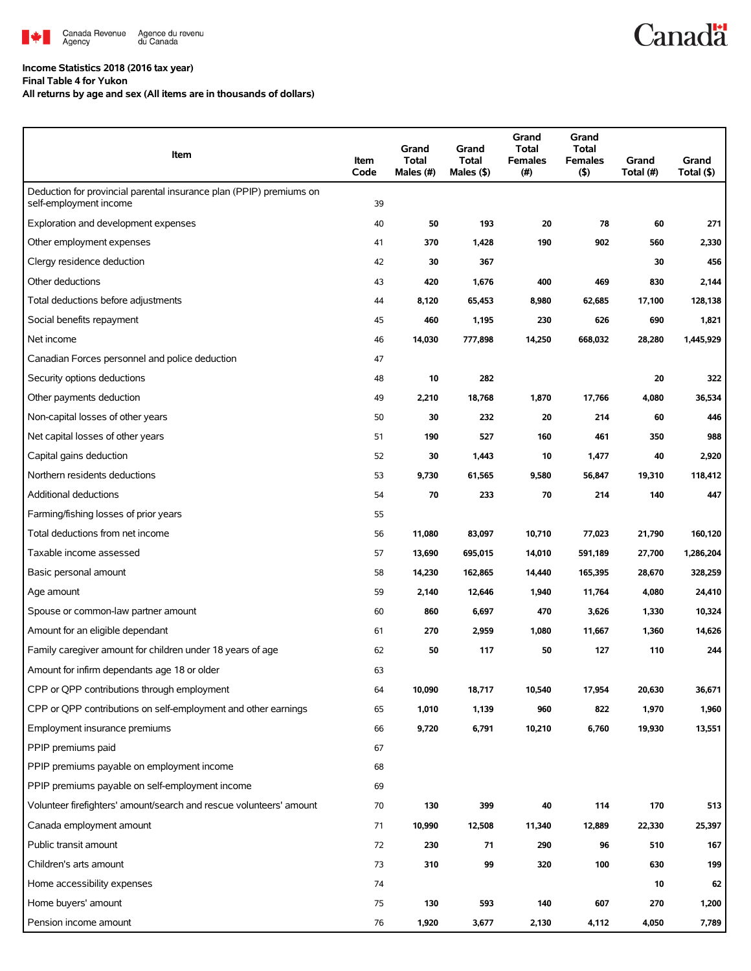

### **Income Statistics 2018 (2016 tax year) Final Table 4 for Yukon**

**All returns by age and sex (All items are in thousands of dollars)**

| Item                                                                                          | Item<br>Code | Grand<br>Total<br>Males (#) | Grand<br><b>Total</b><br>Males $($ \$) | Grand<br>Total<br><b>Females</b><br>(# ) | Grand<br><b>Total</b><br><b>Females</b><br>(5) | Grand<br>Total (#) | Grand<br>Total (\$) |
|-----------------------------------------------------------------------------------------------|--------------|-----------------------------|----------------------------------------|------------------------------------------|------------------------------------------------|--------------------|---------------------|
| Deduction for provincial parental insurance plan (PPIP) premiums on<br>self-employment income | 39           |                             |                                        |                                          |                                                |                    |                     |
| Exploration and development expenses                                                          | 40           | 50                          | 193                                    | 20                                       | 78                                             | 60                 | 271                 |
| Other employment expenses                                                                     | 41           | 370                         | 1,428                                  | 190                                      | 902                                            | 560                | 2,330               |
| Clergy residence deduction                                                                    | 42           | 30                          | 367                                    |                                          |                                                | 30                 | 456                 |
| Other deductions                                                                              | 43           | 420                         | 1,676                                  | 400                                      | 469                                            | 830                | 2,144               |
| Total deductions before adjustments                                                           | 44           | 8,120                       | 65,453                                 | 8,980                                    | 62,685                                         | 17,100             | 128,138             |
| Social benefits repayment                                                                     | 45           | 460                         | 1,195                                  | 230                                      | 626                                            | 690                | 1,821               |
| Net income                                                                                    | 46           | 14,030                      | 777,898                                | 14,250                                   | 668,032                                        | 28,280             | 1,445,929           |
| Canadian Forces personnel and police deduction                                                | 47           |                             |                                        |                                          |                                                |                    |                     |
| Security options deductions                                                                   | 48           | 10                          | 282                                    |                                          |                                                | 20                 | 322                 |
| Other payments deduction                                                                      | 49           | 2,210                       | 18,768                                 | 1,870                                    | 17,766                                         | 4,080              | 36,534              |
| Non-capital losses of other years                                                             | 50           | 30                          | 232                                    | 20                                       | 214                                            | 60                 | 446                 |
| Net capital losses of other years                                                             | 51           | 190                         | 527                                    | 160                                      | 461                                            | 350                | 988                 |
| Capital gains deduction                                                                       | 52           | 30                          | 1,443                                  | 10                                       | 1,477                                          | 40                 | 2,920               |
| Northern residents deductions                                                                 | 53           | 9,730                       | 61,565                                 | 9,580                                    | 56,847                                         | 19,310             | 118,412             |
| <b>Additional deductions</b>                                                                  | 54           | 70                          | 233                                    | 70                                       | 214                                            | 140                | 447                 |
| Farming/fishing losses of prior years                                                         | 55           |                             |                                        |                                          |                                                |                    |                     |
| Total deductions from net income                                                              | 56           | 11,080                      | 83,097                                 | 10,710                                   | 77,023                                         | 21,790             | 160,120             |
| Taxable income assessed                                                                       | 57           | 13,690                      | 695,015                                | 14,010                                   | 591,189                                        | 27,700             | 1,286,204           |
| Basic personal amount                                                                         | 58           | 14,230                      | 162,865                                | 14,440                                   | 165,395                                        | 28,670             | 328,259             |
| Age amount                                                                                    | 59           | 2,140                       | 12,646                                 | 1,940                                    | 11,764                                         | 4,080              | 24,410              |
| Spouse or common-law partner amount                                                           | 60           | 860                         | 6,697                                  | 470                                      | 3,626                                          | 1,330              | 10,324              |
| Amount for an eligible dependant                                                              | 61           | 270                         | 2,959                                  | 1,080                                    | 11,667                                         | 1,360              | 14,626              |
| Family caregiver amount for children under 18 years of age                                    | 62           | 50                          | 117                                    | 50                                       | 127                                            | 110                | 244                 |
| Amount for infirm dependants age 18 or older                                                  | 63           |                             |                                        |                                          |                                                |                    |                     |
| CPP or QPP contributions through employment                                                   | 64           | 10,090                      | 18,717                                 | 10,540                                   | 17,954                                         | 20,630             | 36,671              |
| CPP or QPP contributions on self-employment and other earnings                                | 65           | 1,010                       | 1,139                                  | 960                                      | 822                                            | 1,970              | 1,960               |
| Employment insurance premiums                                                                 | 66           | 9,720                       | 6,791                                  | 10,210                                   | 6,760                                          | 19,930             | 13,551              |
| PPIP premiums paid                                                                            | 67           |                             |                                        |                                          |                                                |                    |                     |
| PPIP premiums payable on employment income                                                    | 68           |                             |                                        |                                          |                                                |                    |                     |
| PPIP premiums payable on self-employment income                                               | 69           |                             |                                        |                                          |                                                |                    |                     |
| Volunteer firefighters' amount/search and rescue volunteers' amount                           | 70           | 130                         | 399                                    | 40                                       | 114                                            | 170                | 513                 |
| Canada employment amount                                                                      | 71           | 10,990                      | 12,508                                 | 11,340                                   | 12,889                                         | 22,330             | 25,397              |
| Public transit amount                                                                         | 72           | 230                         | 71                                     | 290                                      | 96                                             | 510                | 167                 |
| Children's arts amount                                                                        | 73           | 310                         | 99                                     | 320                                      | 100                                            | 630                | 199                 |
| Home accessibility expenses                                                                   | 74           |                             |                                        |                                          |                                                | 10                 | 62                  |
| Home buyers' amount                                                                           | 75           | 130                         | 593                                    | 140                                      | 607                                            | 270                | 1,200               |
| Pension income amount                                                                         | 76           | 1,920                       | 3,677                                  | 2,130                                    | 4,112                                          | 4,050              | 7,789               |

**Canadä**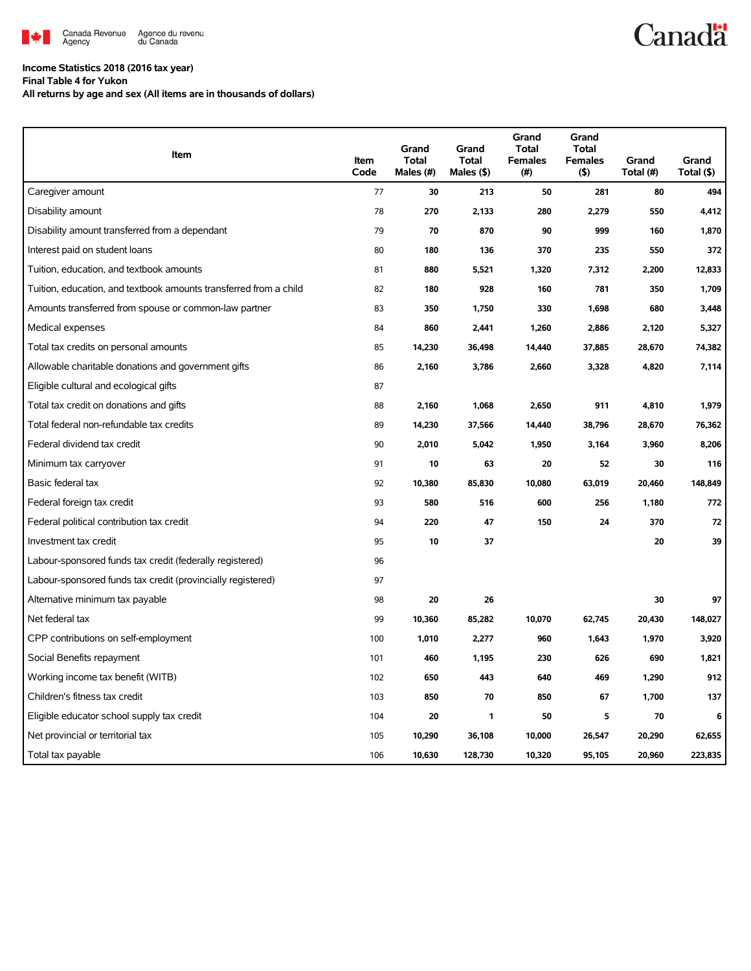

# **Canadä**

## **Income Statistics 2018 (2016 tax year)**

**Final Table 4 for Yukon**

**All returns by age and sex (All items are in thousands of dollars)**

| Item                                                              | Item<br>Code | Grand<br><b>Total</b><br>Males (#) | Grand<br><b>Total</b><br>Males (\$) | Grand<br><b>Total</b><br><b>Females</b><br>(#) | Grand<br><b>Total</b><br><b>Females</b><br>(5) | Grand<br>Total (#) | Grand<br>Total (\$) |
|-------------------------------------------------------------------|--------------|------------------------------------|-------------------------------------|------------------------------------------------|------------------------------------------------|--------------------|---------------------|
| Caregiver amount                                                  | 77           | 30                                 | 213                                 | 50                                             | 281                                            | 80                 | 494                 |
| Disability amount                                                 | 78           | 270                                | 2,133                               | 280                                            | 2,279                                          | 550                | 4,412               |
| Disability amount transferred from a dependant                    | 79           | 70                                 | 870                                 | 90                                             | 999                                            | 160                | 1,870               |
| Interest paid on student loans                                    | 80           | 180                                | 136                                 | 370                                            | 235                                            | 550                | 372                 |
| Tuition, education, and textbook amounts                          | 81           | 880                                | 5,521                               | 1,320                                          | 7,312                                          | 2,200              | 12,833              |
| Tuition, education, and textbook amounts transferred from a child | 82           | 180                                | 928                                 | 160                                            | 781                                            | 350                | 1,709               |
| Amounts transferred from spouse or common-law partner             | 83           | 350                                | 1,750                               | 330                                            | 1,698                                          | 680                | 3,448               |
| Medical expenses                                                  | 84           | 860                                | 2,441                               | 1,260                                          | 2,886                                          | 2,120              | 5,327               |
| Total tax credits on personal amounts                             | 85           | 14,230                             | 36,498                              | 14,440                                         | 37,885                                         | 28,670             | 74,382              |
| Allowable charitable donations and government gifts               | 86           | 2,160                              | 3,786                               | 2,660                                          | 3,328                                          | 4,820              | 7,114               |
| Eligible cultural and ecological gifts                            | 87           |                                    |                                     |                                                |                                                |                    |                     |
| Total tax credit on donations and gifts                           | 88           | 2,160                              | 1,068                               | 2,650                                          | 911                                            | 4,810              | 1,979               |
| Total federal non-refundable tax credits                          | 89           | 14,230                             | 37,566                              | 14,440                                         | 38,796                                         | 28,670             | 76,362              |
| Federal dividend tax credit                                       | 90           | 2,010                              | 5,042                               | 1,950                                          | 3,164                                          | 3,960              | 8,206               |
| Minimum tax carryover                                             | 91           | 10                                 | 63                                  | 20                                             | 52                                             | 30                 | 116                 |
| Basic federal tax                                                 | 92           | 10,380                             | 85,830                              | 10,080                                         | 63,019                                         | 20,460             | 148,849             |
| Federal foreign tax credit                                        | 93           | 580                                | 516                                 | 600                                            | 256                                            | 1,180              | 772                 |
| Federal political contribution tax credit                         | 94           | 220                                | 47                                  | 150                                            | 24                                             | 370                | 72                  |
| Investment tax credit                                             | 95           | 10                                 | 37                                  |                                                |                                                | 20                 | 39                  |
| Labour-sponsored funds tax credit (federally registered)          | 96           |                                    |                                     |                                                |                                                |                    |                     |
| Labour-sponsored funds tax credit (provincially registered)       | 97           |                                    |                                     |                                                |                                                |                    |                     |
| Alternative minimum tax payable                                   | 98           | 20                                 | 26                                  |                                                |                                                | 30                 | 97                  |
| Net federal tax                                                   | 99           | 10,360                             | 85,282                              | 10,070                                         | 62,745                                         | 20,430             | 148,027             |
| CPP contributions on self-employment                              | 100          | 1,010                              | 2,277                               | 960                                            | 1,643                                          | 1,970              | 3,920               |
| Social Benefits repayment                                         | 101          | 460                                | 1,195                               | 230                                            | 626                                            | 690                | 1,821               |
| Working income tax benefit (WITB)                                 | 102          | 650                                | 443                                 | 640                                            | 469                                            | 1,290              | 912                 |
| Children's fitness tax credit                                     | 103          | 850                                | 70                                  | 850                                            | 67                                             | 1,700              | 137                 |
| Eligible educator school supply tax credit                        | 104          | 20                                 | 1                                   | 50                                             | 5                                              | 70                 | 6                   |
| Net provincial or territorial tax                                 | 105          | 10,290                             | 36,108                              | 10,000                                         | 26,547                                         | 20,290             | 62,655              |
| Total tax payable                                                 | 106          | 10,630                             | 128,730                             | 10,320                                         | 95,105                                         | 20,960             | 223,835             |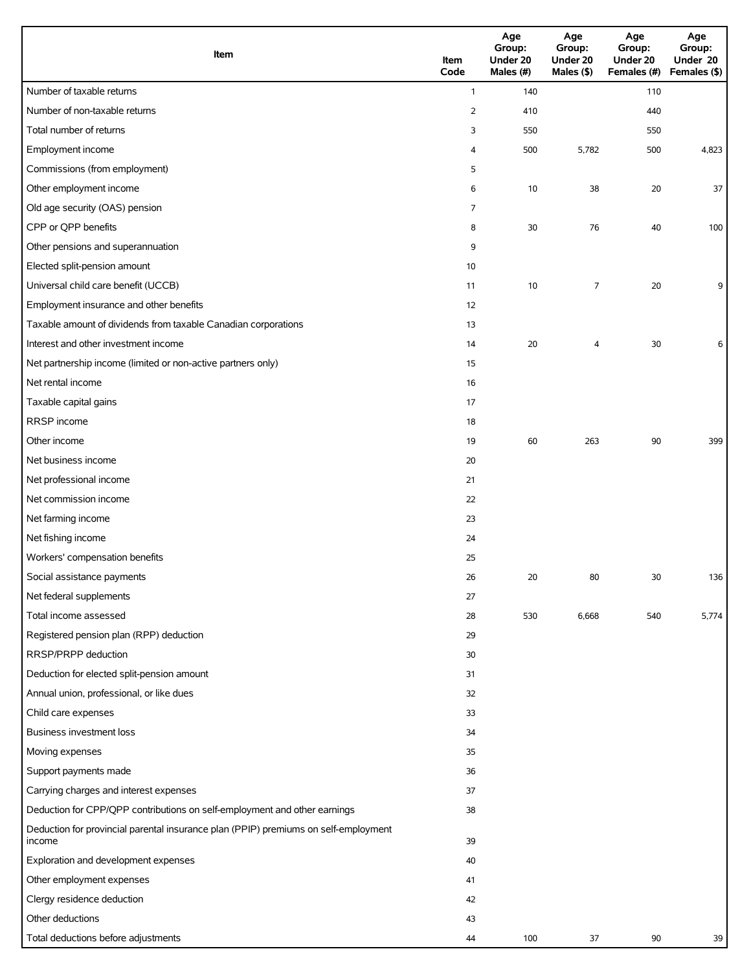| Item                                                                                          | Item<br>Code   | Age<br>Group:<br>Under 20<br>Males (#) | Age<br>Group:<br>Under 20<br>Males (\$) | Age<br>Group:<br>Under 20<br>Females (#) | Age<br>Group:<br>Under 20<br>Females (\$) |
|-----------------------------------------------------------------------------------------------|----------------|----------------------------------------|-----------------------------------------|------------------------------------------|-------------------------------------------|
| Number of taxable returns                                                                     | $\mathbf{1}$   | 140                                    |                                         | 110                                      |                                           |
| Number of non-taxable returns                                                                 | $\overline{2}$ | 410                                    |                                         | 440                                      |                                           |
| Total number of returns                                                                       | 3              | 550                                    |                                         | 550                                      |                                           |
| Employment income                                                                             | 4              | 500                                    | 5,782                                   | 500                                      | 4,823                                     |
| Commissions (from employment)                                                                 | 5              |                                        |                                         |                                          |                                           |
| Other employment income                                                                       | 6              | 10                                     | 38                                      | 20                                       | 37                                        |
| Old age security (OAS) pension                                                                | $\overline{7}$ |                                        |                                         |                                          |                                           |
| CPP or QPP benefits                                                                           | 8              | 30                                     | 76                                      | 40                                       | 100                                       |
| Other pensions and superannuation                                                             | 9              |                                        |                                         |                                          |                                           |
| Elected split-pension amount                                                                  | 10             |                                        |                                         |                                          |                                           |
| Universal child care benefit (UCCB)                                                           | 11             | 10                                     | 7                                       | 20                                       | 9                                         |
| Employment insurance and other benefits                                                       | 12             |                                        |                                         |                                          |                                           |
| Taxable amount of dividends from taxable Canadian corporations                                | 13             |                                        |                                         |                                          |                                           |
| Interest and other investment income                                                          | 14             | 20                                     | 4                                       | 30                                       | 6                                         |
| Net partnership income (limited or non-active partners only)                                  | 15             |                                        |                                         |                                          |                                           |
| Net rental income                                                                             | 16             |                                        |                                         |                                          |                                           |
| Taxable capital gains                                                                         | 17             |                                        |                                         |                                          |                                           |
| RRSP income                                                                                   | 18             |                                        |                                         |                                          |                                           |
| Other income                                                                                  | 19             | 60                                     | 263                                     | 90                                       | 399                                       |
| Net business income                                                                           | 20             |                                        |                                         |                                          |                                           |
| Net professional income                                                                       | 21             |                                        |                                         |                                          |                                           |
| Net commission income                                                                         | 22             |                                        |                                         |                                          |                                           |
| Net farming income                                                                            | 23             |                                        |                                         |                                          |                                           |
| Net fishing income                                                                            | 24             |                                        |                                         |                                          |                                           |
| Workers' compensation benefits                                                                | 25             |                                        |                                         |                                          |                                           |
| Social assistance payments                                                                    | 26             | 20                                     | 80                                      | 30                                       | 136                                       |
| Net federal supplements                                                                       | 27             |                                        |                                         |                                          |                                           |
| Total income assessed                                                                         | 28             | 530                                    | 6,668                                   | 540                                      | 5,774                                     |
| Registered pension plan (RPP) deduction                                                       | 29             |                                        |                                         |                                          |                                           |
| RRSP/PRPP deduction                                                                           | 30             |                                        |                                         |                                          |                                           |
| Deduction for elected split-pension amount                                                    | 31             |                                        |                                         |                                          |                                           |
| Annual union, professional, or like dues                                                      | 32             |                                        |                                         |                                          |                                           |
| Child care expenses                                                                           | 33             |                                        |                                         |                                          |                                           |
| Business investment loss                                                                      | 34             |                                        |                                         |                                          |                                           |
| Moving expenses                                                                               | 35             |                                        |                                         |                                          |                                           |
| Support payments made                                                                         | 36             |                                        |                                         |                                          |                                           |
| Carrying charges and interest expenses                                                        | 37             |                                        |                                         |                                          |                                           |
| Deduction for CPP/QPP contributions on self-employment and other earnings                     | 38             |                                        |                                         |                                          |                                           |
| Deduction for provincial parental insurance plan (PPIP) premiums on self-employment<br>income | 39             |                                        |                                         |                                          |                                           |
| Exploration and development expenses                                                          | 40             |                                        |                                         |                                          |                                           |
| Other employment expenses                                                                     | 41             |                                        |                                         |                                          |                                           |
| Clergy residence deduction                                                                    | 42             |                                        |                                         |                                          |                                           |
| Other deductions                                                                              | 43             |                                        |                                         |                                          |                                           |
| Total deductions before adjustments                                                           | 44             | 100                                    | 37                                      | 90                                       | 39                                        |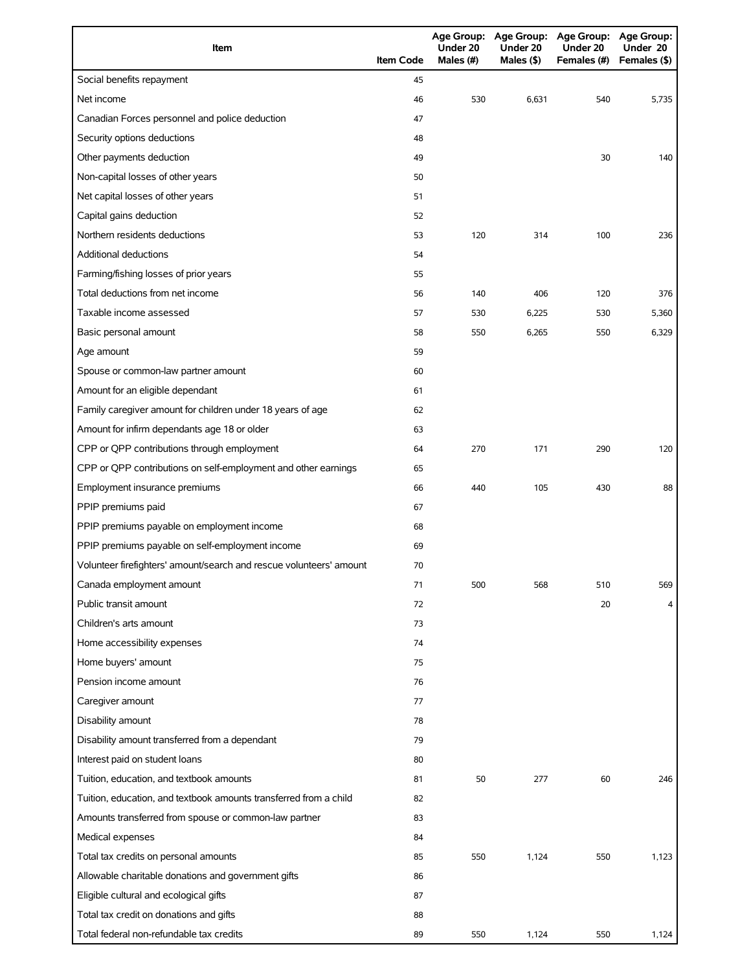| Item                                                                | <b>Item Code</b> | Under 20<br>Males (#) | Under 20<br>Males (\$) | Age Group: Age Group: Age Group: Age Group:<br>Under 20<br>Females (#) | Under 20<br>Females (\$) |
|---------------------------------------------------------------------|------------------|-----------------------|------------------------|------------------------------------------------------------------------|--------------------------|
| Social benefits repayment                                           | 45               |                       |                        |                                                                        |                          |
| Net income                                                          | 46               | 530                   | 6,631                  | 540                                                                    | 5,735                    |
| Canadian Forces personnel and police deduction                      | 47               |                       |                        |                                                                        |                          |
| Security options deductions                                         | 48               |                       |                        |                                                                        |                          |
| Other payments deduction                                            | 49               |                       |                        | 30                                                                     | 140                      |
| Non-capital losses of other years                                   | 50               |                       |                        |                                                                        |                          |
| Net capital losses of other years                                   | 51               |                       |                        |                                                                        |                          |
| Capital gains deduction                                             | 52               |                       |                        |                                                                        |                          |
| Northern residents deductions                                       | 53               | 120                   | 314                    | 100                                                                    | 236                      |
| Additional deductions                                               | 54               |                       |                        |                                                                        |                          |
| Farming/fishing losses of prior years                               | 55               |                       |                        |                                                                        |                          |
| Total deductions from net income                                    | 56               | 140                   | 406                    | 120                                                                    | 376                      |
| Taxable income assessed                                             | 57               | 530                   | 6,225                  | 530                                                                    | 5,360                    |
| Basic personal amount                                               | 58               | 550                   | 6,265                  | 550                                                                    | 6,329                    |
| Age amount                                                          | 59               |                       |                        |                                                                        |                          |
| Spouse or common-law partner amount                                 | 60               |                       |                        |                                                                        |                          |
| Amount for an eligible dependant                                    | 61               |                       |                        |                                                                        |                          |
| Family caregiver amount for children under 18 years of age          | 62               |                       |                        |                                                                        |                          |
| Amount for infirm dependants age 18 or older                        | 63               |                       |                        |                                                                        |                          |
| CPP or QPP contributions through employment                         | 64               | 270                   | 171                    | 290                                                                    | 120                      |
| CPP or QPP contributions on self-employment and other earnings      | 65               |                       |                        |                                                                        |                          |
| Employment insurance premiums                                       | 66               | 440                   | 105                    | 430                                                                    | 88                       |
| PPIP premiums paid                                                  | 67               |                       |                        |                                                                        |                          |
| PPIP premiums payable on employment income                          | 68               |                       |                        |                                                                        |                          |
| PPIP premiums payable on self-employment income                     | 69               |                       |                        |                                                                        |                          |
| Volunteer firefighters' amount/search and rescue volunteers' amount | 70               |                       |                        |                                                                        |                          |
| Canada employment amount                                            | 71               | 500                   | 568                    | 510                                                                    | 569                      |
| Public transit amount                                               | 72               |                       |                        | 20                                                                     | 4                        |
| Children's arts amount                                              | 73               |                       |                        |                                                                        |                          |
| Home accessibility expenses                                         | 74               |                       |                        |                                                                        |                          |
| Home buyers' amount                                                 | 75               |                       |                        |                                                                        |                          |
| Pension income amount                                               | 76               |                       |                        |                                                                        |                          |
| Caregiver amount                                                    | 77               |                       |                        |                                                                        |                          |
| Disability amount                                                   | 78               |                       |                        |                                                                        |                          |
| Disability amount transferred from a dependant                      | 79               |                       |                        |                                                                        |                          |
| Interest paid on student loans                                      | 80               |                       |                        |                                                                        |                          |
| Tuition, education, and textbook amounts                            | 81               | 50                    | 277                    | 60                                                                     | 246                      |
| Tuition, education, and textbook amounts transferred from a child   | 82               |                       |                        |                                                                        |                          |
| Amounts transferred from spouse or common-law partner               | 83               |                       |                        |                                                                        |                          |
| Medical expenses                                                    | 84               |                       |                        |                                                                        |                          |
| Total tax credits on personal amounts                               | 85               | 550                   | 1,124                  | 550                                                                    | 1,123                    |
| Allowable charitable donations and government gifts                 | 86               |                       |                        |                                                                        |                          |
| Eligible cultural and ecological gifts                              | 87               |                       |                        |                                                                        |                          |
| Total tax credit on donations and gifts                             | 88               |                       |                        |                                                                        |                          |
| Total federal non-refundable tax credits                            | 89               | 550                   | 1,124                  | 550                                                                    | 1,124                    |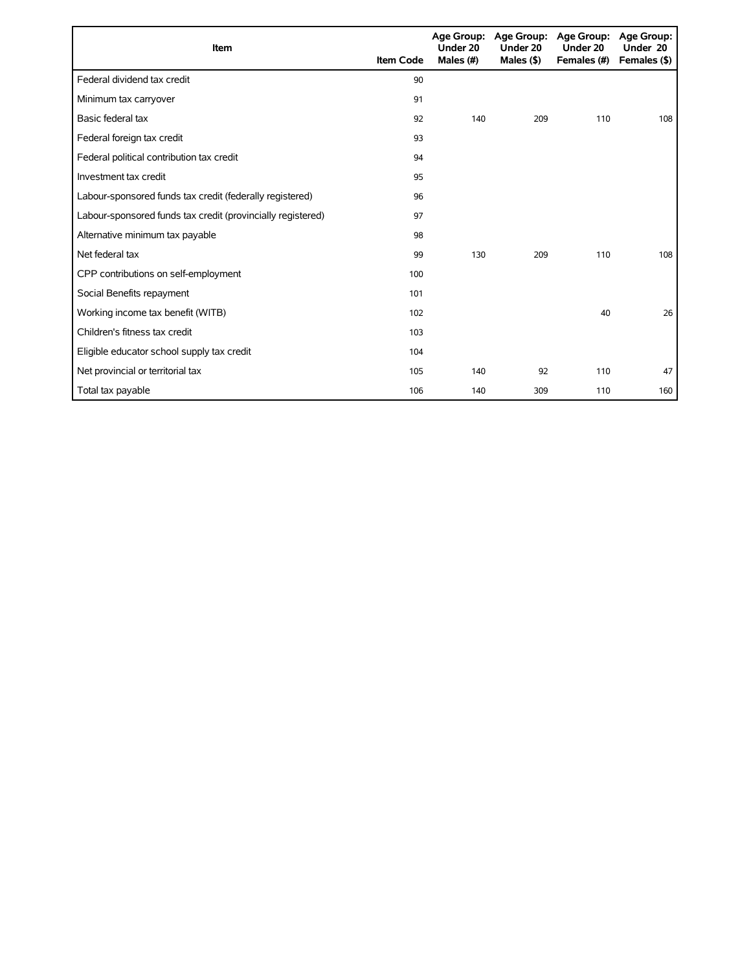| Item                                                        | <b>Item Code</b> | Under 20<br>Males (#) | Age Group: Age Group:<br>Under 20<br>Males $($ \$ $)$ | <b>Age Group:</b><br>Under 20<br>Females (#) | Age Group:<br>Under 20<br>Females (\$) |
|-------------------------------------------------------------|------------------|-----------------------|-------------------------------------------------------|----------------------------------------------|----------------------------------------|
| Federal dividend tax credit                                 | 90               |                       |                                                       |                                              |                                        |
| Minimum tax carryover                                       | 91               |                       |                                                       |                                              |                                        |
| Basic federal tax                                           | 92               | 140                   | 209                                                   | 110                                          | 108                                    |
| Federal foreign tax credit                                  | 93               |                       |                                                       |                                              |                                        |
| Federal political contribution tax credit                   | 94               |                       |                                                       |                                              |                                        |
| Investment tax credit                                       | 95               |                       |                                                       |                                              |                                        |
| Labour-sponsored funds tax credit (federally registered)    | 96               |                       |                                                       |                                              |                                        |
| Labour-sponsored funds tax credit (provincially registered) | 97               |                       |                                                       |                                              |                                        |
| Alternative minimum tax payable                             | 98               |                       |                                                       |                                              |                                        |
| Net federal tax                                             | 99               | 130                   | 209                                                   | 110                                          | 108                                    |
| CPP contributions on self-employment                        | 100              |                       |                                                       |                                              |                                        |
| Social Benefits repayment                                   | 101              |                       |                                                       |                                              |                                        |
| Working income tax benefit (WITB)                           | 102              |                       |                                                       | 40                                           | 26                                     |
| Children's fitness tax credit                               | 103              |                       |                                                       |                                              |                                        |
| Eligible educator school supply tax credit                  | 104              |                       |                                                       |                                              |                                        |
| Net provincial or territorial tax                           | 105              | 140                   | 92                                                    | 110                                          | 47                                     |
| Total tax payable                                           | 106              | 140                   | 309                                                   | 110                                          | 160                                    |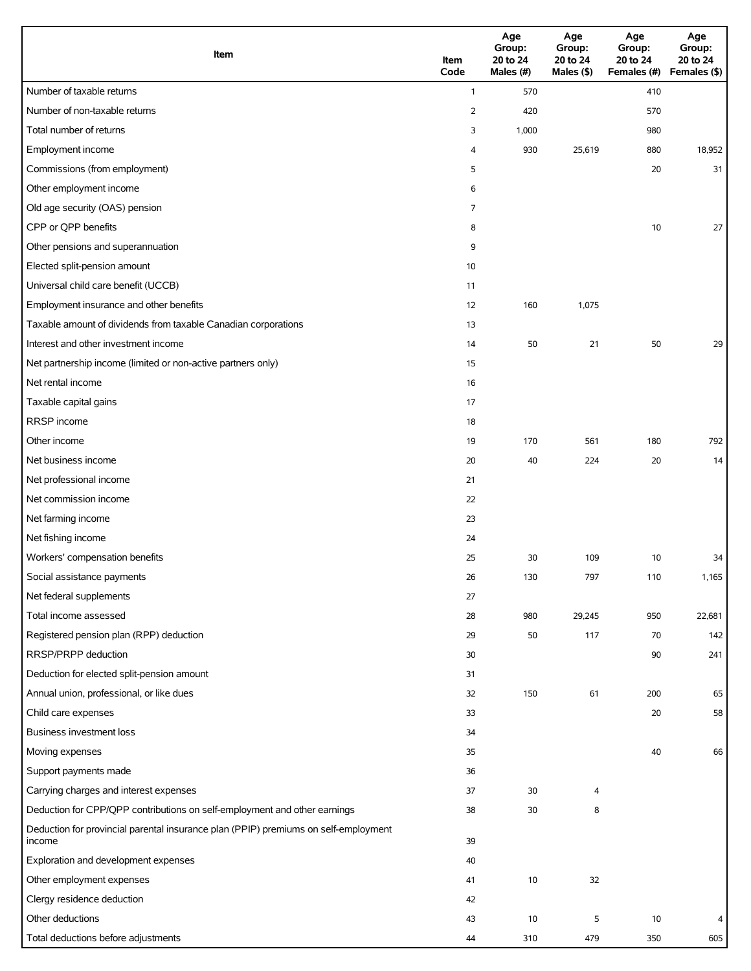| Item                                                                                          | Item<br>Code | Age<br>Group:<br>20 to 24<br>Males (#) | Age<br>Group:<br>20 to 24<br>Males $(\$)$ | Age<br>Group:<br>20 to 24<br>Females (#) | Age<br>Group:<br>20 to 24<br>Females (\$) |
|-----------------------------------------------------------------------------------------------|--------------|----------------------------------------|-------------------------------------------|------------------------------------------|-------------------------------------------|
| Number of taxable returns                                                                     | $\mathbf{1}$ | 570                                    |                                           | 410                                      |                                           |
| Number of non-taxable returns                                                                 | 2            | 420                                    |                                           | 570                                      |                                           |
| Total number of returns                                                                       | 3            | 1,000                                  |                                           | 980                                      |                                           |
| Employment income                                                                             | 4            | 930                                    | 25,619                                    | 880                                      | 18,952                                    |
| Commissions (from employment)                                                                 | 5            |                                        |                                           | 20                                       | 31                                        |
| Other employment income                                                                       | 6            |                                        |                                           |                                          |                                           |
| Old age security (OAS) pension                                                                | 7            |                                        |                                           |                                          |                                           |
| CPP or QPP benefits                                                                           | 8            |                                        |                                           | 10                                       | 27                                        |
| Other pensions and superannuation                                                             | 9            |                                        |                                           |                                          |                                           |
| Elected split-pension amount                                                                  | 10           |                                        |                                           |                                          |                                           |
| Universal child care benefit (UCCB)                                                           | 11           |                                        |                                           |                                          |                                           |
| Employment insurance and other benefits                                                       | 12           | 160                                    | 1,075                                     |                                          |                                           |
| Taxable amount of dividends from taxable Canadian corporations                                | 13           |                                        |                                           |                                          |                                           |
| Interest and other investment income                                                          | 14           | 50                                     | 21                                        | 50                                       | 29                                        |
| Net partnership income (limited or non-active partners only)                                  | 15           |                                        |                                           |                                          |                                           |
| Net rental income                                                                             | 16           |                                        |                                           |                                          |                                           |
| Taxable capital gains                                                                         | 17           |                                        |                                           |                                          |                                           |
| RRSP income                                                                                   | 18           |                                        |                                           |                                          |                                           |
| Other income                                                                                  | 19           | 170                                    | 561                                       | 180                                      | 792                                       |
| Net business income                                                                           | 20           | 40                                     | 224                                       | 20                                       | 14                                        |
| Net professional income                                                                       | 21           |                                        |                                           |                                          |                                           |
| Net commission income                                                                         | 22           |                                        |                                           |                                          |                                           |
| Net farming income                                                                            | 23           |                                        |                                           |                                          |                                           |
| Net fishing income                                                                            | 24           |                                        |                                           |                                          |                                           |
| Workers' compensation benefits                                                                | 25           | 30                                     | 109                                       | 10                                       | 34                                        |
| Social assistance payments                                                                    | 26           | 130                                    | 797                                       | 110                                      | 1,165                                     |
| Net federal supplements                                                                       | 27           |                                        |                                           |                                          |                                           |
| Total income assessed                                                                         | 28           | 980                                    | 29,245                                    | 950                                      | 22,681                                    |
| Registered pension plan (RPP) deduction                                                       | 29           | 50                                     | 117                                       | 70                                       | 142                                       |
| RRSP/PRPP deduction                                                                           | 30           |                                        |                                           | 90                                       | 241                                       |
| Deduction for elected split-pension amount                                                    | 31           |                                        |                                           |                                          |                                           |
| Annual union, professional, or like dues                                                      | 32           | 150                                    | 61                                        | 200                                      | 65                                        |
| Child care expenses                                                                           | 33           |                                        |                                           | 20                                       | 58                                        |
| Business investment loss                                                                      | 34           |                                        |                                           |                                          |                                           |
| Moving expenses                                                                               | 35           |                                        |                                           | 40                                       | 66                                        |
| Support payments made                                                                         | 36           |                                        |                                           |                                          |                                           |
| Carrying charges and interest expenses                                                        | 37           | 30                                     | 4                                         |                                          |                                           |
| Deduction for CPP/QPP contributions on self-employment and other earnings                     | 38           | 30                                     | 8                                         |                                          |                                           |
| Deduction for provincial parental insurance plan (PPIP) premiums on self-employment<br>income | 39           |                                        |                                           |                                          |                                           |
| Exploration and development expenses                                                          | 40           |                                        |                                           |                                          |                                           |
| Other employment expenses                                                                     | 41           | 10                                     | 32                                        |                                          |                                           |
| Clergy residence deduction                                                                    | 42           |                                        |                                           |                                          |                                           |
| Other deductions                                                                              | 43           | 10                                     | 5                                         | 10                                       | 4                                         |
| Total deductions before adjustments                                                           | 44           | 310                                    | 479                                       | 350                                      | 605                                       |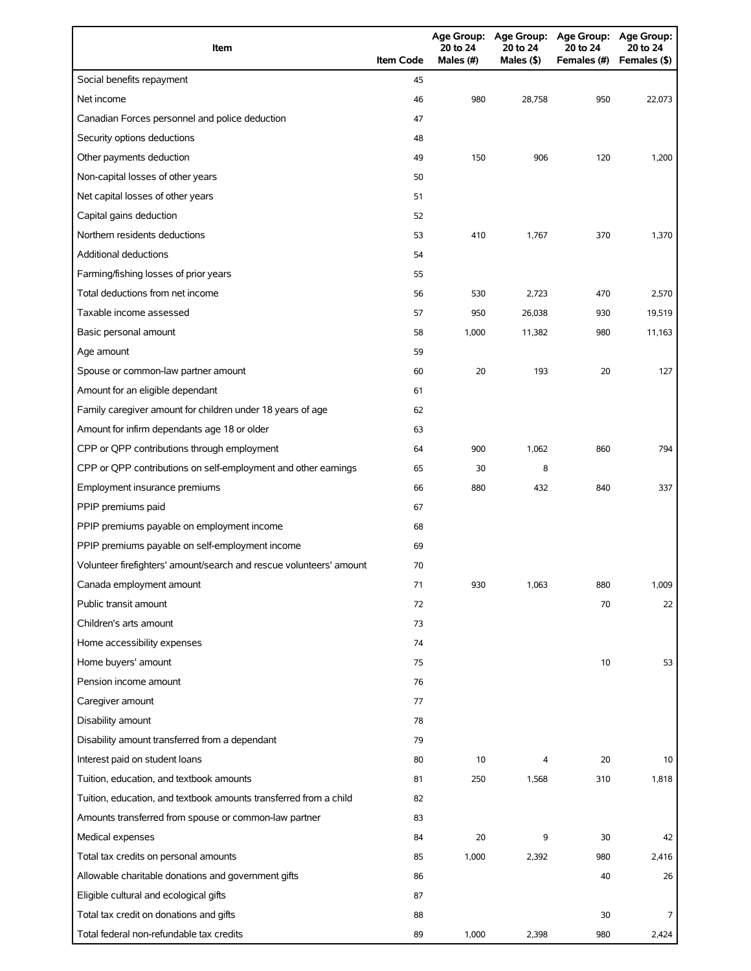| Item                                                                | <b>Item Code</b> | 20 to 24<br>Males (#) | 20 to 24<br>Males (\$) | Age Group: Age Group: Age Group: Age Group:<br>20 to 24<br>Females (#) | 20 to 24<br>Females (\$) |
|---------------------------------------------------------------------|------------------|-----------------------|------------------------|------------------------------------------------------------------------|--------------------------|
| Social benefits repayment                                           | 45               |                       |                        |                                                                        |                          |
| Net income                                                          | 46               | 980                   | 28,758                 | 950                                                                    | 22,073                   |
| Canadian Forces personnel and police deduction                      | 47               |                       |                        |                                                                        |                          |
| Security options deductions                                         | 48               |                       |                        |                                                                        |                          |
| Other payments deduction                                            | 49               | 150                   | 906                    | 120                                                                    | 1,200                    |
| Non-capital losses of other years                                   | 50               |                       |                        |                                                                        |                          |
| Net capital losses of other years                                   | 51               |                       |                        |                                                                        |                          |
| Capital gains deduction                                             | 52               |                       |                        |                                                                        |                          |
| Northern residents deductions                                       | 53               | 410                   | 1,767                  | 370                                                                    | 1,370                    |
| <b>Additional deductions</b>                                        | 54               |                       |                        |                                                                        |                          |
| Farming/fishing losses of prior years                               | 55               |                       |                        |                                                                        |                          |
| Total deductions from net income                                    | 56               | 530                   | 2,723                  | 470                                                                    | 2,570                    |
| Taxable income assessed                                             | 57               | 950                   | 26,038                 | 930                                                                    | 19,519                   |
| Basic personal amount                                               | 58               | 1,000                 | 11,382                 | 980                                                                    | 11,163                   |
| Age amount                                                          | 59               |                       |                        |                                                                        |                          |
| Spouse or common-law partner amount                                 | 60               | 20                    | 193                    | 20                                                                     | 127                      |
| Amount for an eligible dependant                                    | 61               |                       |                        |                                                                        |                          |
| Family caregiver amount for children under 18 years of age          | 62               |                       |                        |                                                                        |                          |
| Amount for infirm dependants age 18 or older                        | 63               |                       |                        |                                                                        |                          |
| CPP or QPP contributions through employment                         | 64               | 900                   | 1,062                  | 860                                                                    | 794                      |
| CPP or QPP contributions on self-employment and other earnings      | 65               | 30                    | 8                      |                                                                        |                          |
| Employment insurance premiums                                       | 66               | 880                   | 432                    | 840                                                                    | 337                      |
| PPIP premiums paid                                                  | 67               |                       |                        |                                                                        |                          |
| PPIP premiums payable on employment income                          | 68               |                       |                        |                                                                        |                          |
| PPIP premiums payable on self-employment income                     | 69               |                       |                        |                                                                        |                          |
| Volunteer firefighters' amount/search and rescue volunteers' amount | 70               |                       |                        |                                                                        |                          |
| Canada employment amount                                            | 71               | 930                   | 1,063                  | 880                                                                    | 1,009                    |
| Public transit amount                                               | 72               |                       |                        | 70                                                                     | 22                       |
| Children's arts amount                                              | 73               |                       |                        |                                                                        |                          |
| Home accessibility expenses                                         | 74               |                       |                        |                                                                        |                          |
| Home buyers' amount                                                 | 75               |                       |                        | 10                                                                     | 53                       |
| Pension income amount                                               | 76               |                       |                        |                                                                        |                          |
| Caregiver amount                                                    | 77               |                       |                        |                                                                        |                          |
| Disability amount                                                   | 78               |                       |                        |                                                                        |                          |
| Disability amount transferred from a dependant                      | 79               |                       |                        |                                                                        |                          |
| Interest paid on student loans                                      | 80               | 10                    | 4                      | 20                                                                     | 10                       |
| Tuition, education, and textbook amounts                            | 81               | 250                   | 1,568                  | 310                                                                    | 1,818                    |
| Tuition, education, and textbook amounts transferred from a child   | 82               |                       |                        |                                                                        |                          |
| Amounts transferred from spouse or common-law partner               | 83               |                       |                        |                                                                        |                          |
| Medical expenses                                                    | 84               | 20                    | 9                      | 30                                                                     | 42                       |
| Total tax credits on personal amounts                               | 85               | 1,000                 | 2,392                  | 980                                                                    | 2,416                    |
| Allowable charitable donations and government gifts                 | 86               |                       |                        | 40                                                                     | 26                       |
| Eligible cultural and ecological gifts                              | 87               |                       |                        |                                                                        |                          |
| Total tax credit on donations and gifts                             | 88               |                       |                        | 30                                                                     | 7                        |
| Total federal non-refundable tax credits                            | 89               | 1,000                 | 2,398                  | 980                                                                    | 2,424                    |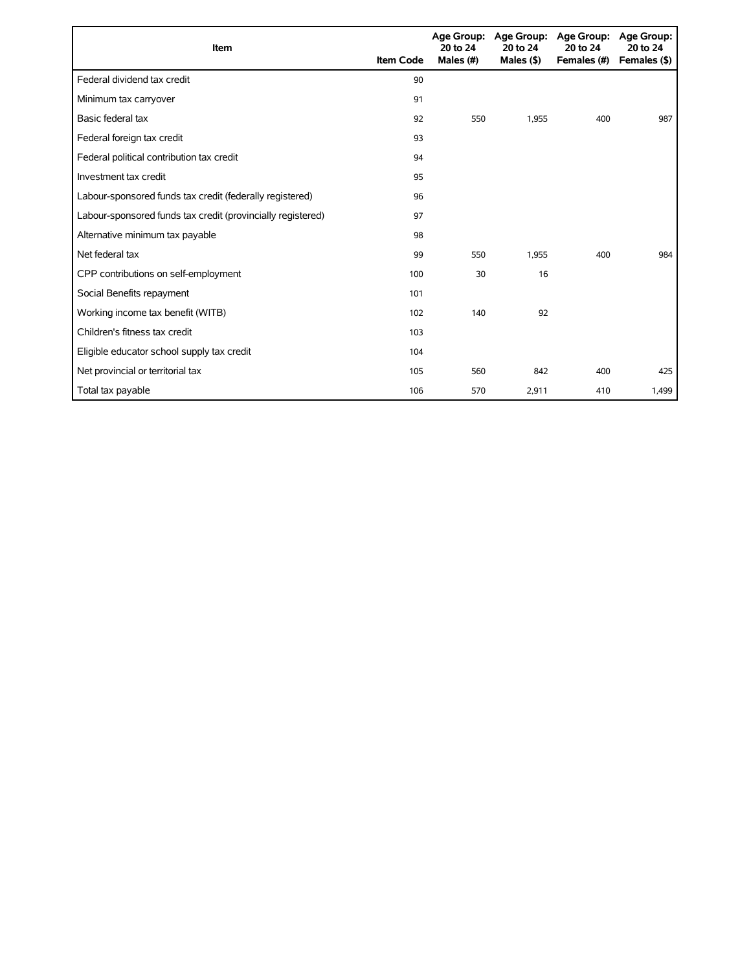| Item                                                        | <b>Item Code</b> | 20 to 24<br>Males (#) | Age Group: Age Group:<br>20 to 24<br>Males $($ \$ $)$ | <b>Age Group:</b><br>20 to 24<br>Females (#) | <b>Age Group:</b><br>20 to 24<br>Females (\$) |
|-------------------------------------------------------------|------------------|-----------------------|-------------------------------------------------------|----------------------------------------------|-----------------------------------------------|
| Federal dividend tax credit                                 | 90               |                       |                                                       |                                              |                                               |
| Minimum tax carryover                                       | 91               |                       |                                                       |                                              |                                               |
| Basic federal tax                                           | 92               | 550                   | 1,955                                                 | 400                                          | 987                                           |
| Federal foreign tax credit                                  | 93               |                       |                                                       |                                              |                                               |
| Federal political contribution tax credit                   | 94               |                       |                                                       |                                              |                                               |
| Investment tax credit                                       | 95               |                       |                                                       |                                              |                                               |
| Labour-sponsored funds tax credit (federally registered)    | 96               |                       |                                                       |                                              |                                               |
| Labour-sponsored funds tax credit (provincially registered) | 97               |                       |                                                       |                                              |                                               |
| Alternative minimum tax payable                             | 98               |                       |                                                       |                                              |                                               |
| Net federal tax                                             | 99               | 550                   | 1,955                                                 | 400                                          | 984                                           |
| CPP contributions on self-employment                        | 100              | 30                    | 16                                                    |                                              |                                               |
| Social Benefits repayment                                   | 101              |                       |                                                       |                                              |                                               |
| Working income tax benefit (WITB)                           | 102              | 140                   | 92                                                    |                                              |                                               |
| Children's fitness tax credit                               | 103              |                       |                                                       |                                              |                                               |
| Eligible educator school supply tax credit                  | 104              |                       |                                                       |                                              |                                               |
| Net provincial or territorial tax                           | 105              | 560                   | 842                                                   | 400                                          | 425                                           |
| Total tax payable                                           | 106              | 570                   | 2,911                                                 | 410                                          | 1,499                                         |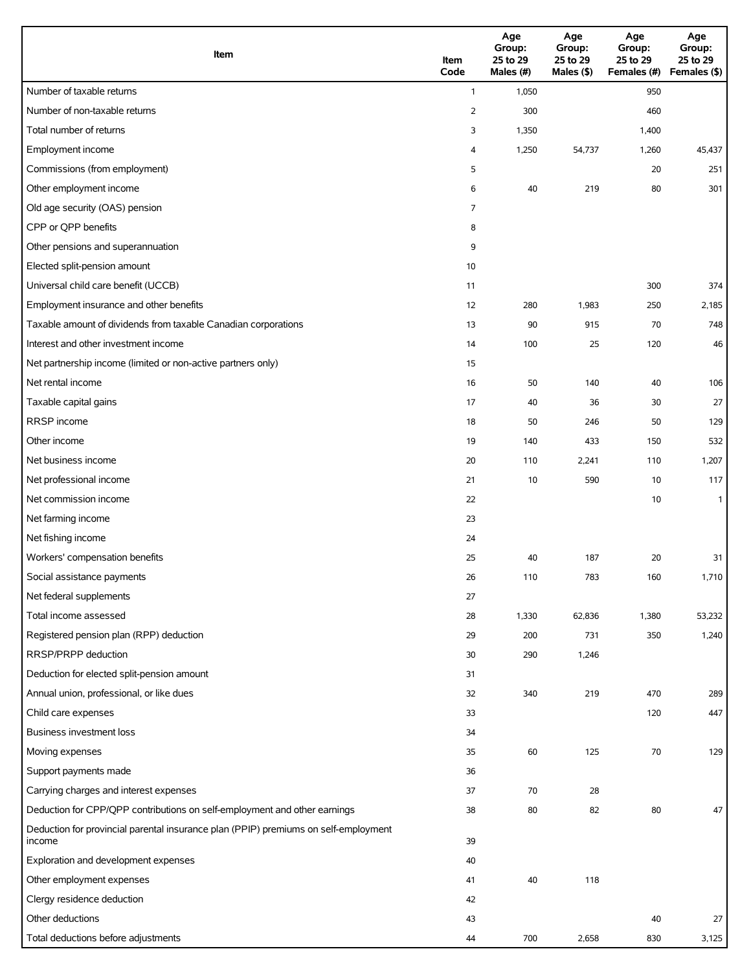| Item                                                                                          | Item<br>Code   | Age<br>Group:<br>25 to 29<br>Males (#) | Age<br>Group:<br>25 to 29<br>Males (\$) | Age<br>Group:<br>25 to 29<br>Females (#) | Age<br>Group:<br>25 to 29<br>Females (\$) |
|-----------------------------------------------------------------------------------------------|----------------|----------------------------------------|-----------------------------------------|------------------------------------------|-------------------------------------------|
| Number of taxable returns                                                                     | $\mathbf{1}$   | 1,050                                  |                                         | 950                                      |                                           |
| Number of non-taxable returns                                                                 | $\overline{2}$ | 300                                    |                                         | 460                                      |                                           |
| Total number of returns                                                                       | 3              | 1,350                                  |                                         | 1,400                                    |                                           |
| Employment income                                                                             | 4              | 1,250                                  | 54,737                                  | 1,260                                    | 45,437                                    |
| Commissions (from employment)                                                                 | 5              |                                        |                                         | 20                                       | 251                                       |
| Other employment income                                                                       | 6              | 40                                     | 219                                     | 80                                       | 301                                       |
| Old age security (OAS) pension                                                                | 7              |                                        |                                         |                                          |                                           |
| CPP or QPP benefits                                                                           | 8              |                                        |                                         |                                          |                                           |
| Other pensions and superannuation                                                             | 9              |                                        |                                         |                                          |                                           |
| Elected split-pension amount                                                                  | 10             |                                        |                                         |                                          |                                           |
| Universal child care benefit (UCCB)                                                           | 11             |                                        |                                         | 300                                      | 374                                       |
| Employment insurance and other benefits                                                       | 12             | 280                                    | 1,983                                   | 250                                      | 2,185                                     |
| Taxable amount of dividends from taxable Canadian corporations                                | 13             | 90                                     | 915                                     | 70                                       | 748                                       |
| Interest and other investment income                                                          | 14             | 100                                    | 25                                      | 120                                      | 46                                        |
| Net partnership income (limited or non-active partners only)                                  | 15             |                                        |                                         |                                          |                                           |
| Net rental income                                                                             | 16             | 50                                     | 140                                     | 40                                       | 106                                       |
| Taxable capital gains                                                                         | 17             | 40                                     | 36                                      | 30                                       | 27                                        |
| RRSP income                                                                                   | 18             | 50                                     | 246                                     | 50                                       | 129                                       |
| Other income                                                                                  | 19             | 140                                    | 433                                     | 150                                      | 532                                       |
| Net business income                                                                           | 20             | 110                                    | 2,241                                   | 110                                      | 1,207                                     |
| Net professional income                                                                       | 21             | 10                                     | 590                                     | 10                                       | 117                                       |
| Net commission income                                                                         | 22             |                                        |                                         | 10                                       | $\mathbf{1}$                              |
| Net farming income                                                                            | 23             |                                        |                                         |                                          |                                           |
| Net fishing income                                                                            | 24             |                                        |                                         |                                          |                                           |
| Workers' compensation benefits                                                                | 25             | 40                                     | 187                                     | 20                                       | 31                                        |
| Social assistance payments                                                                    | 26             | 110                                    | 783                                     | 160                                      | 1,710                                     |
| Net federal supplements                                                                       | 27             |                                        |                                         |                                          |                                           |
| Total income assessed                                                                         | 28             | 1,330                                  | 62,836                                  | 1,380                                    | 53,232                                    |
| Registered pension plan (RPP) deduction                                                       | 29             | 200                                    | 731                                     | 350                                      | 1,240                                     |
| RRSP/PRPP deduction                                                                           | 30             | 290                                    | 1,246                                   |                                          |                                           |
| Deduction for elected split-pension amount                                                    | 31             |                                        |                                         |                                          |                                           |
| Annual union, professional, or like dues                                                      | 32             | 340                                    | 219                                     | 470                                      | 289                                       |
| Child care expenses                                                                           | 33             |                                        |                                         | 120                                      | 447                                       |
| Business investment loss                                                                      | 34             |                                        |                                         |                                          |                                           |
| Moving expenses                                                                               | 35             | 60                                     | 125                                     | 70                                       | 129                                       |
| Support payments made                                                                         | 36             |                                        |                                         |                                          |                                           |
| Carrying charges and interest expenses                                                        | 37             | 70                                     | 28                                      |                                          |                                           |
| Deduction for CPP/QPP contributions on self-employment and other earnings                     | 38             | 80                                     | 82                                      | 80                                       | 47                                        |
| Deduction for provincial parental insurance plan (PPIP) premiums on self-employment<br>income | 39             |                                        |                                         |                                          |                                           |
| Exploration and development expenses                                                          | 40             |                                        |                                         |                                          |                                           |
| Other employment expenses                                                                     | 41             | 40                                     | 118                                     |                                          |                                           |
| Clergy residence deduction                                                                    | 42             |                                        |                                         |                                          |                                           |
| Other deductions                                                                              | 43             |                                        |                                         | 40                                       | 27                                        |
| Total deductions before adjustments                                                           | 44             | 700                                    | 2,658                                   | 830                                      | 3,125                                     |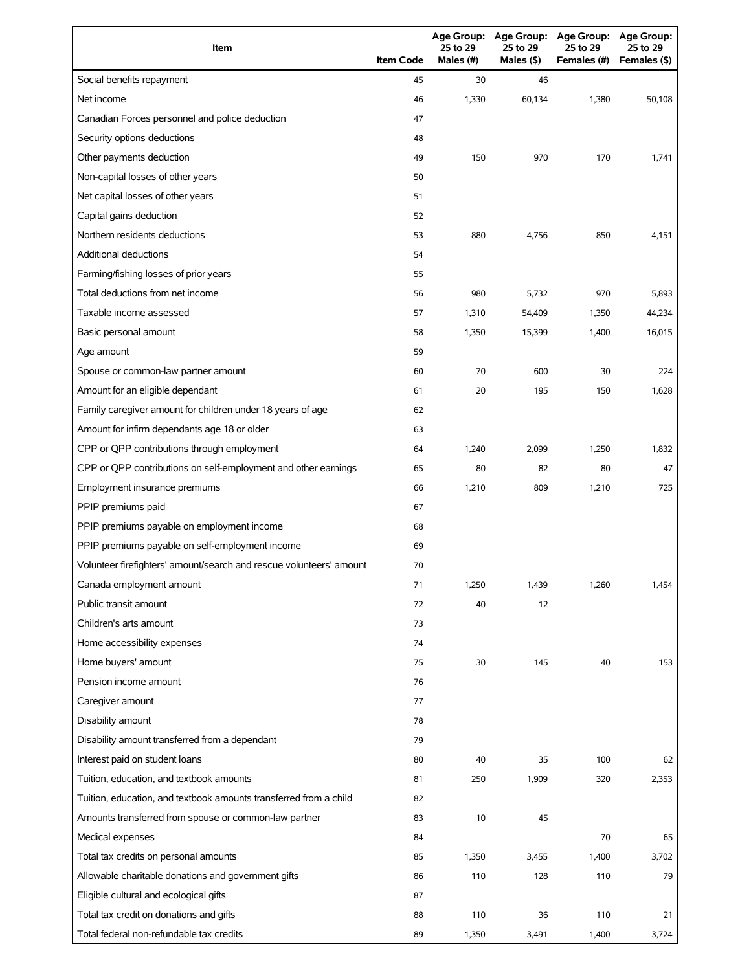| Item                                                                | <b>Item Code</b> | <b>Age Group:</b><br>25 to 29<br>Males (#) | <b>Age Group:</b><br>25 to 29<br>Males (\$) | Age Group:<br>25 to 29<br>Females (#) | <b>Age Group:</b><br>25 to 29<br>Females (\$) |
|---------------------------------------------------------------------|------------------|--------------------------------------------|---------------------------------------------|---------------------------------------|-----------------------------------------------|
| Social benefits repayment                                           | 45               | 30                                         | 46                                          |                                       |                                               |
| Net income                                                          | 46               | 1,330                                      | 60,134                                      | 1,380                                 | 50,108                                        |
| Canadian Forces personnel and police deduction                      | 47               |                                            |                                             |                                       |                                               |
| Security options deductions                                         | 48               |                                            |                                             |                                       |                                               |
| Other payments deduction                                            | 49               | 150                                        | 970                                         | 170                                   | 1,741                                         |
| Non-capital losses of other years                                   | 50               |                                            |                                             |                                       |                                               |
| Net capital losses of other years                                   | 51               |                                            |                                             |                                       |                                               |
| Capital gains deduction                                             | 52               |                                            |                                             |                                       |                                               |
| Northern residents deductions                                       | 53               | 880                                        | 4,756                                       | 850                                   | 4,151                                         |
| <b>Additional deductions</b>                                        | 54               |                                            |                                             |                                       |                                               |
| Farming/fishing losses of prior years                               | 55               |                                            |                                             |                                       |                                               |
| Total deductions from net income                                    | 56               | 980                                        | 5,732                                       | 970                                   | 5,893                                         |
| Taxable income assessed                                             | 57               | 1,310                                      | 54,409                                      | 1,350                                 | 44,234                                        |
| Basic personal amount                                               | 58               | 1,350                                      | 15,399                                      | 1,400                                 | 16,015                                        |
| Age amount                                                          | 59               |                                            |                                             |                                       |                                               |
| Spouse or common-law partner amount                                 | 60               | 70                                         | 600                                         | 30                                    | 224                                           |
| Amount for an eligible dependant                                    | 61               | 20                                         | 195                                         | 150                                   | 1,628                                         |
| Family caregiver amount for children under 18 years of age          | 62               |                                            |                                             |                                       |                                               |
| Amount for infirm dependants age 18 or older                        | 63               |                                            |                                             |                                       |                                               |
| CPP or QPP contributions through employment                         | 64               | 1,240                                      | 2,099                                       | 1,250                                 | 1,832                                         |
| CPP or QPP contributions on self-employment and other earnings      | 65               | 80                                         | 82                                          | 80                                    | 47                                            |
| Employment insurance premiums                                       | 66               | 1,210                                      | 809                                         | 1,210                                 | 725                                           |
| PPIP premiums paid                                                  | 67               |                                            |                                             |                                       |                                               |
| PPIP premiums payable on employment income                          | 68               |                                            |                                             |                                       |                                               |
| PPIP premiums payable on self-employment income                     | 69               |                                            |                                             |                                       |                                               |
| Volunteer firefighters' amount/search and rescue volunteers' amount | 70               |                                            |                                             |                                       |                                               |
| Canada employment amount                                            | 71               | 1,250                                      | 1,439                                       | 1,260                                 | 1,454                                         |
| Public transit amount                                               | 72               | 40                                         | 12                                          |                                       |                                               |
| Children's arts amount                                              | 73               |                                            |                                             |                                       |                                               |
| Home accessibility expenses                                         | 74               |                                            |                                             |                                       |                                               |
| Home buyers' amount                                                 | 75               | 30                                         | 145                                         | 40                                    | 153                                           |
| Pension income amount                                               | 76               |                                            |                                             |                                       |                                               |
| Caregiver amount                                                    | 77               |                                            |                                             |                                       |                                               |
| Disability amount                                                   | 78               |                                            |                                             |                                       |                                               |
| Disability amount transferred from a dependant                      | 79               |                                            |                                             |                                       |                                               |
| Interest paid on student loans                                      | 80               | 40                                         | 35                                          | 100                                   | 62                                            |
| Tuition, education, and textbook amounts                            | 81               | 250                                        | 1,909                                       | 320                                   | 2,353                                         |
| Tuition, education, and textbook amounts transferred from a child   | 82               |                                            |                                             |                                       |                                               |
| Amounts transferred from spouse or common-law partner               | 83               | 10                                         | 45                                          |                                       |                                               |
| Medical expenses                                                    | 84               |                                            |                                             | 70                                    | 65                                            |
| Total tax credits on personal amounts                               | 85               | 1,350                                      | 3,455                                       | 1,400                                 | 3,702                                         |
| Allowable charitable donations and government gifts                 | 86               | 110                                        | 128                                         | 110                                   | 79                                            |
| Eligible cultural and ecological gifts                              | 87               |                                            |                                             |                                       |                                               |
| Total tax credit on donations and gifts                             | 88               | 110                                        | 36                                          | 110                                   | 21                                            |
| Total federal non-refundable tax credits                            | 89               | 1,350                                      | 3,491                                       | 1,400                                 | 3,724                                         |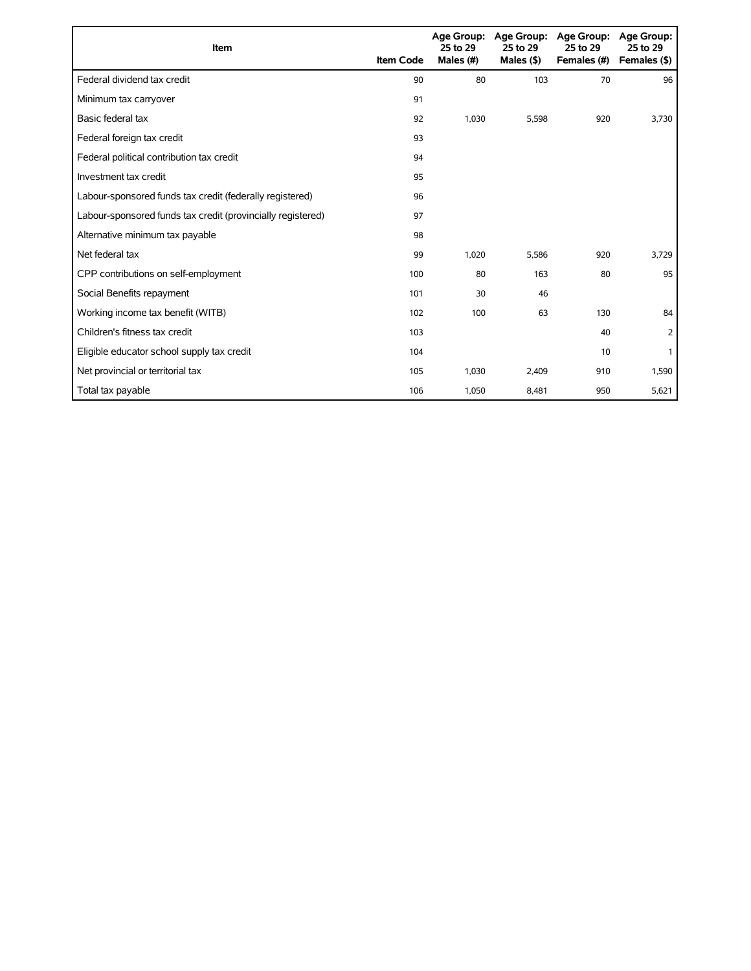| Item                                                        | <b>Item Code</b> | 25 to 29<br>Males (#) | Age Group: Age Group:<br>25 to 29<br>Males $($ \$) | <b>Age Group:</b><br>25 to 29<br>Females (#) | Age Group:<br>25 to 29<br>Females (\$) |
|-------------------------------------------------------------|------------------|-----------------------|----------------------------------------------------|----------------------------------------------|----------------------------------------|
| Federal dividend tax credit                                 | 90               | 80                    | 103                                                | 70                                           | 96                                     |
| Minimum tax carryover                                       | 91               |                       |                                                    |                                              |                                        |
| Basic federal tax                                           | 92               | 1,030                 | 5,598                                              | 920                                          | 3,730                                  |
| Federal foreign tax credit                                  | 93               |                       |                                                    |                                              |                                        |
| Federal political contribution tax credit                   | 94               |                       |                                                    |                                              |                                        |
| Investment tax credit                                       | 95               |                       |                                                    |                                              |                                        |
| Labour-sponsored funds tax credit (federally registered)    | 96               |                       |                                                    |                                              |                                        |
| Labour-sponsored funds tax credit (provincially registered) | 97               |                       |                                                    |                                              |                                        |
| Alternative minimum tax payable                             | 98               |                       |                                                    |                                              |                                        |
| Net federal tax                                             | 99               | 1,020                 | 5,586                                              | 920                                          | 3,729                                  |
| CPP contributions on self-employment                        | 100              | 80                    | 163                                                | 80                                           | 95                                     |
| Social Benefits repayment                                   | 101              | 30                    | 46                                                 |                                              |                                        |
| Working income tax benefit (WITB)                           | 102              | 100                   | 63                                                 | 130                                          | 84                                     |
| Children's fitness tax credit                               | 103              |                       |                                                    | 40                                           | 2                                      |
| Eligible educator school supply tax credit                  | 104              |                       |                                                    | 10                                           |                                        |
| Net provincial or territorial tax                           | 105              | 1,030                 | 2,409                                              | 910                                          | 1,590                                  |
| Total tax payable                                           | 106              | 1,050                 | 8,481                                              | 950                                          | 5,621                                  |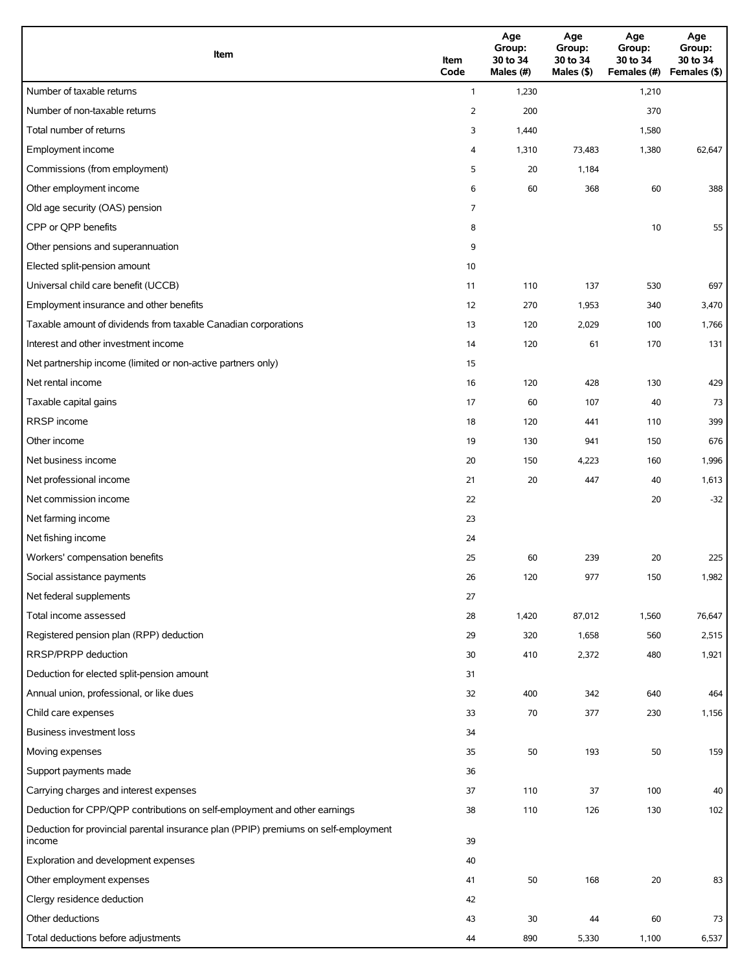| Item                                                                                          | Item<br>Code   | Age<br>Group:<br>30 to 34<br>Males (#) | Age<br>Group:<br>30 to 34<br>Males (\$) | Age<br>Group:<br>30 to 34<br>Females (#) | Age<br>Group:<br>30 to 34<br>Females (\$) |
|-----------------------------------------------------------------------------------------------|----------------|----------------------------------------|-----------------------------------------|------------------------------------------|-------------------------------------------|
| Number of taxable returns                                                                     | $\mathbf{1}$   | 1,230                                  |                                         | 1,210                                    |                                           |
| Number of non-taxable returns                                                                 | $\overline{2}$ | 200                                    |                                         | 370                                      |                                           |
| Total number of returns                                                                       | 3              | 1,440                                  |                                         | 1,580                                    |                                           |
| Employment income                                                                             | 4              | 1,310                                  | 73,483                                  | 1,380                                    | 62,647                                    |
| Commissions (from employment)                                                                 | 5              | 20                                     | 1,184                                   |                                          |                                           |
| Other employment income                                                                       | 6              | 60                                     | 368                                     | 60                                       | 388                                       |
| Old age security (OAS) pension                                                                | 7              |                                        |                                         |                                          |                                           |
| CPP or QPP benefits                                                                           | 8              |                                        |                                         | 10                                       | 55                                        |
| Other pensions and superannuation                                                             | 9              |                                        |                                         |                                          |                                           |
| Elected split-pension amount                                                                  | 10             |                                        |                                         |                                          |                                           |
| Universal child care benefit (UCCB)                                                           | 11             | 110                                    | 137                                     | 530                                      | 697                                       |
| Employment insurance and other benefits                                                       | 12             | 270                                    | 1,953                                   | 340                                      | 3,470                                     |
| Taxable amount of dividends from taxable Canadian corporations                                | 13             | 120                                    | 2,029                                   | 100                                      | 1,766                                     |
| Interest and other investment income                                                          | 14             | 120                                    | 61                                      | 170                                      | 131                                       |
| Net partnership income (limited or non-active partners only)                                  | 15             |                                        |                                         |                                          |                                           |
| Net rental income                                                                             | 16             | 120                                    | 428                                     | 130                                      | 429                                       |
| Taxable capital gains                                                                         | 17             | 60                                     | 107                                     | 40                                       | 73                                        |
| <b>RRSP</b> income                                                                            | 18             | 120                                    | 441                                     | 110                                      | 399                                       |
| Other income                                                                                  | 19             | 130                                    | 941                                     | 150                                      | 676                                       |
| Net business income                                                                           | 20             | 150                                    | 4,223                                   | 160                                      | 1,996                                     |
| Net professional income                                                                       | 21             | 20                                     | 447                                     | 40                                       | 1,613                                     |
| Net commission income                                                                         | 22             |                                        |                                         | 20                                       | $-32$                                     |
| Net farming income                                                                            | 23             |                                        |                                         |                                          |                                           |
| Net fishing income                                                                            | 24             |                                        |                                         |                                          |                                           |
| Workers' compensation benefits                                                                | 25             | 60                                     | 239                                     | 20                                       | 225                                       |
| Social assistance payments                                                                    | 26             | 120                                    | 977                                     | 150                                      | 1,982                                     |
| Net federal supplements                                                                       | 27             |                                        |                                         |                                          |                                           |
| Total income assessed                                                                         | 28             | 1,420                                  | 87,012                                  | 1,560                                    | 76,647                                    |
| Registered pension plan (RPP) deduction                                                       | 29             | 320                                    | 1,658                                   | 560                                      | 2,515                                     |
| RRSP/PRPP deduction                                                                           | 30             | 410                                    | 2,372                                   | 480                                      | 1,921                                     |
| Deduction for elected split-pension amount                                                    | 31             |                                        |                                         |                                          |                                           |
| Annual union, professional, or like dues                                                      | 32             | 400                                    | 342                                     | 640                                      | 464                                       |
| Child care expenses                                                                           | 33             | 70                                     | 377                                     | 230                                      | 1,156                                     |
| Business investment loss                                                                      | 34             |                                        |                                         |                                          |                                           |
| Moving expenses                                                                               | 35             | 50                                     | 193                                     | 50                                       | 159                                       |
| Support payments made                                                                         | 36             |                                        |                                         |                                          |                                           |
| Carrying charges and interest expenses                                                        | 37             | 110                                    | 37                                      | 100                                      | 40                                        |
| Deduction for CPP/QPP contributions on self-employment and other earnings                     | 38             | 110                                    | 126                                     | 130                                      | 102                                       |
| Deduction for provincial parental insurance plan (PPIP) premiums on self-employment<br>income | 39             |                                        |                                         |                                          |                                           |
| Exploration and development expenses                                                          | 40             |                                        |                                         |                                          |                                           |
| Other employment expenses                                                                     | 41             | 50                                     | 168                                     | $20\,$                                   | 83                                        |
| Clergy residence deduction                                                                    | 42             |                                        |                                         |                                          |                                           |
| Other deductions                                                                              | 43             | 30                                     | 44                                      | 60                                       | 73                                        |
| Total deductions before adjustments                                                           | 44             | 890                                    | 5,330                                   | 1,100                                    | 6,537                                     |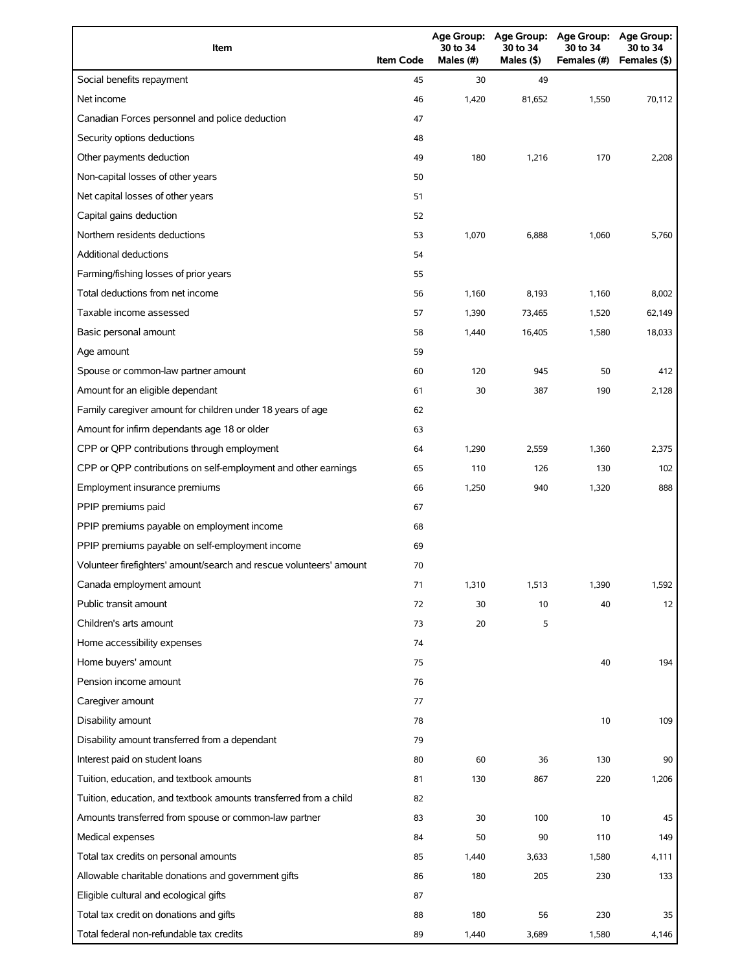| Item                                                                | <b>Item Code</b> | 30 to 34<br>Males (#) | 30 to 34<br>Males (\$) | Age Group: Age Group: Age Group: Age Group:<br>30 to 34<br>Females (#) | 30 to 34<br>Females (\$) |
|---------------------------------------------------------------------|------------------|-----------------------|------------------------|------------------------------------------------------------------------|--------------------------|
| Social benefits repayment                                           | 45               | 30                    | 49                     |                                                                        |                          |
| Net income                                                          | 46               | 1,420                 | 81,652                 | 1,550                                                                  | 70,112                   |
| Canadian Forces personnel and police deduction                      | 47               |                       |                        |                                                                        |                          |
| Security options deductions                                         | 48               |                       |                        |                                                                        |                          |
| Other payments deduction                                            | 49               | 180                   | 1,216                  | 170                                                                    | 2,208                    |
| Non-capital losses of other years                                   | 50               |                       |                        |                                                                        |                          |
| Net capital losses of other years                                   | 51               |                       |                        |                                                                        |                          |
| Capital gains deduction                                             | 52               |                       |                        |                                                                        |                          |
| Northern residents deductions                                       | 53               | 1,070                 | 6,888                  | 1,060                                                                  | 5,760                    |
| <b>Additional deductions</b>                                        | 54               |                       |                        |                                                                        |                          |
| Farming/fishing losses of prior years                               | 55               |                       |                        |                                                                        |                          |
| Total deductions from net income                                    | 56               | 1,160                 | 8,193                  | 1,160                                                                  | 8,002                    |
| Taxable income assessed                                             | 57               | 1,390                 | 73,465                 | 1,520                                                                  | 62,149                   |
| Basic personal amount                                               | 58               | 1,440                 | 16,405                 | 1,580                                                                  | 18,033                   |
| Age amount                                                          | 59               |                       |                        |                                                                        |                          |
| Spouse or common-law partner amount                                 | 60               | 120                   | 945                    | 50                                                                     | 412                      |
| Amount for an eligible dependant                                    | 61               | 30                    | 387                    | 190                                                                    | 2,128                    |
| Family caregiver amount for children under 18 years of age          | 62               |                       |                        |                                                                        |                          |
| Amount for infirm dependants age 18 or older                        | 63               |                       |                        |                                                                        |                          |
| CPP or QPP contributions through employment                         | 64               | 1,290                 | 2,559                  | 1,360                                                                  | 2,375                    |
| CPP or QPP contributions on self-employment and other earnings      | 65               | 110                   | 126                    | 130                                                                    | 102                      |
| Employment insurance premiums                                       | 66               | 1,250                 | 940                    | 1,320                                                                  | 888                      |
| PPIP premiums paid                                                  | 67               |                       |                        |                                                                        |                          |
| PPIP premiums payable on employment income                          | 68               |                       |                        |                                                                        |                          |
| PPIP premiums payable on self-employment income                     | 69               |                       |                        |                                                                        |                          |
| Volunteer firefighters' amount/search and rescue volunteers' amount | 70               |                       |                        |                                                                        |                          |
| Canada employment amount                                            | 71               | 1,310                 | 1,513                  | 1,390                                                                  | 1,592                    |
| Public transit amount                                               | 72               | 30                    | 10                     | 40                                                                     | 12                       |
| Children's arts amount                                              | 73               | 20                    | 5                      |                                                                        |                          |
| Home accessibility expenses                                         | 74               |                       |                        |                                                                        |                          |
| Home buyers' amount                                                 | 75               |                       |                        | 40                                                                     | 194                      |
| Pension income amount                                               | 76               |                       |                        |                                                                        |                          |
| Caregiver amount                                                    | 77               |                       |                        |                                                                        |                          |
| Disability amount                                                   | 78               |                       |                        | 10                                                                     | 109                      |
| Disability amount transferred from a dependant                      | 79               |                       |                        |                                                                        |                          |
| Interest paid on student loans                                      | 80               | 60                    | 36                     | 130                                                                    | 90                       |
| Tuition, education, and textbook amounts                            | 81               | 130                   | 867                    | 220                                                                    | 1,206                    |
| Tuition, education, and textbook amounts transferred from a child   | 82               |                       |                        |                                                                        |                          |
| Amounts transferred from spouse or common-law partner               | 83               | 30                    | 100                    | 10                                                                     | 45                       |
| Medical expenses                                                    | 84               | 50                    | 90                     | 110                                                                    | 149                      |
| Total tax credits on personal amounts                               | 85               | 1,440                 | 3,633                  | 1,580                                                                  | 4,111                    |
| Allowable charitable donations and government gifts                 | 86               | 180                   | 205                    | 230                                                                    | 133                      |
| Eligible cultural and ecological gifts                              | 87               |                       |                        |                                                                        |                          |
| Total tax credit on donations and gifts                             | 88               | 180                   | 56                     | 230                                                                    | 35                       |
| Total federal non-refundable tax credits                            | 89               | 1,440                 | 3,689                  | 1,580                                                                  | 4,146                    |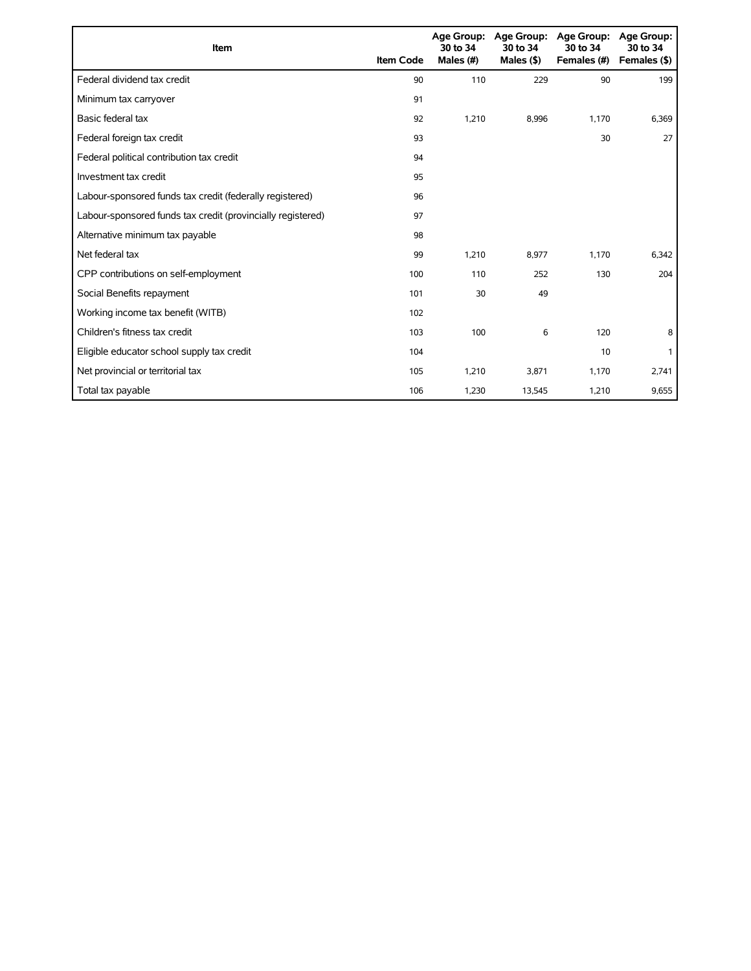| Item                                                        | <b>Item Code</b> | 30 to 34<br>Males (#) | Age Group: Age Group:<br>30 to 34<br>Males $($ \$) | <b>Age Group:</b><br>30 to 34<br>Females (#) | Age Group:<br>30 to 34<br>Females (\$) |
|-------------------------------------------------------------|------------------|-----------------------|----------------------------------------------------|----------------------------------------------|----------------------------------------|
| Federal dividend tax credit                                 | 90               | 110                   | 229                                                | 90                                           | 199                                    |
| Minimum tax carryover                                       | 91               |                       |                                                    |                                              |                                        |
| Basic federal tax                                           | 92               | 1,210                 | 8,996                                              | 1,170                                        | 6,369                                  |
| Federal foreign tax credit                                  | 93               |                       |                                                    | 30                                           | 27                                     |
| Federal political contribution tax credit                   | 94               |                       |                                                    |                                              |                                        |
| Investment tax credit                                       | 95               |                       |                                                    |                                              |                                        |
| Labour-sponsored funds tax credit (federally registered)    | 96               |                       |                                                    |                                              |                                        |
| Labour-sponsored funds tax credit (provincially registered) | 97               |                       |                                                    |                                              |                                        |
| Alternative minimum tax payable                             | 98               |                       |                                                    |                                              |                                        |
| Net federal tax                                             | 99               | 1,210                 | 8,977                                              | 1,170                                        | 6,342                                  |
| CPP contributions on self-employment                        | 100              | 110                   | 252                                                | 130                                          | 204                                    |
| Social Benefits repayment                                   | 101              | 30                    | 49                                                 |                                              |                                        |
| Working income tax benefit (WITB)                           | 102              |                       |                                                    |                                              |                                        |
| Children's fitness tax credit                               | 103              | 100                   | 6                                                  | 120                                          | 8                                      |
| Eligible educator school supply tax credit                  | 104              |                       |                                                    | 10                                           |                                        |
| Net provincial or territorial tax                           | 105              | 1,210                 | 3,871                                              | 1,170                                        | 2,741                                  |
| Total tax payable                                           | 106              | 1,230                 | 13,545                                             | 1,210                                        | 9,655                                  |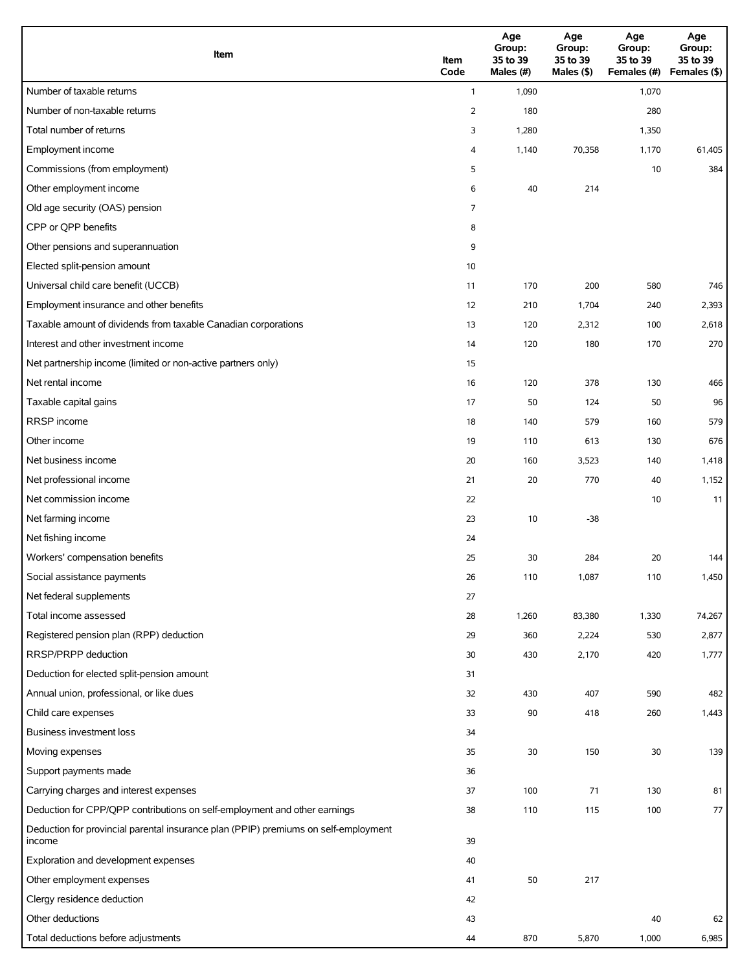| Item                                                                                          | Item<br>Code   | Age<br>Group:<br>35 to 39<br>Males (#) | Age<br>Group:<br>35 to 39<br>Males (\$) | Age<br>Group:<br>35 to 39<br>Females (#) | Age<br>Group:<br>35 to 39<br>Females (\$) |
|-----------------------------------------------------------------------------------------------|----------------|----------------------------------------|-----------------------------------------|------------------------------------------|-------------------------------------------|
| Number of taxable returns                                                                     | $\mathbf{1}$   | 1,090                                  |                                         | 1,070                                    |                                           |
| Number of non-taxable returns                                                                 | $\overline{2}$ | 180                                    |                                         | 280                                      |                                           |
| Total number of returns                                                                       | 3              | 1,280                                  |                                         | 1,350                                    |                                           |
| Employment income                                                                             | 4              | 1,140                                  | 70,358                                  | 1,170                                    | 61,405                                    |
| Commissions (from employment)                                                                 | 5              |                                        |                                         | 10                                       | 384                                       |
| Other employment income                                                                       | 6              | 40                                     | 214                                     |                                          |                                           |
| Old age security (OAS) pension                                                                | 7              |                                        |                                         |                                          |                                           |
| CPP or QPP benefits                                                                           | 8              |                                        |                                         |                                          |                                           |
| Other pensions and superannuation                                                             | 9              |                                        |                                         |                                          |                                           |
| Elected split-pension amount                                                                  | 10             |                                        |                                         |                                          |                                           |
| Universal child care benefit (UCCB)                                                           | 11             | 170                                    | 200                                     | 580                                      | 746                                       |
| Employment insurance and other benefits                                                       | 12             | 210                                    | 1,704                                   | 240                                      | 2,393                                     |
| Taxable amount of dividends from taxable Canadian corporations                                | 13             | 120                                    | 2,312                                   | 100                                      | 2,618                                     |
| Interest and other investment income                                                          | 14             | 120                                    | 180                                     | 170                                      | 270                                       |
| Net partnership income (limited or non-active partners only)                                  | 15             |                                        |                                         |                                          |                                           |
| Net rental income                                                                             | 16             | 120                                    | 378                                     | 130                                      | 466                                       |
| Taxable capital gains                                                                         | 17             | 50                                     | 124                                     | 50                                       | 96                                        |
| <b>RRSP</b> income                                                                            | 18             | 140                                    | 579                                     | 160                                      | 579                                       |
| Other income                                                                                  | 19             | 110                                    | 613                                     | 130                                      | 676                                       |
| Net business income                                                                           | 20             | 160                                    | 3,523                                   | 140                                      | 1,418                                     |
| Net professional income                                                                       | 21             | 20                                     | 770                                     | 40                                       | 1,152                                     |
| Net commission income                                                                         | 22             |                                        |                                         | 10                                       | 11                                        |
| Net farming income                                                                            | 23             | 10                                     | $-38$                                   |                                          |                                           |
| Net fishing income                                                                            | 24             |                                        |                                         |                                          |                                           |
| Workers' compensation benefits                                                                | 25             | 30                                     | 284                                     | 20                                       | 144                                       |
| Social assistance payments                                                                    | 26             | 110                                    | 1,087                                   | 110                                      | 1,450                                     |
| Net federal supplements                                                                       | 27             |                                        |                                         |                                          |                                           |
| Total income assessed                                                                         | 28             | 1,260                                  | 83,380                                  | 1,330                                    | 74,267                                    |
| Registered pension plan (RPP) deduction                                                       | 29             | 360                                    | 2,224                                   | 530                                      | 2,877                                     |
| RRSP/PRPP deduction                                                                           | 30             | 430                                    | 2,170                                   | 420                                      | 1,777                                     |
| Deduction for elected split-pension amount                                                    | 31             |                                        |                                         |                                          |                                           |
| Annual union, professional, or like dues                                                      | 32             | 430                                    | 407                                     | 590                                      | 482                                       |
| Child care expenses                                                                           | 33             | 90                                     | 418                                     | 260                                      | 1,443                                     |
| Business investment loss                                                                      | 34             |                                        |                                         |                                          |                                           |
| Moving expenses                                                                               | 35             | $30\,$                                 | 150                                     | 30                                       | 139                                       |
| Support payments made                                                                         | 36             |                                        |                                         |                                          |                                           |
| Carrying charges and interest expenses                                                        | 37             | 100                                    | 71                                      | 130                                      | 81                                        |
| Deduction for CPP/QPP contributions on self-employment and other earnings                     | 38             | 110                                    | 115                                     | 100                                      | 77                                        |
| Deduction for provincial parental insurance plan (PPIP) premiums on self-employment<br>income | 39             |                                        |                                         |                                          |                                           |
| Exploration and development expenses                                                          | 40             |                                        |                                         |                                          |                                           |
| Other employment expenses                                                                     | 41             | 50                                     | 217                                     |                                          |                                           |
| Clergy residence deduction                                                                    | 42             |                                        |                                         |                                          |                                           |
| Other deductions                                                                              | 43             |                                        |                                         | 40                                       | 62                                        |
| Total deductions before adjustments                                                           | 44             | 870                                    | 5,870                                   | 1,000                                    | 6,985                                     |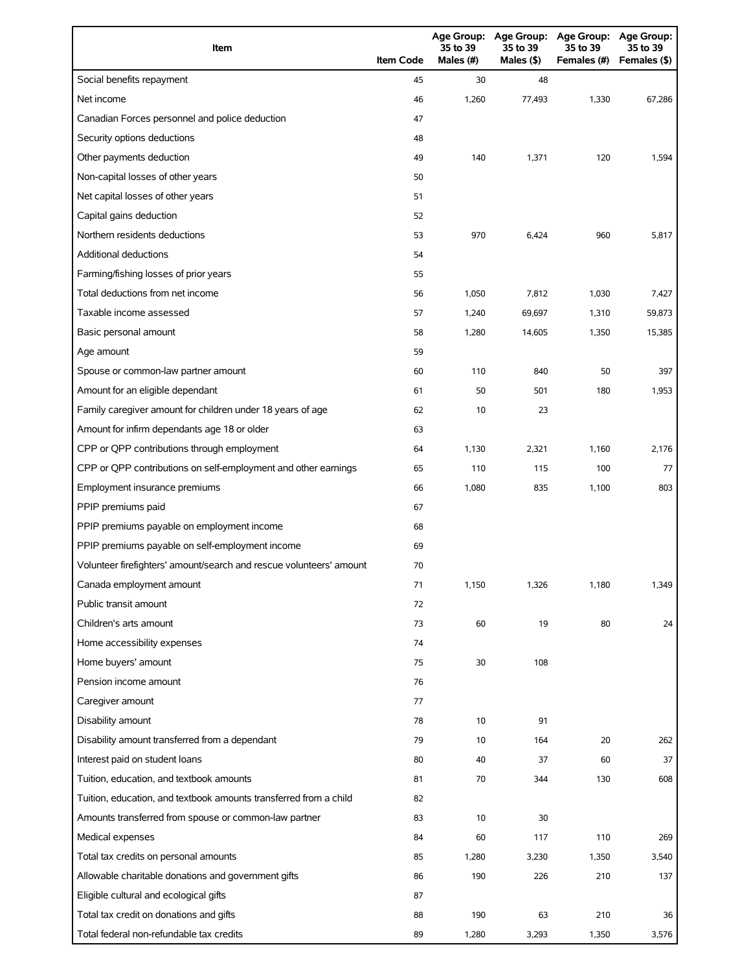| Item                                                                | <b>Item Code</b> | 35 to 39<br>Males (#) | 35 to 39<br>Males (\$) | Age Group: Age Group: Age Group: Age Group:<br>35 to 39<br>Females (#) | 35 to 39<br>Females (\$) |
|---------------------------------------------------------------------|------------------|-----------------------|------------------------|------------------------------------------------------------------------|--------------------------|
| Social benefits repayment                                           | 45               | 30                    | 48                     |                                                                        |                          |
| Net income                                                          | 46               | 1,260                 | 77,493                 | 1,330                                                                  | 67,286                   |
| Canadian Forces personnel and police deduction                      | 47               |                       |                        |                                                                        |                          |
| Security options deductions                                         | 48               |                       |                        |                                                                        |                          |
| Other payments deduction                                            | 49               | 140                   | 1,371                  | 120                                                                    | 1,594                    |
| Non-capital losses of other years                                   | 50               |                       |                        |                                                                        |                          |
| Net capital losses of other years                                   | 51               |                       |                        |                                                                        |                          |
| Capital gains deduction                                             | 52               |                       |                        |                                                                        |                          |
| Northern residents deductions                                       | 53               | 970                   | 6,424                  | 960                                                                    | 5,817                    |
| Additional deductions                                               | 54               |                       |                        |                                                                        |                          |
| Farming/fishing losses of prior years                               | 55               |                       |                        |                                                                        |                          |
| Total deductions from net income                                    | 56               | 1,050                 | 7,812                  | 1,030                                                                  | 7,427                    |
| Taxable income assessed                                             | 57               | 1,240                 | 69,697                 | 1,310                                                                  | 59,873                   |
| Basic personal amount                                               | 58               | 1,280                 | 14,605                 | 1,350                                                                  | 15,385                   |
| Age amount                                                          | 59               |                       |                        |                                                                        |                          |
| Spouse or common-law partner amount                                 | 60               | 110                   | 840                    | 50                                                                     | 397                      |
| Amount for an eligible dependant                                    | 61               | 50                    | 501                    | 180                                                                    | 1,953                    |
| Family caregiver amount for children under 18 years of age          | 62               | 10                    | 23                     |                                                                        |                          |
| Amount for infirm dependants age 18 or older                        | 63               |                       |                        |                                                                        |                          |
| CPP or QPP contributions through employment                         | 64               | 1,130                 | 2,321                  | 1,160                                                                  | 2,176                    |
| CPP or QPP contributions on self-employment and other earnings      | 65               | 110                   | 115                    | 100                                                                    | 77                       |
| Employment insurance premiums                                       | 66               | 1,080                 | 835                    | 1,100                                                                  | 803                      |
| PPIP premiums paid                                                  | 67               |                       |                        |                                                                        |                          |
| PPIP premiums payable on employment income                          | 68               |                       |                        |                                                                        |                          |
| PPIP premiums payable on self-employment income                     | 69               |                       |                        |                                                                        |                          |
| Volunteer firefighters' amount/search and rescue volunteers' amount | 70               |                       |                        |                                                                        |                          |
| Canada employment amount                                            | 71               | 1,150                 | 1,326                  | 1,180                                                                  | 1,349                    |
| Public transit amount                                               | 72               |                       |                        |                                                                        |                          |
| Children's arts amount                                              | 73               | 60                    | 19                     | 80                                                                     | 24                       |
| Home accessibility expenses                                         | 74               |                       |                        |                                                                        |                          |
| Home buyers' amount                                                 | 75               | 30                    | 108                    |                                                                        |                          |
| Pension income amount                                               | 76               |                       |                        |                                                                        |                          |
| Caregiver amount                                                    | 77               |                       |                        |                                                                        |                          |
| Disability amount                                                   | 78               | 10                    | 91                     |                                                                        |                          |
| Disability amount transferred from a dependant                      | 79               | 10                    | 164                    | 20                                                                     | 262                      |
| Interest paid on student loans                                      | 80               | 40                    | 37                     | 60                                                                     | 37                       |
| Tuition, education, and textbook amounts                            | 81               | 70                    | 344                    | 130                                                                    | 608                      |
| Tuition, education, and textbook amounts transferred from a child   | 82               |                       |                        |                                                                        |                          |
| Amounts transferred from spouse or common-law partner               | 83               | 10                    | 30                     |                                                                        |                          |
| Medical expenses                                                    | 84               | 60                    | 117                    | 110                                                                    | 269                      |
| Total tax credits on personal amounts                               | 85               | 1,280                 | 3,230                  | 1,350                                                                  | 3,540                    |
| Allowable charitable donations and government gifts                 | 86               | 190                   | 226                    | 210                                                                    | 137                      |
| Eligible cultural and ecological gifts                              | 87               |                       |                        |                                                                        |                          |
| Total tax credit on donations and gifts                             | 88               | 190                   | 63                     | 210                                                                    | 36                       |
| Total federal non-refundable tax credits                            | 89               | 1,280                 | 3,293                  | 1,350                                                                  | 3,576                    |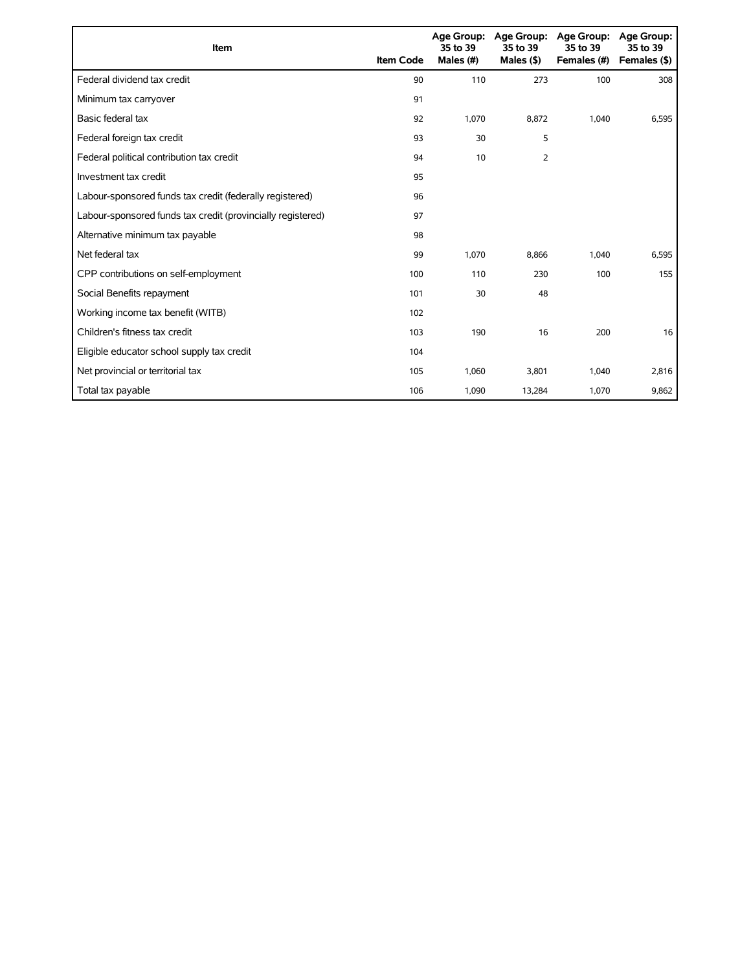| Item                                                        | <b>Item Code</b> | 35 to 39<br>Males (#) | Age Group: Age Group:<br>35 to 39<br>Males $($ \$) | Age Group:<br>35 to 39<br>Females (#) | Age Group:<br>35 to 39<br>Females (\$) |
|-------------------------------------------------------------|------------------|-----------------------|----------------------------------------------------|---------------------------------------|----------------------------------------|
| Federal dividend tax credit                                 | 90               | 110                   | 273                                                | 100                                   | 308                                    |
| Minimum tax carryover                                       | 91               |                       |                                                    |                                       |                                        |
| Basic federal tax                                           | 92               | 1,070                 | 8,872                                              | 1,040                                 | 6,595                                  |
| Federal foreign tax credit                                  | 93               | 30                    | 5                                                  |                                       |                                        |
| Federal political contribution tax credit                   | 94               | 10                    | 2                                                  |                                       |                                        |
| Investment tax credit                                       | 95               |                       |                                                    |                                       |                                        |
| Labour-sponsored funds tax credit (federally registered)    | 96               |                       |                                                    |                                       |                                        |
| Labour-sponsored funds tax credit (provincially registered) | 97               |                       |                                                    |                                       |                                        |
| Alternative minimum tax payable                             | 98               |                       |                                                    |                                       |                                        |
| Net federal tax                                             | 99               | 1,070                 | 8,866                                              | 1,040                                 | 6,595                                  |
| CPP contributions on self-employment                        | 100              | 110                   | 230                                                | 100                                   | 155                                    |
| Social Benefits repayment                                   | 101              | 30                    | 48                                                 |                                       |                                        |
| Working income tax benefit (WITB)                           | 102              |                       |                                                    |                                       |                                        |
| Children's fitness tax credit                               | 103              | 190                   | 16                                                 | 200                                   | 16                                     |
| Eligible educator school supply tax credit                  | 104              |                       |                                                    |                                       |                                        |
| Net provincial or territorial tax                           | 105              | 1,060                 | 3,801                                              | 1,040                                 | 2,816                                  |
| Total tax payable                                           | 106              | 1,090                 | 13,284                                             | 1,070                                 | 9,862                                  |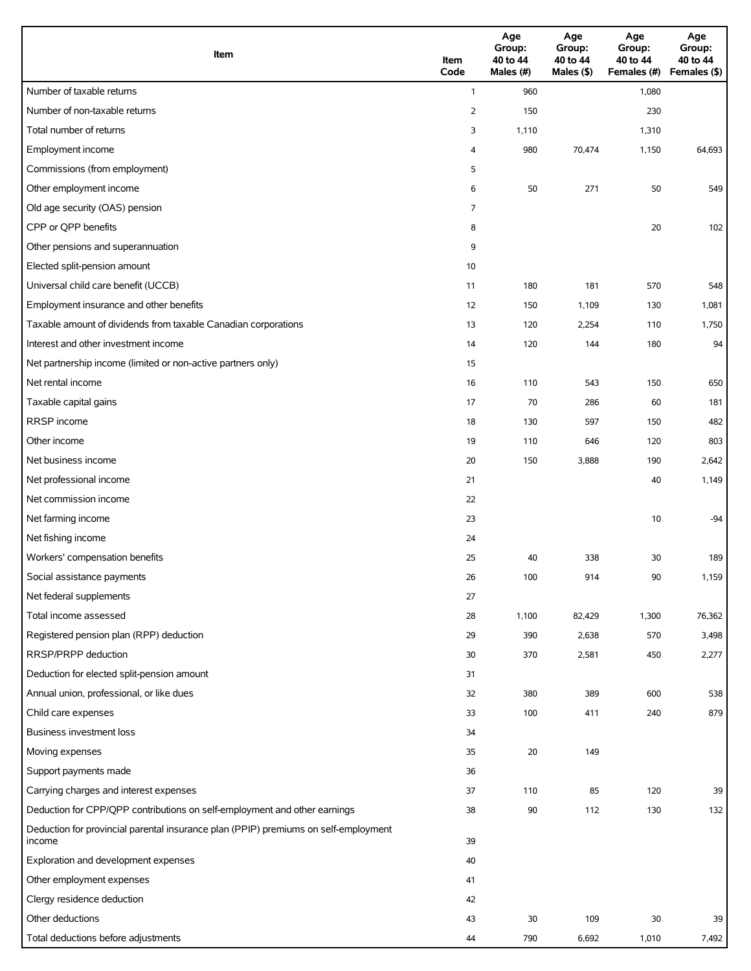| Item                                                                                          | Item<br>Code   | Age<br>Group:<br>40 to 44<br>Males (#) | Age<br>Group:<br>40 to 44<br>Males (\$) | Age<br>Group:<br>40 to 44<br>Females (#) | Age<br>Group:<br>40 to 44<br>Females (\$) |
|-----------------------------------------------------------------------------------------------|----------------|----------------------------------------|-----------------------------------------|------------------------------------------|-------------------------------------------|
| Number of taxable returns                                                                     | $\mathbf{1}$   | 960                                    |                                         | 1,080                                    |                                           |
| Number of non-taxable returns                                                                 | $\overline{2}$ | 150                                    |                                         | 230                                      |                                           |
| Total number of returns                                                                       | 3              | 1,110                                  |                                         | 1,310                                    |                                           |
| Employment income                                                                             | 4              | 980                                    | 70,474                                  | 1,150                                    | 64,693                                    |
| Commissions (from employment)                                                                 | 5              |                                        |                                         |                                          |                                           |
| Other employment income                                                                       | 6              | 50                                     | 271                                     | 50                                       | 549                                       |
| Old age security (OAS) pension                                                                | 7              |                                        |                                         |                                          |                                           |
| CPP or QPP benefits                                                                           | 8              |                                        |                                         | 20                                       | 102                                       |
| Other pensions and superannuation                                                             | 9              |                                        |                                         |                                          |                                           |
| Elected split-pension amount                                                                  | 10             |                                        |                                         |                                          |                                           |
| Universal child care benefit (UCCB)                                                           | 11             | 180                                    | 181                                     | 570                                      | 548                                       |
| Employment insurance and other benefits                                                       | 12             | 150                                    | 1,109                                   | 130                                      | 1,081                                     |
| Taxable amount of dividends from taxable Canadian corporations                                | 13             | 120                                    | 2,254                                   | 110                                      | 1,750                                     |
| Interest and other investment income                                                          | 14             | 120                                    | 144                                     | 180                                      | 94                                        |
| Net partnership income (limited or non-active partners only)                                  | 15             |                                        |                                         |                                          |                                           |
| Net rental income                                                                             | 16             | 110                                    | 543                                     | 150                                      | 650                                       |
| Taxable capital gains                                                                         | 17             | 70                                     | 286                                     | 60                                       | 181                                       |
| <b>RRSP</b> income                                                                            | 18             | 130                                    | 597                                     | 150                                      | 482                                       |
| Other income                                                                                  | 19             | 110                                    | 646                                     | 120                                      | 803                                       |
| Net business income                                                                           | 20             | 150                                    | 3,888                                   | 190                                      | 2,642                                     |
| Net professional income                                                                       | 21             |                                        |                                         | 40                                       | 1,149                                     |
| Net commission income                                                                         | 22             |                                        |                                         |                                          |                                           |
| Net farming income                                                                            | 23             |                                        |                                         | 10                                       | $-94$                                     |
| Net fishing income                                                                            | 24             |                                        |                                         |                                          |                                           |
| Workers' compensation benefits                                                                | 25             | 40                                     | 338                                     | 30                                       | 189                                       |
| Social assistance payments                                                                    | 26             | 100                                    | 914                                     | 90                                       | 1,159                                     |
| Net federal supplements                                                                       | 27             |                                        |                                         |                                          |                                           |
| Total income assessed                                                                         | 28             | 1,100                                  | 82,429                                  | 1,300                                    | 76,362                                    |
| Registered pension plan (RPP) deduction                                                       | 29             | 390                                    | 2,638                                   | 570                                      | 3,498                                     |
| RRSP/PRPP deduction                                                                           | 30             | 370                                    | 2,581                                   | 450                                      | 2,277                                     |
| Deduction for elected split-pension amount                                                    | 31             |                                        |                                         |                                          |                                           |
| Annual union, professional, or like dues                                                      | 32             | 380                                    | 389                                     | 600                                      | 538                                       |
| Child care expenses                                                                           | 33             | 100                                    | 411                                     | 240                                      | 879                                       |
| Business investment loss                                                                      | 34             |                                        |                                         |                                          |                                           |
| Moving expenses                                                                               | 35             | 20                                     | 149                                     |                                          |                                           |
| Support payments made                                                                         | 36             |                                        |                                         |                                          |                                           |
| Carrying charges and interest expenses                                                        | 37             | 110                                    | 85                                      | 120                                      | 39                                        |
| Deduction for CPP/QPP contributions on self-employment and other earnings                     | 38             | 90                                     | 112                                     | 130                                      | 132                                       |
| Deduction for provincial parental insurance plan (PPIP) premiums on self-employment<br>income | 39             |                                        |                                         |                                          |                                           |
| Exploration and development expenses                                                          | 40             |                                        |                                         |                                          |                                           |
| Other employment expenses                                                                     | 41             |                                        |                                         |                                          |                                           |
| Clergy residence deduction                                                                    | 42             |                                        |                                         |                                          |                                           |
| Other deductions                                                                              | 43             | 30                                     | 109                                     | 30                                       | 39                                        |
| Total deductions before adjustments                                                           | 44             | 790                                    | 6,692                                   | 1,010                                    | 7,492                                     |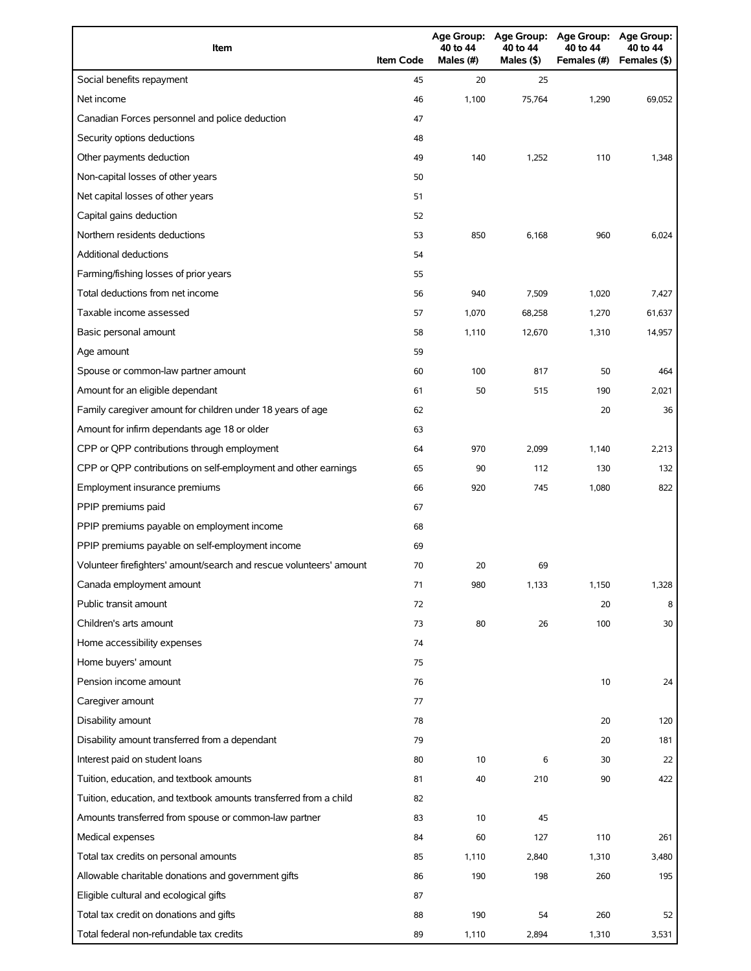| Item                                                                | <b>Item Code</b> | 40 to 44<br>Males (#) | Age Group: Age Group:<br>40 to 44<br>Males (\$) | Age Group: Age Group:<br>40 to 44<br>Females (#) | 40 to 44<br>Females (\$) |
|---------------------------------------------------------------------|------------------|-----------------------|-------------------------------------------------|--------------------------------------------------|--------------------------|
| Social benefits repayment                                           | 45               | 20                    | 25                                              |                                                  |                          |
| Net income                                                          | 46               | 1,100                 | 75,764                                          | 1,290                                            | 69,052                   |
| Canadian Forces personnel and police deduction                      | 47               |                       |                                                 |                                                  |                          |
| Security options deductions                                         | 48               |                       |                                                 |                                                  |                          |
| Other payments deduction                                            | 49               | 140                   | 1,252                                           | 110                                              | 1,348                    |
| Non-capital losses of other years                                   | 50               |                       |                                                 |                                                  |                          |
| Net capital losses of other years                                   | 51               |                       |                                                 |                                                  |                          |
| Capital gains deduction                                             | 52               |                       |                                                 |                                                  |                          |
| Northern residents deductions                                       | 53               | 850                   | 6,168                                           | 960                                              | 6,024                    |
| Additional deductions                                               | 54               |                       |                                                 |                                                  |                          |
| Farming/fishing losses of prior years                               | 55               |                       |                                                 |                                                  |                          |
| Total deductions from net income                                    | 56               | 940                   | 7,509                                           | 1,020                                            | 7,427                    |
| Taxable income assessed                                             | 57               | 1,070                 | 68,258                                          | 1,270                                            | 61,637                   |
| Basic personal amount                                               | 58               | 1,110                 | 12,670                                          | 1,310                                            | 14,957                   |
| Age amount                                                          | 59               |                       |                                                 |                                                  |                          |
| Spouse or common-law partner amount                                 | 60               | 100                   | 817                                             | 50                                               | 464                      |
| Amount for an eligible dependant                                    | 61               | 50                    | 515                                             | 190                                              | 2,021                    |
| Family caregiver amount for children under 18 years of age          | 62               |                       |                                                 | 20                                               | 36                       |
| Amount for infirm dependants age 18 or older                        | 63               |                       |                                                 |                                                  |                          |
| CPP or QPP contributions through employment                         | 64               | 970                   | 2,099                                           | 1,140                                            | 2,213                    |
| CPP or QPP contributions on self-employment and other earnings      | 65               | 90                    | 112                                             | 130                                              | 132                      |
| Employment insurance premiums                                       | 66               | 920                   | 745                                             | 1,080                                            | 822                      |
| PPIP premiums paid                                                  | 67               |                       |                                                 |                                                  |                          |
| PPIP premiums payable on employment income                          | 68               |                       |                                                 |                                                  |                          |
| PPIP premiums payable on self-employment income                     | 69               |                       |                                                 |                                                  |                          |
| Volunteer firefighters' amount/search and rescue volunteers' amount | 70               | 20                    | 69                                              |                                                  |                          |
| Canada employment amount                                            | 71               | 980                   | 1,133                                           | 1,150                                            | 1,328                    |
| Public transit amount                                               | 72               |                       |                                                 | 20                                               | 8                        |
| Children's arts amount                                              | 73               | 80                    | 26                                              | 100                                              | 30                       |
| Home accessibility expenses                                         | 74               |                       |                                                 |                                                  |                          |
| Home buyers' amount                                                 | 75               |                       |                                                 |                                                  |                          |
| Pension income amount                                               | 76               |                       |                                                 | 10                                               | 24                       |
| Caregiver amount                                                    | 77               |                       |                                                 |                                                  |                          |
| Disability amount                                                   | 78               |                       |                                                 | 20                                               | 120                      |
| Disability amount transferred from a dependant                      | 79               |                       |                                                 | 20                                               | 181                      |
| Interest paid on student loans                                      | 80               | 10                    | 6                                               | 30                                               | 22                       |
| Tuition, education, and textbook amounts                            | 81               | 40                    | 210                                             | 90                                               | 422                      |
| Tuition, education, and textbook amounts transferred from a child   | 82               |                       |                                                 |                                                  |                          |
| Amounts transferred from spouse or common-law partner               | 83               | 10                    | 45                                              |                                                  |                          |
| Medical expenses                                                    | 84               | 60                    | 127                                             | 110                                              | 261                      |
| Total tax credits on personal amounts                               | 85               | 1,110                 | 2,840                                           | 1,310                                            | 3,480                    |
| Allowable charitable donations and government gifts                 | 86               | 190                   | 198                                             | 260                                              | 195                      |
| Eligible cultural and ecological gifts                              | 87               |                       |                                                 |                                                  |                          |
| Total tax credit on donations and gifts                             | 88               | 190                   | 54                                              | 260                                              | 52                       |
| Total federal non-refundable tax credits                            | 89               | 1,110                 | 2,894                                           | 1,310                                            | 3,531                    |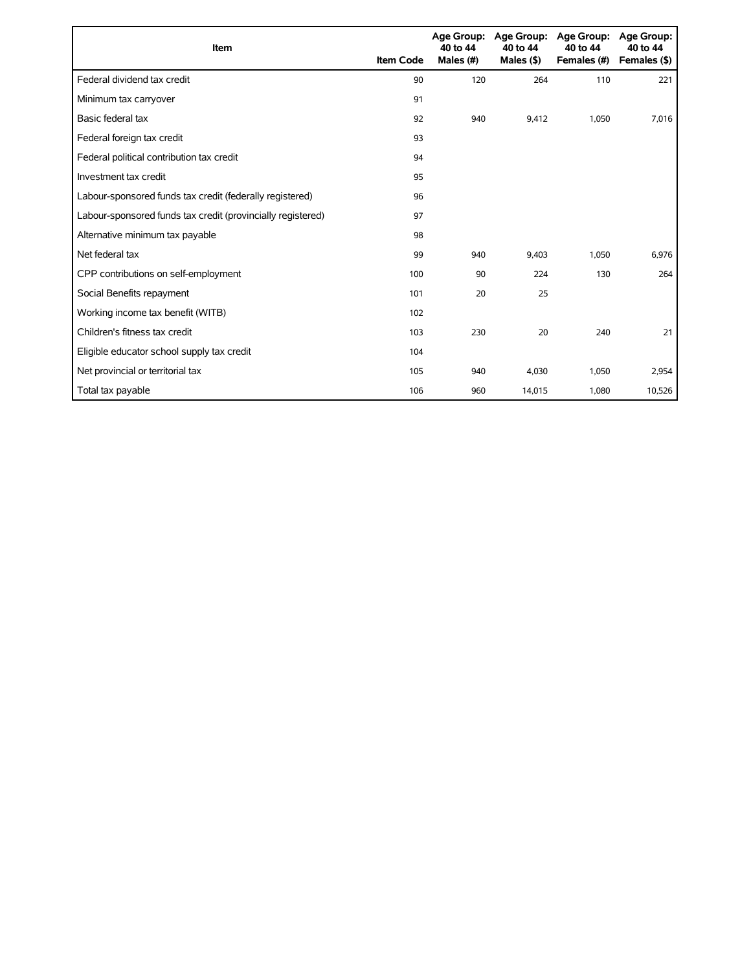| Item                                                        | <b>Item Code</b> | 40 to 44<br>Males (#) | Age Group: Age Group:<br>40 to 44<br>Males $($ \$ $)$ | <b>Age Group:</b><br>40 to 44<br>Females (#) | <b>Age Group:</b><br>40 to 44<br>Females (\$) |
|-------------------------------------------------------------|------------------|-----------------------|-------------------------------------------------------|----------------------------------------------|-----------------------------------------------|
| Federal dividend tax credit                                 | 90               | 120                   | 264                                                   | 110                                          | 221                                           |
| Minimum tax carryover                                       | 91               |                       |                                                       |                                              |                                               |
| Basic federal tax                                           | 92               | 940                   | 9.412                                                 | 1,050                                        | 7,016                                         |
| Federal foreign tax credit                                  | 93               |                       |                                                       |                                              |                                               |
| Federal political contribution tax credit                   | 94               |                       |                                                       |                                              |                                               |
| Investment tax credit                                       | 95               |                       |                                                       |                                              |                                               |
| Labour-sponsored funds tax credit (federally registered)    | 96               |                       |                                                       |                                              |                                               |
| Labour-sponsored funds tax credit (provincially registered) | 97               |                       |                                                       |                                              |                                               |
| Alternative minimum tax payable                             | 98               |                       |                                                       |                                              |                                               |
| Net federal tax                                             | 99               | 940                   | 9,403                                                 | 1,050                                        | 6,976                                         |
| CPP contributions on self-employment                        | 100              | 90                    | 224                                                   | 130                                          | 264                                           |
| Social Benefits repayment                                   | 101              | 20                    | 25                                                    |                                              |                                               |
| Working income tax benefit (WITB)                           | 102              |                       |                                                       |                                              |                                               |
| Children's fitness tax credit                               | 103              | 230                   | 20                                                    | 240                                          | 21                                            |
| Eligible educator school supply tax credit                  | 104              |                       |                                                       |                                              |                                               |
| Net provincial or territorial tax                           | 105              | 940                   | 4,030                                                 | 1,050                                        | 2,954                                         |
| Total tax payable                                           | 106              | 960                   | 14,015                                                | 1,080                                        | 10,526                                        |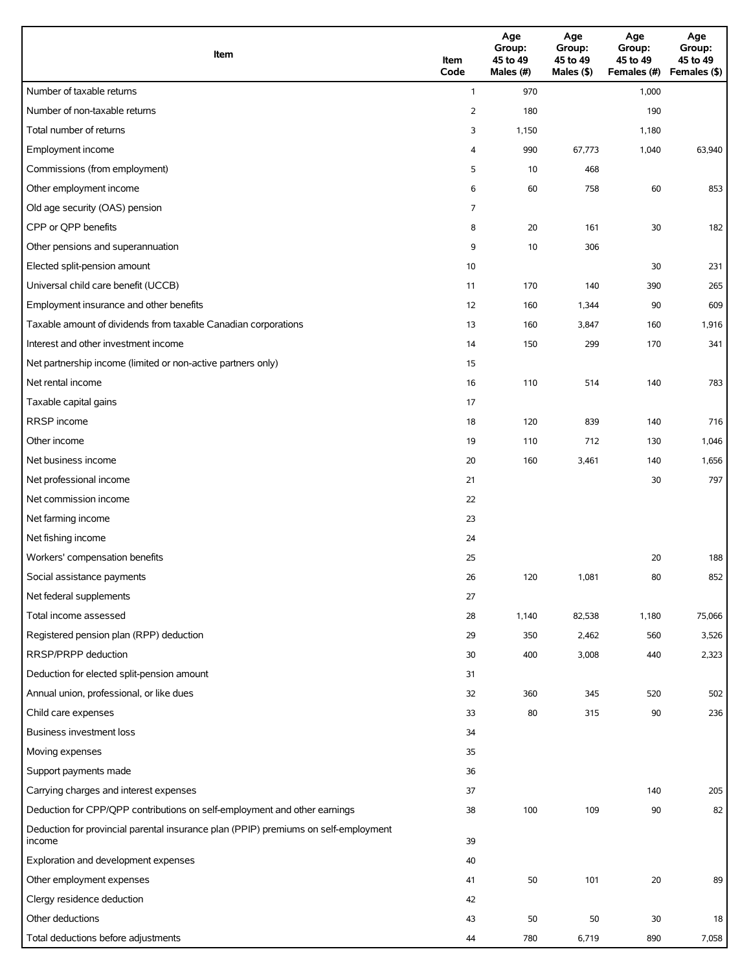| Item                                                                                          | Item<br>Code   | Age<br>Group:<br>45 to 49<br>Males (#) | Age<br>Group:<br>45 to 49<br>Males (\$) | Age<br>Group:<br>45 to 49<br>Females (#) | Age<br>Group:<br>45 to 49<br>Females (\$) |
|-----------------------------------------------------------------------------------------------|----------------|----------------------------------------|-----------------------------------------|------------------------------------------|-------------------------------------------|
| Number of taxable returns                                                                     | $\mathbf{1}$   | 970                                    |                                         | 1,000                                    |                                           |
| Number of non-taxable returns                                                                 | $\overline{2}$ | 180                                    |                                         | 190                                      |                                           |
| Total number of returns                                                                       | 3              | 1,150                                  |                                         | 1,180                                    |                                           |
| Employment income                                                                             | 4              | 990                                    | 67,773                                  | 1,040                                    | 63,940                                    |
| Commissions (from employment)                                                                 | 5              | 10                                     | 468                                     |                                          |                                           |
| Other employment income                                                                       | 6              | 60                                     | 758                                     | 60                                       | 853                                       |
| Old age security (OAS) pension                                                                | 7              |                                        |                                         |                                          |                                           |
| CPP or QPP benefits                                                                           | 8              | 20                                     | 161                                     | 30                                       | 182                                       |
| Other pensions and superannuation                                                             | 9              | 10                                     | 306                                     |                                          |                                           |
| Elected split-pension amount                                                                  | 10             |                                        |                                         | 30                                       | 231                                       |
| Universal child care benefit (UCCB)                                                           | 11             | 170                                    | 140                                     | 390                                      | 265                                       |
| Employment insurance and other benefits                                                       | 12             | 160                                    | 1,344                                   | 90                                       | 609                                       |
| Taxable amount of dividends from taxable Canadian corporations                                | 13             | 160                                    | 3,847                                   | 160                                      | 1,916                                     |
| Interest and other investment income                                                          | 14             | 150                                    | 299                                     | 170                                      | 341                                       |
| Net partnership income (limited or non-active partners only)                                  | 15             |                                        |                                         |                                          |                                           |
| Net rental income                                                                             | 16             | 110                                    | 514                                     | 140                                      | 783                                       |
| Taxable capital gains                                                                         | 17             |                                        |                                         |                                          |                                           |
| <b>RRSP</b> income                                                                            | 18             | 120                                    | 839                                     | 140                                      | 716                                       |
| Other income                                                                                  | 19             | 110                                    | 712                                     | 130                                      | 1,046                                     |
| Net business income                                                                           | 20             | 160                                    | 3,461                                   | 140                                      | 1,656                                     |
| Net professional income                                                                       | 21             |                                        |                                         | 30                                       | 797                                       |
| Net commission income                                                                         | 22             |                                        |                                         |                                          |                                           |
| Net farming income                                                                            | 23             |                                        |                                         |                                          |                                           |
| Net fishing income                                                                            | 24             |                                        |                                         |                                          |                                           |
| Workers' compensation benefits                                                                | 25             |                                        |                                         | 20                                       | 188                                       |
| Social assistance payments                                                                    | 26             | 120                                    | 1,081                                   | $80\,$                                   | 852                                       |
| Net federal supplements                                                                       | 27             |                                        |                                         |                                          |                                           |
| Total income assessed                                                                         | 28             | 1,140                                  | 82,538                                  | 1,180                                    | 75,066                                    |
| Registered pension plan (RPP) deduction                                                       | 29             | 350                                    | 2,462                                   | 560                                      | 3,526                                     |
| RRSP/PRPP deduction                                                                           | 30             | 400                                    | 3,008                                   | 440                                      | 2,323                                     |
| Deduction for elected split-pension amount                                                    | 31             |                                        |                                         |                                          |                                           |
| Annual union, professional, or like dues                                                      | 32             | 360                                    | 345                                     | 520                                      | 502                                       |
| Child care expenses                                                                           | 33             | 80                                     | 315                                     | 90                                       | 236                                       |
| <b>Business investment loss</b>                                                               | 34             |                                        |                                         |                                          |                                           |
| Moving expenses                                                                               | 35             |                                        |                                         |                                          |                                           |
| Support payments made                                                                         | 36             |                                        |                                         |                                          |                                           |
| Carrying charges and interest expenses                                                        | 37             |                                        |                                         | 140                                      | 205                                       |
| Deduction for CPP/QPP contributions on self-employment and other earnings                     | 38             | 100                                    | 109                                     | 90                                       | 82                                        |
| Deduction for provincial parental insurance plan (PPIP) premiums on self-employment<br>income | 39             |                                        |                                         |                                          |                                           |
| Exploration and development expenses                                                          | 40             |                                        |                                         |                                          |                                           |
| Other employment expenses                                                                     | 41             | 50                                     | 101                                     | 20                                       | 89                                        |
| Clergy residence deduction                                                                    | 42             |                                        |                                         |                                          |                                           |
| Other deductions                                                                              | 43             | 50                                     | 50                                      | 30                                       | 18                                        |
| Total deductions before adjustments                                                           | 44             | 780                                    | 6,719                                   | 890                                      | 7,058                                     |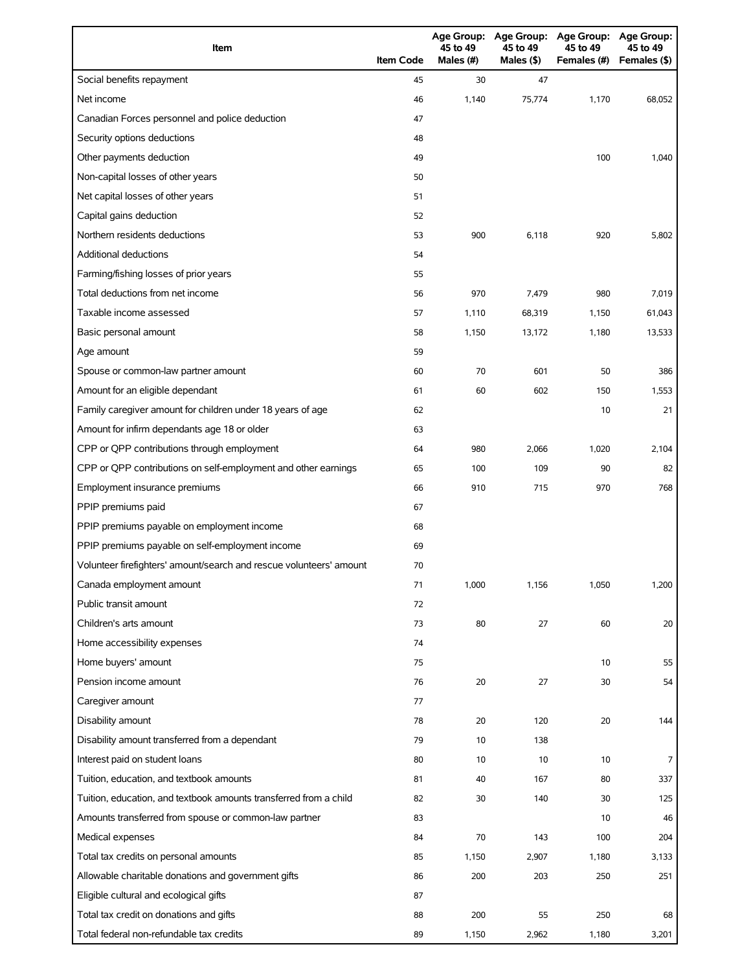| Item                                                                | <b>Item Code</b> | 45 to 49<br>Males (#) | 45 to 49<br>Males (\$) | Age Group: Age Group: Age Group: Age Group:<br>45 to 49<br>Females (#) | 45 to 49<br>Females (\$) |
|---------------------------------------------------------------------|------------------|-----------------------|------------------------|------------------------------------------------------------------------|--------------------------|
| Social benefits repayment                                           | 45               | 30                    | 47                     |                                                                        |                          |
| Net income                                                          | 46               | 1,140                 | 75,774                 | 1,170                                                                  | 68,052                   |
| Canadian Forces personnel and police deduction                      | 47               |                       |                        |                                                                        |                          |
| Security options deductions                                         | 48               |                       |                        |                                                                        |                          |
| Other payments deduction                                            | 49               |                       |                        | 100                                                                    | 1,040                    |
| Non-capital losses of other years                                   | 50               |                       |                        |                                                                        |                          |
| Net capital losses of other years                                   | 51               |                       |                        |                                                                        |                          |
| Capital gains deduction                                             | 52               |                       |                        |                                                                        |                          |
| Northern residents deductions                                       | 53               | 900                   | 6,118                  | 920                                                                    | 5,802                    |
| Additional deductions                                               | 54               |                       |                        |                                                                        |                          |
| Farming/fishing losses of prior years                               | 55               |                       |                        |                                                                        |                          |
| Total deductions from net income                                    | 56               | 970                   | 7,479                  | 980                                                                    | 7,019                    |
| Taxable income assessed                                             | 57               | 1,110                 | 68,319                 | 1,150                                                                  | 61,043                   |
| Basic personal amount                                               | 58               | 1,150                 | 13,172                 | 1,180                                                                  | 13,533                   |
| Age amount                                                          | 59               |                       |                        |                                                                        |                          |
| Spouse or common-law partner amount                                 | 60               | 70                    | 601                    | 50                                                                     | 386                      |
| Amount for an eligible dependant                                    | 61               | 60                    | 602                    | 150                                                                    | 1,553                    |
| Family caregiver amount for children under 18 years of age          | 62               |                       |                        | 10                                                                     | 21                       |
| Amount for infirm dependants age 18 or older                        | 63               |                       |                        |                                                                        |                          |
| CPP or QPP contributions through employment                         | 64               | 980                   | 2,066                  | 1,020                                                                  | 2,104                    |
| CPP or QPP contributions on self-employment and other earnings      | 65               | 100                   | 109                    | 90                                                                     | 82                       |
| Employment insurance premiums                                       | 66               | 910                   | 715                    | 970                                                                    | 768                      |
| PPIP premiums paid                                                  | 67               |                       |                        |                                                                        |                          |
| PPIP premiums payable on employment income                          | 68               |                       |                        |                                                                        |                          |
| PPIP premiums payable on self-employment income                     | 69               |                       |                        |                                                                        |                          |
| Volunteer firefighters' amount/search and rescue volunteers' amount | 70               |                       |                        |                                                                        |                          |
| Canada employment amount                                            | 71               | 1,000                 | 1,156                  | 1,050                                                                  | 1,200                    |
| Public transit amount                                               | 72               |                       |                        |                                                                        |                          |
| Children's arts amount                                              | 73               | 80                    | 27                     | 60                                                                     | 20                       |
| Home accessibility expenses                                         | 74               |                       |                        |                                                                        |                          |
| Home buyers' amount                                                 | 75               |                       |                        | 10                                                                     | 55                       |
| Pension income amount                                               | 76               | 20                    | 27                     | 30                                                                     | 54                       |
| Caregiver amount                                                    | 77               |                       |                        |                                                                        |                          |
| Disability amount                                                   | 78               | 20                    | 120                    | 20                                                                     | 144                      |
| Disability amount transferred from a dependant                      | 79               | 10                    | 138                    |                                                                        |                          |
| Interest paid on student loans                                      | 80               | 10                    | 10                     | 10                                                                     | 7                        |
| Tuition, education, and textbook amounts                            | 81               | 40                    | 167                    | 80                                                                     | 337                      |
| Tuition, education, and textbook amounts transferred from a child   | 82               | 30                    | 140                    | 30                                                                     | 125                      |
| Amounts transferred from spouse or common-law partner               | 83               |                       |                        | 10                                                                     | 46                       |
| Medical expenses                                                    | 84               | 70                    | 143                    | 100                                                                    | 204                      |
| Total tax credits on personal amounts                               | 85               | 1,150                 | 2,907                  | 1,180                                                                  | 3,133                    |
| Allowable charitable donations and government gifts                 | 86               | 200                   | 203                    | 250                                                                    | 251                      |
| Eligible cultural and ecological gifts                              | 87               |                       |                        |                                                                        |                          |
| Total tax credit on donations and gifts                             | 88               | 200                   | 55                     | 250                                                                    | 68                       |
| Total federal non-refundable tax credits                            | 89               | 1,150                 | 2,962                  | 1,180                                                                  | 3,201                    |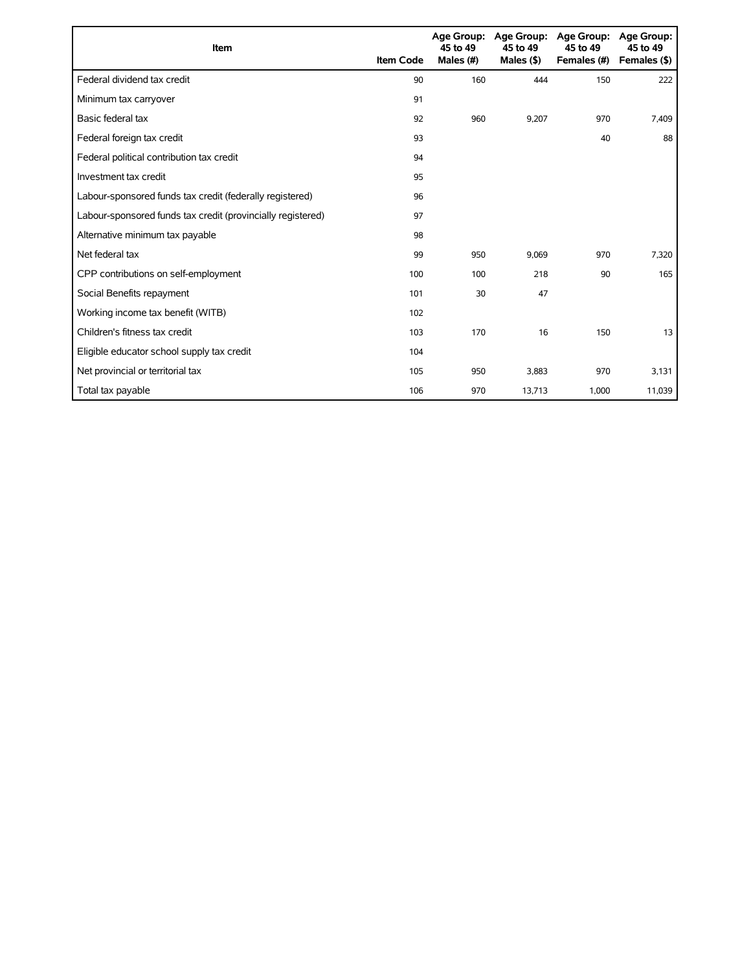| Item                                                        | <b>Item Code</b> | 45 to 49<br>Males (#) | Age Group: Age Group:<br>45 to 49<br>Males $($ \$) | <b>Age Group:</b><br>45 to 49<br>Females (#) | Age Group:<br>45 to 49<br>Females (\$) |
|-------------------------------------------------------------|------------------|-----------------------|----------------------------------------------------|----------------------------------------------|----------------------------------------|
| Federal dividend tax credit                                 | 90               | 160                   | 444                                                | 150                                          | 222                                    |
| Minimum tax carryover                                       | 91               |                       |                                                    |                                              |                                        |
| Basic federal tax                                           | 92               | 960                   | 9,207                                              | 970                                          | 7,409                                  |
| Federal foreign tax credit                                  | 93               |                       |                                                    | 40                                           | 88                                     |
| Federal political contribution tax credit                   | 94               |                       |                                                    |                                              |                                        |
| Investment tax credit                                       | 95               |                       |                                                    |                                              |                                        |
| Labour-sponsored funds tax credit (federally registered)    | 96               |                       |                                                    |                                              |                                        |
| Labour-sponsored funds tax credit (provincially registered) | 97               |                       |                                                    |                                              |                                        |
| Alternative minimum tax payable                             | 98               |                       |                                                    |                                              |                                        |
| Net federal tax                                             | 99               | 950                   | 9,069                                              | 970                                          | 7,320                                  |
| CPP contributions on self-employment                        | 100              | 100                   | 218                                                | 90                                           | 165                                    |
| Social Benefits repayment                                   | 101              | 30                    | 47                                                 |                                              |                                        |
| Working income tax benefit (WITB)                           | 102              |                       |                                                    |                                              |                                        |
| Children's fitness tax credit                               | 103              | 170                   | 16                                                 | 150                                          | 13                                     |
| Eligible educator school supply tax credit                  | 104              |                       |                                                    |                                              |                                        |
| Net provincial or territorial tax                           | 105              | 950                   | 3,883                                              | 970                                          | 3,131                                  |
| Total tax payable                                           | 106              | 970                   | 13,713                                             | 1,000                                        | 11,039                                 |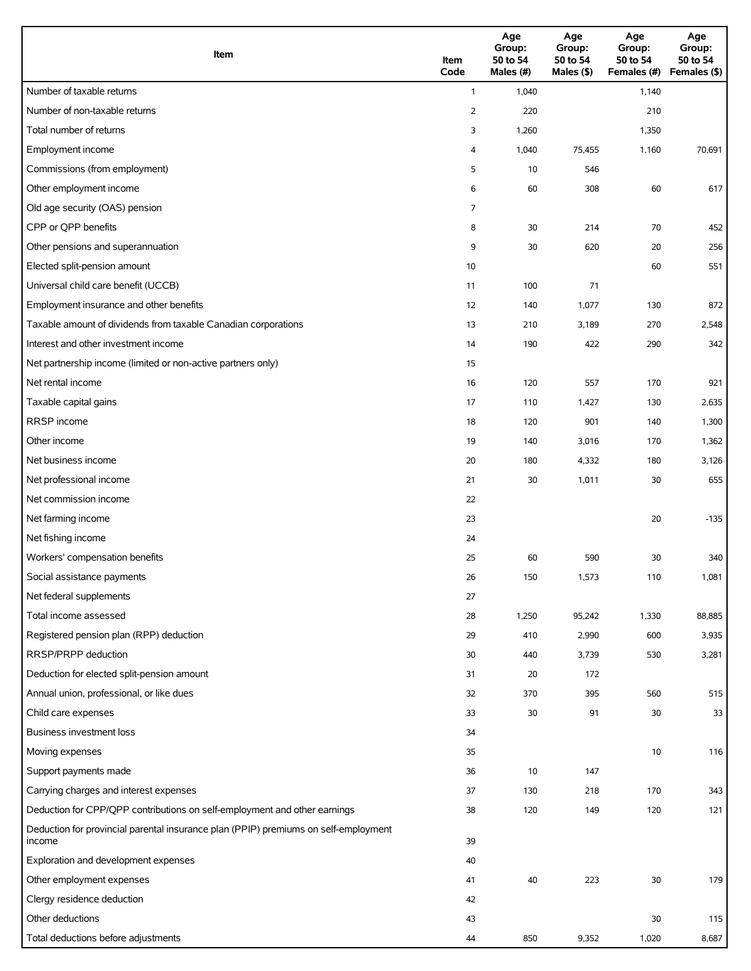| Item                                                                                          | Item<br>Code | Age<br>Group:<br>50 to 54<br>Males (#) | Age<br>Group:<br>50 to 54<br>Males (\$) | Age<br>Group:<br>50 to 54<br>Females (#) | Age<br>Group:<br>50 to 54<br>Females (\$) |
|-----------------------------------------------------------------------------------------------|--------------|----------------------------------------|-----------------------------------------|------------------------------------------|-------------------------------------------|
| Number of taxable returns                                                                     | $\mathbf{1}$ | 1,040                                  |                                         | 1,140                                    |                                           |
| Number of non-taxable returns                                                                 | 2            | 220                                    |                                         | 210                                      |                                           |
| Total number of returns                                                                       | 3            | 1,260                                  |                                         | 1,350                                    |                                           |
| Employment income                                                                             | 4            | 1,040                                  | 75,455                                  | 1,160                                    | 70,691                                    |
| Commissions (from employment)                                                                 | 5            | 10                                     | 546                                     |                                          |                                           |
| Other employment income                                                                       | 6            | 60                                     | 308                                     | 60                                       | 617                                       |
| Old age security (OAS) pension                                                                | 7            |                                        |                                         |                                          |                                           |
| CPP or QPP benefits                                                                           | 8            | 30                                     | 214                                     | 70                                       | 452                                       |
| Other pensions and superannuation                                                             | 9            | 30                                     | 620                                     | 20                                       | 256                                       |
| Elected split-pension amount                                                                  | 10           |                                        |                                         | 60                                       | 551                                       |
| Universal child care benefit (UCCB)                                                           | 11           | 100                                    | 71                                      |                                          |                                           |
| Employment insurance and other benefits                                                       | 12           | 140                                    | 1,077                                   | 130                                      | 872                                       |
| Taxable amount of dividends from taxable Canadian corporations                                | 13           | 210                                    | 3,189                                   | 270                                      | 2,548                                     |
| Interest and other investment income                                                          | 14           | 190                                    | 422                                     | 290                                      | 342                                       |
| Net partnership income (limited or non-active partners only)                                  | 15           |                                        |                                         |                                          |                                           |
| Net rental income                                                                             | 16           | 120                                    | 557                                     | 170                                      | 921                                       |
| Taxable capital gains                                                                         | 17           | 110                                    | 1,427                                   | 130                                      | 2,635                                     |
| RRSP income                                                                                   | 18           | 120                                    | 901                                     | 140                                      | 1,300                                     |
| Other income                                                                                  | 19           | 140                                    | 3,016                                   | 170                                      | 1,362                                     |
| Net business income                                                                           | 20           | 180                                    | 4,332                                   | 180                                      | 3,126                                     |
| Net professional income                                                                       | 21           | 30                                     | 1,011                                   | 30                                       | 655                                       |
| Net commission income                                                                         | 22           |                                        |                                         |                                          |                                           |
| Net farming income                                                                            | 23           |                                        |                                         | 20                                       | $-135$                                    |
| Net fishing income                                                                            | 24           |                                        |                                         |                                          |                                           |
| Workers' compensation benefits                                                                | 25           | 60                                     | 590                                     | 30                                       | 340                                       |
| Social assistance payments                                                                    | 26           | 150                                    | 1,573                                   | 110                                      | 1,081                                     |
| Net federal supplements                                                                       | 27           |                                        |                                         |                                          |                                           |
| Total income assessed                                                                         | 28           | 1,250                                  | 95,242                                  | 1,330                                    | 88,885                                    |
| Registered pension plan (RPP) deduction                                                       | 29           | 410                                    | 2,990                                   | 600                                      | 3,935                                     |
| RRSP/PRPP deduction                                                                           | 30           | 440                                    | 3,739                                   | 530                                      | 3,281                                     |
| Deduction for elected split-pension amount                                                    | 31           | 20                                     | 172                                     |                                          |                                           |
| Annual union, professional, or like dues                                                      | 32           | 370                                    | 395                                     | 560                                      | 515                                       |
| Child care expenses                                                                           | 33           | 30                                     | 91                                      | 30                                       | 33                                        |
| Business investment loss                                                                      | 34           |                                        |                                         |                                          |                                           |
| Moving expenses                                                                               | 35           |                                        |                                         | 10                                       | 116                                       |
| Support payments made                                                                         | 36           | 10                                     | 147                                     |                                          |                                           |
| Carrying charges and interest expenses                                                        | 37           | 130                                    | 218                                     | 170                                      | 343                                       |
| Deduction for CPP/QPP contributions on self-employment and other earnings                     | 38           | 120                                    | 149                                     | 120                                      | 121                                       |
| Deduction for provincial parental insurance plan (PPIP) premiums on self-employment<br>income | 39           |                                        |                                         |                                          |                                           |
| Exploration and development expenses                                                          | 40           |                                        |                                         |                                          |                                           |
| Other employment expenses                                                                     | 41           | 40                                     | 223                                     | 30                                       | 179                                       |
| Clergy residence deduction                                                                    | 42           |                                        |                                         |                                          |                                           |
| Other deductions                                                                              | 43           |                                        |                                         | 30                                       | 115                                       |
| Total deductions before adjustments                                                           | 44           | 850                                    | 9,352                                   | 1,020                                    | 8,687                                     |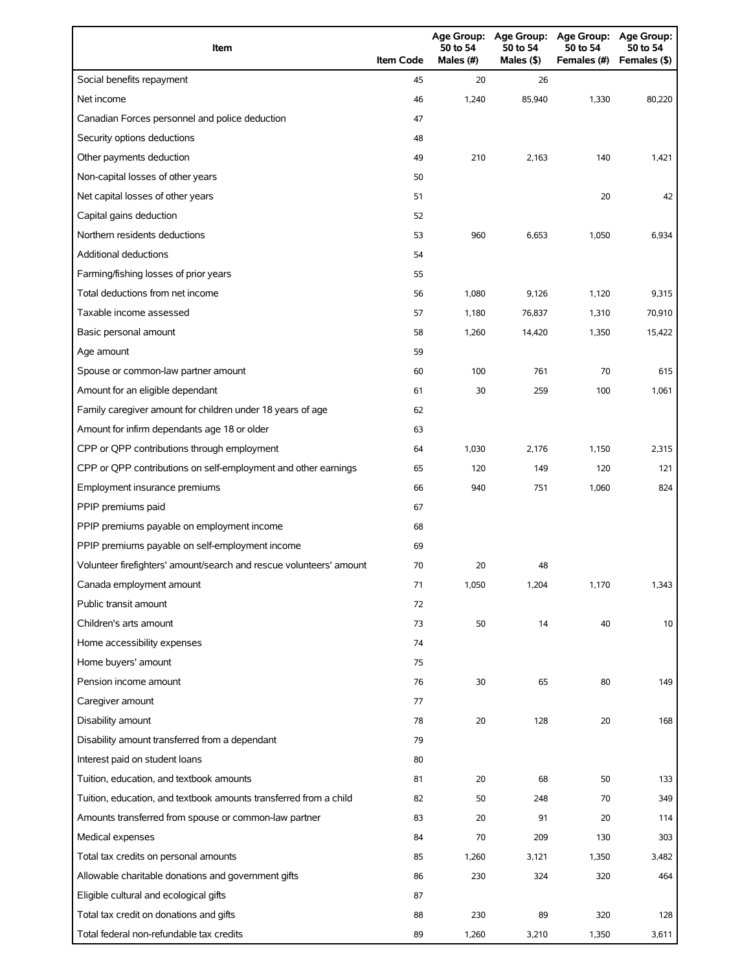| Item                                                                | <b>Item Code</b> | <b>Age Group:</b><br>50 to 54<br>Males (#) | <b>Age Group:</b><br>50 to 54<br>Males (\$) | <b>Age Group:</b><br>50 to 54<br>Females (#) | Age Group:<br>50 to 54<br>Females (\$) |
|---------------------------------------------------------------------|------------------|--------------------------------------------|---------------------------------------------|----------------------------------------------|----------------------------------------|
| Social benefits repayment                                           | 45               | 20                                         | 26                                          |                                              |                                        |
| Net income                                                          | 46               | 1,240                                      | 85,940                                      | 1,330                                        | 80,220                                 |
| Canadian Forces personnel and police deduction                      | 47               |                                            |                                             |                                              |                                        |
| Security options deductions                                         | 48               |                                            |                                             |                                              |                                        |
| Other payments deduction                                            | 49               | 210                                        | 2,163                                       | 140                                          | 1,421                                  |
| Non-capital losses of other years                                   | 50               |                                            |                                             |                                              |                                        |
| Net capital losses of other years                                   | 51               |                                            |                                             | 20                                           | 42                                     |
| Capital gains deduction                                             | 52               |                                            |                                             |                                              |                                        |
| Northern residents deductions                                       | 53               | 960                                        | 6,653                                       | 1,050                                        | 6,934                                  |
| <b>Additional deductions</b>                                        | 54               |                                            |                                             |                                              |                                        |
| Farming/fishing losses of prior years                               | 55               |                                            |                                             |                                              |                                        |
| Total deductions from net income                                    | 56               | 1,080                                      | 9,126                                       | 1,120                                        | 9,315                                  |
| Taxable income assessed                                             | 57               | 1,180                                      | 76,837                                      | 1,310                                        | 70,910                                 |
| Basic personal amount                                               | 58               | 1,260                                      | 14,420                                      | 1,350                                        | 15,422                                 |
| Age amount                                                          | 59               |                                            |                                             |                                              |                                        |
| Spouse or common-law partner amount                                 | 60               | 100                                        | 761                                         | 70                                           | 615                                    |
| Amount for an eligible dependant                                    | 61               | 30                                         | 259                                         | 100                                          | 1,061                                  |
| Family caregiver amount for children under 18 years of age          | 62               |                                            |                                             |                                              |                                        |
| Amount for infirm dependants age 18 or older                        | 63               |                                            |                                             |                                              |                                        |
| CPP or QPP contributions through employment                         | 64               | 1,030                                      | 2,176                                       | 1,150                                        | 2,315                                  |
| CPP or QPP contributions on self-employment and other earnings      | 65               | 120                                        | 149                                         | 120                                          | 121                                    |
| Employment insurance premiums                                       | 66               | 940                                        | 751                                         | 1,060                                        | 824                                    |
| PPIP premiums paid                                                  | 67               |                                            |                                             |                                              |                                        |
| PPIP premiums payable on employment income                          | 68               |                                            |                                             |                                              |                                        |
| PPIP premiums payable on self-employment income                     | 69               |                                            |                                             |                                              |                                        |
| Volunteer firefighters' amount/search and rescue volunteers' amount | 70               | 20                                         | 48                                          |                                              |                                        |
| Canada employment amount                                            | 71               | 1,050                                      | 1,204                                       | 1,170                                        | 1,343                                  |
| Public transit amount                                               | 72               |                                            |                                             |                                              |                                        |
| Children's arts amount                                              | 73               | 50                                         | 14                                          | 40                                           | 10                                     |
| Home accessibility expenses                                         | 74               |                                            |                                             |                                              |                                        |
| Home buyers' amount                                                 | 75               |                                            |                                             |                                              |                                        |
| Pension income amount                                               | 76               | 30                                         | 65                                          | 80                                           | 149                                    |
| Caregiver amount                                                    | 77               |                                            |                                             |                                              |                                        |
| Disability amount                                                   | 78               | 20                                         | 128                                         | 20                                           | 168                                    |
| Disability amount transferred from a dependant                      | 79               |                                            |                                             |                                              |                                        |
| Interest paid on student loans                                      | 80               |                                            |                                             |                                              |                                        |
| Tuition, education, and textbook amounts                            | 81               | 20                                         | 68                                          | 50                                           | 133                                    |
| Tuition, education, and textbook amounts transferred from a child   | 82               | 50                                         | 248                                         | 70                                           | 349                                    |
| Amounts transferred from spouse or common-law partner               | 83               | 20                                         | 91                                          | 20                                           | 114                                    |
| Medical expenses                                                    | 84               | 70                                         | 209                                         | 130                                          | 303                                    |
| Total tax credits on personal amounts                               | 85               | 1,260                                      | 3,121                                       | 1,350                                        | 3,482                                  |
| Allowable charitable donations and government gifts                 | 86               | 230                                        | 324                                         | 320                                          | 464                                    |
| Eligible cultural and ecological gifts                              | 87               |                                            |                                             |                                              |                                        |
| Total tax credit on donations and gifts                             | 88               | 230                                        | 89                                          | 320                                          | 128                                    |
| Total federal non-refundable tax credits                            | 89               | 1,260                                      | 3,210                                       | 1,350                                        | 3,611                                  |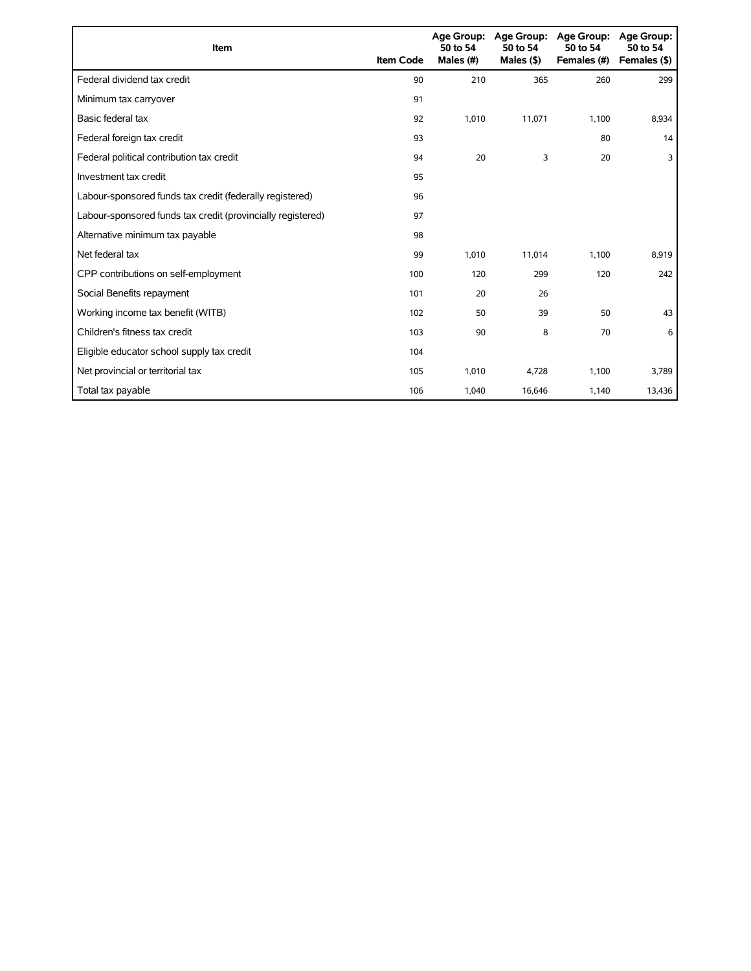| Item                                                        | <b>Item Code</b> | 50 to 54<br>Males (#) | Age Group: Age Group:<br>50 to 54<br>Males $($ \$ $)$ | <b>Age Group:</b><br>50 to 54<br>Females (#) | Age Group:<br>50 to 54<br>Females (\$) |
|-------------------------------------------------------------|------------------|-----------------------|-------------------------------------------------------|----------------------------------------------|----------------------------------------|
| Federal dividend tax credit                                 | 90               | 210                   | 365                                                   | 260                                          | 299                                    |
| Minimum tax carryover                                       | 91               |                       |                                                       |                                              |                                        |
| Basic federal tax                                           | 92               | 1,010                 | 11,071                                                | 1,100                                        | 8,934                                  |
| Federal foreign tax credit                                  | 93               |                       |                                                       | 80                                           | 14                                     |
| Federal political contribution tax credit                   | 94               | 20                    | 3                                                     | 20                                           | 3                                      |
| Investment tax credit                                       | 95               |                       |                                                       |                                              |                                        |
| Labour-sponsored funds tax credit (federally registered)    | 96               |                       |                                                       |                                              |                                        |
| Labour-sponsored funds tax credit (provincially registered) | 97               |                       |                                                       |                                              |                                        |
| Alternative minimum tax payable                             | 98               |                       |                                                       |                                              |                                        |
| Net federal tax                                             | 99               | 1,010                 | 11,014                                                | 1,100                                        | 8,919                                  |
| CPP contributions on self-employment                        | 100              | 120                   | 299                                                   | 120                                          | 242                                    |
| Social Benefits repayment                                   | 101              | 20                    | 26                                                    |                                              |                                        |
| Working income tax benefit (WITB)                           | 102              | 50                    | 39                                                    | 50                                           | 43                                     |
| Children's fitness tax credit                               | 103              | 90                    | 8                                                     | 70                                           | 6                                      |
| Eligible educator school supply tax credit                  | 104              |                       |                                                       |                                              |                                        |
| Net provincial or territorial tax                           | 105              | 1,010                 | 4,728                                                 | 1,100                                        | 3,789                                  |
| Total tax payable                                           | 106              | 1,040                 | 16,646                                                | 1,140                                        | 13,436                                 |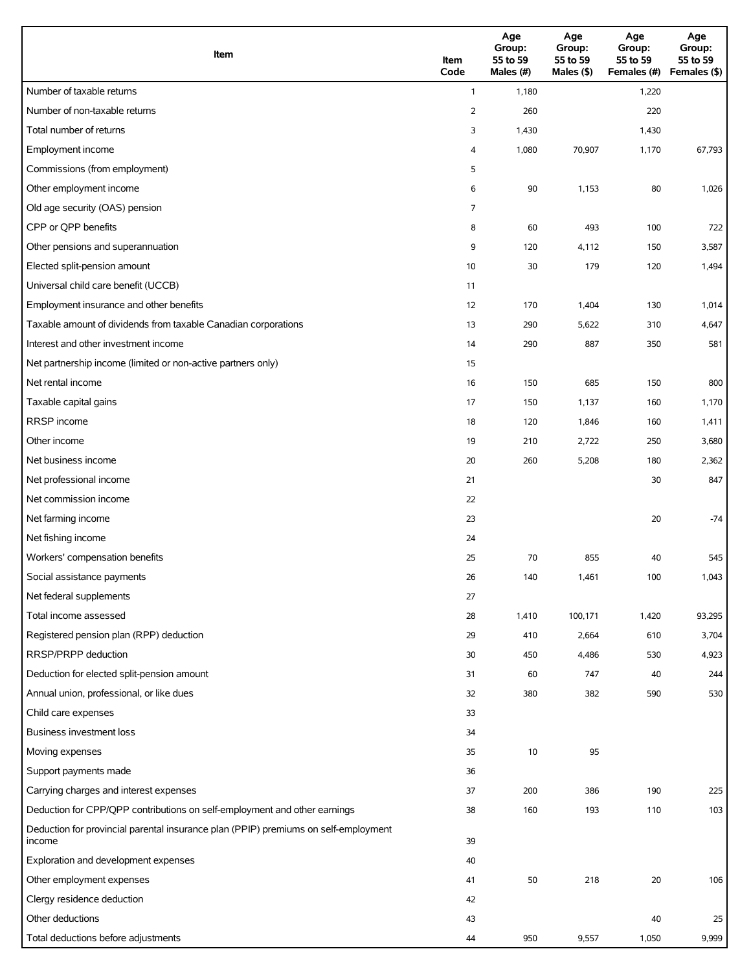| Item                                                                                          | Item<br>Code   | Age<br>Group:<br>55 to 59<br>Males (#) | Age<br>Group:<br>55 to 59<br>Males (\$) | Age<br>Group:<br>55 to 59<br>Females (#) | Age<br>Group:<br>55 to 59<br>Females (\$) |
|-----------------------------------------------------------------------------------------------|----------------|----------------------------------------|-----------------------------------------|------------------------------------------|-------------------------------------------|
| Number of taxable returns                                                                     | $\mathbf{1}$   | 1,180                                  |                                         | 1,220                                    |                                           |
| Number of non-taxable returns                                                                 | $\overline{2}$ | 260                                    |                                         | 220                                      |                                           |
| Total number of returns                                                                       | 3              | 1,430                                  |                                         | 1,430                                    |                                           |
| Employment income                                                                             | 4              | 1,080                                  | 70,907                                  | 1,170                                    | 67,793                                    |
| Commissions (from employment)                                                                 | 5              |                                        |                                         |                                          |                                           |
| Other employment income                                                                       | 6              | 90                                     | 1,153                                   | 80                                       | 1,026                                     |
| Old age security (OAS) pension                                                                | 7              |                                        |                                         |                                          |                                           |
| CPP or QPP benefits                                                                           | 8              | 60                                     | 493                                     | 100                                      | 722                                       |
| Other pensions and superannuation                                                             | 9              | 120                                    | 4,112                                   | 150                                      | 3,587                                     |
| Elected split-pension amount                                                                  | 10             | 30                                     | 179                                     | 120                                      | 1,494                                     |
| Universal child care benefit (UCCB)                                                           | 11             |                                        |                                         |                                          |                                           |
| Employment insurance and other benefits                                                       | 12             | 170                                    | 1,404                                   | 130                                      | 1,014                                     |
| Taxable amount of dividends from taxable Canadian corporations                                | 13             | 290                                    | 5,622                                   | 310                                      | 4,647                                     |
| Interest and other investment income                                                          | 14             | 290                                    | 887                                     | 350                                      | 581                                       |
| Net partnership income (limited or non-active partners only)                                  | 15             |                                        |                                         |                                          |                                           |
| Net rental income                                                                             | 16             | 150                                    | 685                                     | 150                                      | 800                                       |
| Taxable capital gains                                                                         | 17             | 150                                    | 1,137                                   | 160                                      | 1,170                                     |
| <b>RRSP</b> income                                                                            | 18             | 120                                    | 1,846                                   | 160                                      | 1,411                                     |
| Other income                                                                                  | 19             | 210                                    | 2,722                                   | 250                                      | 3,680                                     |
| Net business income                                                                           | 20             | 260                                    | 5,208                                   | 180                                      | 2,362                                     |
| Net professional income                                                                       | 21             |                                        |                                         | 30                                       | 847                                       |
| Net commission income                                                                         | 22             |                                        |                                         |                                          |                                           |
| Net farming income                                                                            | 23             |                                        |                                         | 20                                       | $-74$                                     |
| Net fishing income                                                                            | 24             |                                        |                                         |                                          |                                           |
| Workers' compensation benefits                                                                | 25             | 70                                     | 855                                     | 40                                       | 545                                       |
| Social assistance payments                                                                    | 26             | 140                                    | 1,461                                   | 100                                      | 1,043                                     |
| Net federal supplements                                                                       | 27             |                                        |                                         |                                          |                                           |
| Total income assessed                                                                         | 28             | 1,410                                  | 100,171                                 | 1,420                                    | 93,295                                    |
| Registered pension plan (RPP) deduction                                                       | 29             | 410                                    | 2,664                                   | 610                                      | 3,704                                     |
| RRSP/PRPP deduction                                                                           | 30             | 450                                    | 4,486                                   | 530                                      | 4,923                                     |
| Deduction for elected split-pension amount                                                    | 31             | 60                                     | 747                                     | 40                                       | 244                                       |
| Annual union, professional, or like dues                                                      | 32             | 380                                    | 382                                     | 590                                      | 530                                       |
| Child care expenses                                                                           | 33             |                                        |                                         |                                          |                                           |
| Business investment loss                                                                      | 34             |                                        |                                         |                                          |                                           |
| Moving expenses                                                                               | 35             | $10$                                   | 95                                      |                                          |                                           |
| Support payments made                                                                         | 36             |                                        |                                         |                                          |                                           |
| Carrying charges and interest expenses                                                        | 37             | 200                                    | 386                                     | 190                                      | 225                                       |
| Deduction for CPP/QPP contributions on self-employment and other earnings                     | 38             | 160                                    | 193                                     | 110                                      | 103                                       |
| Deduction for provincial parental insurance plan (PPIP) premiums on self-employment<br>income | 39             |                                        |                                         |                                          |                                           |
| Exploration and development expenses                                                          | 40             |                                        |                                         |                                          |                                           |
| Other employment expenses                                                                     | 41             | 50                                     | 218                                     | 20                                       | 106                                       |
| Clergy residence deduction                                                                    | 42             |                                        |                                         |                                          |                                           |
| Other deductions                                                                              | 43             |                                        |                                         | 40                                       | 25                                        |
| Total deductions before adjustments                                                           | 44             | 950                                    | 9,557                                   | 1,050                                    | 9,999                                     |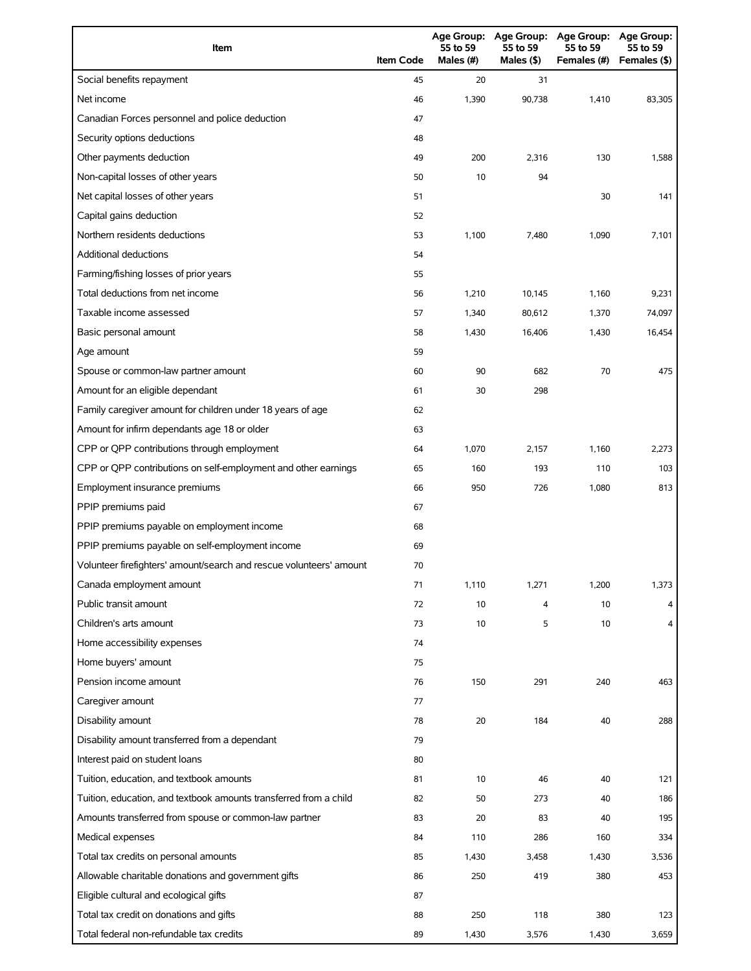| Item                                                                | <b>Item Code</b> | <b>Age Group:</b><br>55 to 59<br>Males (#) | <b>Age Group:</b><br>55 to 59<br>Males (\$) | <b>Age Group:</b><br>55 to 59<br>Females (#) | Age Group:<br>55 to 59<br>Females (\$) |
|---------------------------------------------------------------------|------------------|--------------------------------------------|---------------------------------------------|----------------------------------------------|----------------------------------------|
| Social benefits repayment                                           | 45               | 20                                         | 31                                          |                                              |                                        |
| Net income                                                          | 46               | 1,390                                      | 90,738                                      | 1,410                                        | 83,305                                 |
| Canadian Forces personnel and police deduction                      | 47               |                                            |                                             |                                              |                                        |
| Security options deductions                                         | 48               |                                            |                                             |                                              |                                        |
| Other payments deduction                                            | 49               | 200                                        | 2,316                                       | 130                                          | 1,588                                  |
| Non-capital losses of other years                                   | 50               | 10                                         | 94                                          |                                              |                                        |
| Net capital losses of other years                                   | 51               |                                            |                                             | 30                                           | 141                                    |
| Capital gains deduction                                             | 52               |                                            |                                             |                                              |                                        |
| Northern residents deductions                                       | 53               | 1,100                                      | 7,480                                       | 1,090                                        | 7,101                                  |
| <b>Additional deductions</b>                                        | 54               |                                            |                                             |                                              |                                        |
| Farming/fishing losses of prior years                               | 55               |                                            |                                             |                                              |                                        |
| Total deductions from net income                                    | 56               | 1,210                                      | 10,145                                      | 1,160                                        | 9,231                                  |
| Taxable income assessed                                             | 57               | 1,340                                      | 80,612                                      | 1,370                                        | 74,097                                 |
| Basic personal amount                                               | 58               | 1,430                                      | 16,406                                      | 1,430                                        | 16,454                                 |
| Age amount                                                          | 59               |                                            |                                             |                                              |                                        |
| Spouse or common-law partner amount                                 | 60               | 90                                         | 682                                         | 70                                           | 475                                    |
| Amount for an eligible dependant                                    | 61               | 30                                         | 298                                         |                                              |                                        |
| Family caregiver amount for children under 18 years of age          | 62               |                                            |                                             |                                              |                                        |
| Amount for infirm dependants age 18 or older                        | 63               |                                            |                                             |                                              |                                        |
| CPP or QPP contributions through employment                         | 64               | 1,070                                      | 2,157                                       | 1,160                                        | 2,273                                  |
| CPP or QPP contributions on self-employment and other earnings      | 65               | 160                                        | 193                                         | 110                                          | 103                                    |
| Employment insurance premiums                                       | 66               | 950                                        | 726                                         | 1,080                                        | 813                                    |
| PPIP premiums paid                                                  | 67               |                                            |                                             |                                              |                                        |
| PPIP premiums payable on employment income                          | 68               |                                            |                                             |                                              |                                        |
| PPIP premiums payable on self-employment income                     | 69               |                                            |                                             |                                              |                                        |
| Volunteer firefighters' amount/search and rescue volunteers' amount | 70               |                                            |                                             |                                              |                                        |
| Canada employment amount                                            | 71               | 1,110                                      | 1,271                                       | 1,200                                        | 1,373                                  |
| Public transit amount                                               | 72               | 10                                         | 4                                           | 10                                           |                                        |
| Children's arts amount                                              | 73               | 10                                         | 5                                           | 10                                           | 4                                      |
| Home accessibility expenses                                         | 74               |                                            |                                             |                                              |                                        |
| Home buyers' amount                                                 | 75               |                                            |                                             |                                              |                                        |
| Pension income amount                                               | 76               | 150                                        | 291                                         | 240                                          | 463                                    |
| Caregiver amount                                                    | 77               |                                            |                                             |                                              |                                        |
| Disability amount                                                   | 78               | 20                                         | 184                                         | 40                                           | 288                                    |
| Disability amount transferred from a dependant                      | 79               |                                            |                                             |                                              |                                        |
| Interest paid on student loans                                      | 80               |                                            |                                             |                                              |                                        |
| Tuition, education, and textbook amounts                            | 81               | 10                                         | 46                                          | 40                                           | 121                                    |
| Tuition, education, and textbook amounts transferred from a child   | 82               | 50                                         | 273                                         | 40                                           | 186                                    |
| Amounts transferred from spouse or common-law partner               | 83               | 20                                         | 83                                          | 40                                           | 195                                    |
| Medical expenses                                                    | 84               | 110                                        | 286                                         | 160                                          | 334                                    |
| Total tax credits on personal amounts                               | 85               | 1,430                                      | 3,458                                       | 1,430                                        | 3,536                                  |
| Allowable charitable donations and government gifts                 | 86               | 250                                        | 419                                         | 380                                          | 453                                    |
| Eligible cultural and ecological gifts                              | 87               |                                            |                                             |                                              |                                        |
| Total tax credit on donations and gifts                             | 88               | 250                                        | 118                                         | 380                                          | 123                                    |
| Total federal non-refundable tax credits                            | 89               | 1,430                                      | 3,576                                       | 1,430                                        | 3,659                                  |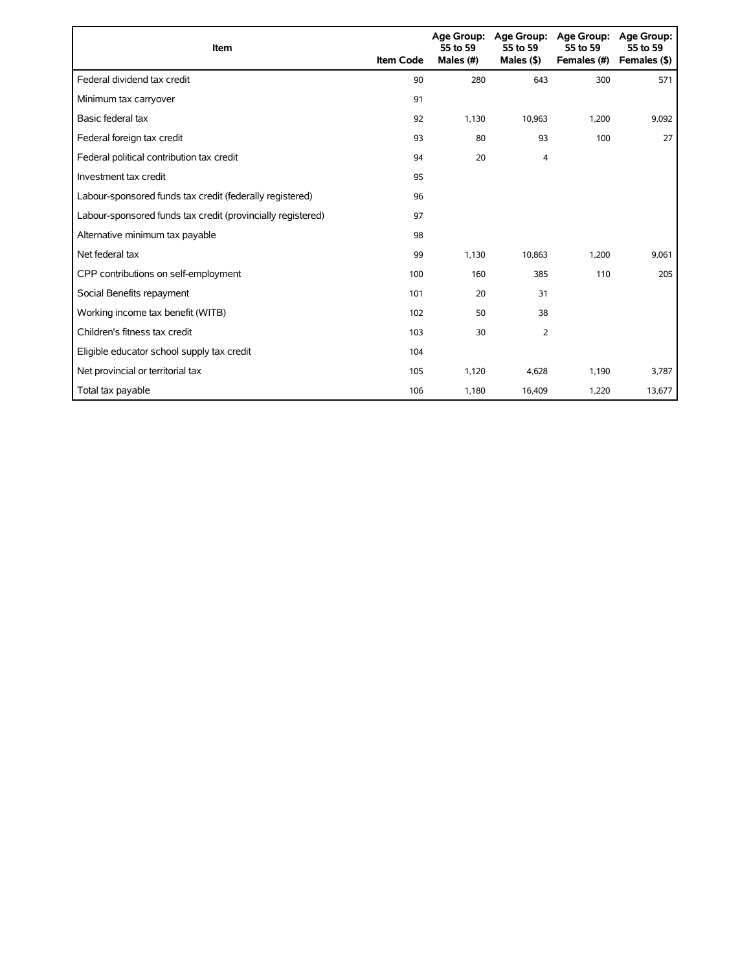| Item                                                        | <b>Item Code</b> | 55 to 59<br>Males (#) | Age Group: Age Group:<br>55 to 59<br>Males $($ \$) | <b>Age Group:</b><br>55 to 59<br>Females (#) | Age Group:<br>55 to 59<br>Females (\$) |
|-------------------------------------------------------------|------------------|-----------------------|----------------------------------------------------|----------------------------------------------|----------------------------------------|
| Federal dividend tax credit                                 | 90               | 280                   | 643                                                | 300                                          | 571                                    |
| Minimum tax carryover                                       | 91               |                       |                                                    |                                              |                                        |
| Basic federal tax                                           | 92               | 1.130                 | 10,963                                             | 1,200                                        | 9,092                                  |
| Federal foreign tax credit                                  | 93               | 80                    | 93                                                 | 100                                          | 27                                     |
| Federal political contribution tax credit                   | 94               | 20                    | 4                                                  |                                              |                                        |
| Investment tax credit                                       | 95               |                       |                                                    |                                              |                                        |
| Labour-sponsored funds tax credit (federally registered)    | 96               |                       |                                                    |                                              |                                        |
| Labour-sponsored funds tax credit (provincially registered) | 97               |                       |                                                    |                                              |                                        |
| Alternative minimum tax payable                             | 98               |                       |                                                    |                                              |                                        |
| Net federal tax                                             | 99               | 1,130                 | 10,863                                             | 1,200                                        | 9,061                                  |
| CPP contributions on self-employment                        | 100              | 160                   | 385                                                | 110                                          | 205                                    |
| Social Benefits repayment                                   | 101              | 20                    | 31                                                 |                                              |                                        |
| Working income tax benefit (WITB)                           | 102              | 50                    | 38                                                 |                                              |                                        |
| Children's fitness tax credit                               | 103              | 30                    | $\overline{2}$                                     |                                              |                                        |
| Eligible educator school supply tax credit                  | 104              |                       |                                                    |                                              |                                        |
| Net provincial or territorial tax                           | 105              | 1,120                 | 4,628                                              | 1,190                                        | 3,787                                  |
| Total tax payable                                           | 106              | 1,180                 | 16,409                                             | 1,220                                        | 13,677                                 |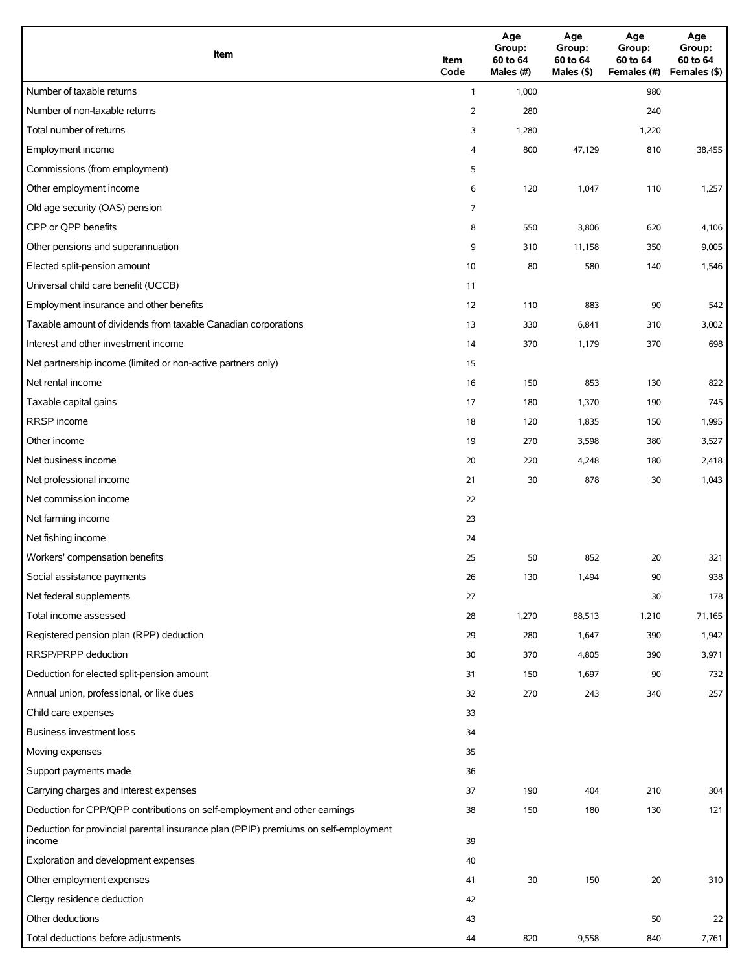| Item                                                                                          | Item<br>Code   | Age<br>Group:<br>60 to 64<br>Males (#) | Age<br>Group:<br>60 to 64<br>Males (\$) | Age<br>Group:<br>60 to 64<br>Females (#) | Age<br>Group:<br>60 to 64<br>Females (\$) |
|-----------------------------------------------------------------------------------------------|----------------|----------------------------------------|-----------------------------------------|------------------------------------------|-------------------------------------------|
| Number of taxable returns                                                                     | $\mathbf{1}$   | 1,000                                  |                                         | 980                                      |                                           |
| Number of non-taxable returns                                                                 | $\overline{2}$ | 280                                    |                                         | 240                                      |                                           |
| Total number of returns                                                                       | 3              | 1,280                                  |                                         | 1,220                                    |                                           |
| Employment income                                                                             | 4              | 800                                    | 47,129                                  | 810                                      | 38,455                                    |
| Commissions (from employment)                                                                 | 5              |                                        |                                         |                                          |                                           |
| Other employment income                                                                       | 6              | 120                                    | 1,047                                   | 110                                      | 1,257                                     |
| Old age security (OAS) pension                                                                | 7              |                                        |                                         |                                          |                                           |
| CPP or QPP benefits                                                                           | 8              | 550                                    | 3,806                                   | 620                                      | 4,106                                     |
| Other pensions and superannuation                                                             | 9              | 310                                    | 11,158                                  | 350                                      | 9,005                                     |
| Elected split-pension amount                                                                  | 10             | 80                                     | 580                                     | 140                                      | 1,546                                     |
| Universal child care benefit (UCCB)                                                           | 11             |                                        |                                         |                                          |                                           |
| Employment insurance and other benefits                                                       | 12             | 110                                    | 883                                     | 90                                       | 542                                       |
| Taxable amount of dividends from taxable Canadian corporations                                | 13             | 330                                    | 6,841                                   | 310                                      | 3,002                                     |
| Interest and other investment income                                                          | 14             | 370                                    | 1,179                                   | 370                                      | 698                                       |
| Net partnership income (limited or non-active partners only)                                  | 15             |                                        |                                         |                                          |                                           |
| Net rental income                                                                             | 16             | 150                                    | 853                                     | 130                                      | 822                                       |
| Taxable capital gains                                                                         | 17             | 180                                    | 1,370                                   | 190                                      | 745                                       |
| <b>RRSP</b> income                                                                            | 18             | 120                                    | 1,835                                   | 150                                      | 1,995                                     |
| Other income                                                                                  | 19             | 270                                    | 3,598                                   | 380                                      | 3,527                                     |
| Net business income                                                                           | 20             | 220                                    | 4,248                                   | 180                                      | 2,418                                     |
| Net professional income                                                                       | 21             | 30                                     | 878                                     | 30                                       | 1,043                                     |
| Net commission income                                                                         | 22             |                                        |                                         |                                          |                                           |
| Net farming income                                                                            | 23             |                                        |                                         |                                          |                                           |
| Net fishing income                                                                            | 24             |                                        |                                         |                                          |                                           |
| Workers' compensation benefits                                                                | 25             | 50                                     | 852                                     | 20                                       | 321                                       |
| Social assistance payments                                                                    | 26             | 130                                    | 1,494                                   | 90                                       | 938                                       |
| Net federal supplements                                                                       | 27             |                                        |                                         | 30                                       | 178                                       |
| Total income assessed                                                                         | 28             | 1,270                                  | 88,513                                  | 1,210                                    | 71,165                                    |
| Registered pension plan (RPP) deduction                                                       | 29             | 280                                    | 1,647                                   | 390                                      | 1,942                                     |
| RRSP/PRPP deduction                                                                           | 30             | 370                                    | 4,805                                   | 390                                      | 3,971                                     |
| Deduction for elected split-pension amount                                                    | 31             | 150                                    | 1,697                                   | 90                                       | 732                                       |
| Annual union, professional, or like dues                                                      | 32             | 270                                    | 243                                     | 340                                      | 257                                       |
| Child care expenses                                                                           | 33             |                                        |                                         |                                          |                                           |
| <b>Business investment loss</b>                                                               | 34             |                                        |                                         |                                          |                                           |
| Moving expenses                                                                               | 35             |                                        |                                         |                                          |                                           |
| Support payments made                                                                         | 36             |                                        |                                         |                                          |                                           |
| Carrying charges and interest expenses                                                        | 37             | 190                                    | 404                                     | 210                                      | 304                                       |
| Deduction for CPP/QPP contributions on self-employment and other earnings                     | 38             | 150                                    | 180                                     | 130                                      | 121                                       |
| Deduction for provincial parental insurance plan (PPIP) premiums on self-employment<br>income | 39             |                                        |                                         |                                          |                                           |
| Exploration and development expenses                                                          | 40             |                                        |                                         |                                          |                                           |
| Other employment expenses                                                                     | 41             | 30                                     | 150                                     | 20                                       | 310                                       |
| Clergy residence deduction                                                                    | 42             |                                        |                                         |                                          |                                           |
| Other deductions                                                                              | 43             |                                        |                                         | 50                                       | 22                                        |
| Total deductions before adjustments                                                           | 44             | 820                                    | 9,558                                   | 840                                      | 7,761                                     |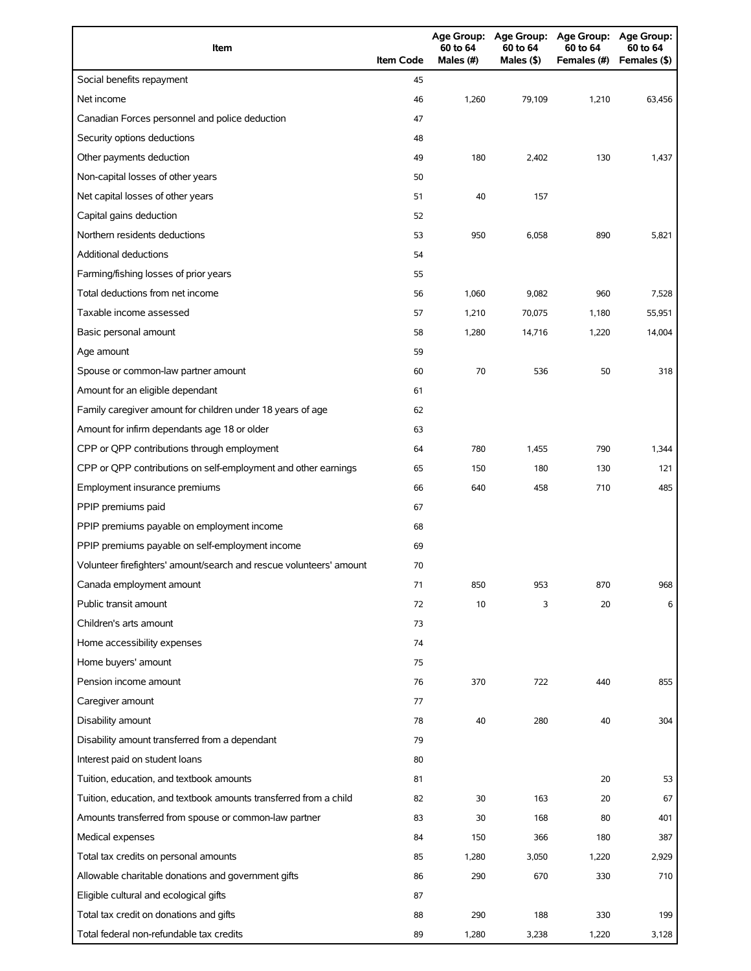| Item                                                                | <b>Item Code</b> | 60 to 64<br>Males (#) | 60 to 64<br>Males (\$) | Age Group: Age Group: Age Group: Age Group:<br>60 to 64<br>Females (#) | 60 to 64<br>Females (\$) |
|---------------------------------------------------------------------|------------------|-----------------------|------------------------|------------------------------------------------------------------------|--------------------------|
| Social benefits repayment                                           | 45               |                       |                        |                                                                        |                          |
| Net income                                                          | 46               | 1,260                 | 79,109                 | 1,210                                                                  | 63,456                   |
| Canadian Forces personnel and police deduction                      | 47               |                       |                        |                                                                        |                          |
| Security options deductions                                         | 48               |                       |                        |                                                                        |                          |
| Other payments deduction                                            | 49               | 180                   | 2,402                  | 130                                                                    | 1,437                    |
| Non-capital losses of other years                                   | 50               |                       |                        |                                                                        |                          |
| Net capital losses of other years                                   | 51               | 40                    | 157                    |                                                                        |                          |
| Capital gains deduction                                             | 52               |                       |                        |                                                                        |                          |
| Northern residents deductions                                       | 53               | 950                   | 6,058                  | 890                                                                    | 5,821                    |
| <b>Additional deductions</b>                                        | 54               |                       |                        |                                                                        |                          |
| Farming/fishing losses of prior years                               | 55               |                       |                        |                                                                        |                          |
| Total deductions from net income                                    | 56               | 1,060                 | 9,082                  | 960                                                                    | 7,528                    |
| Taxable income assessed                                             | 57               | 1,210                 | 70,075                 | 1,180                                                                  | 55,951                   |
| Basic personal amount                                               | 58               | 1,280                 | 14,716                 | 1,220                                                                  | 14,004                   |
| Age amount                                                          | 59               |                       |                        |                                                                        |                          |
| Spouse or common-law partner amount                                 | 60               | 70                    | 536                    | 50                                                                     | 318                      |
| Amount for an eligible dependant                                    | 61               |                       |                        |                                                                        |                          |
| Family caregiver amount for children under 18 years of age          | 62               |                       |                        |                                                                        |                          |
| Amount for infirm dependants age 18 or older                        | 63               |                       |                        |                                                                        |                          |
| CPP or QPP contributions through employment                         | 64               | 780                   | 1,455                  | 790                                                                    | 1,344                    |
| CPP or QPP contributions on self-employment and other earnings      | 65               | 150                   | 180                    | 130                                                                    | 121                      |
| Employment insurance premiums                                       | 66               | 640                   | 458                    | 710                                                                    | 485                      |
| PPIP premiums paid                                                  | 67               |                       |                        |                                                                        |                          |
| PPIP premiums payable on employment income                          | 68               |                       |                        |                                                                        |                          |
| PPIP premiums payable on self-employment income                     | 69               |                       |                        |                                                                        |                          |
| Volunteer firefighters' amount/search and rescue volunteers' amount | 70               |                       |                        |                                                                        |                          |
| Canada employment amount                                            | 71               | 850                   | 953                    | 870                                                                    | 968                      |
| Public transit amount                                               | 72               | 10                    | 3                      | 20                                                                     | 6                        |
| Children's arts amount                                              | 73               |                       |                        |                                                                        |                          |
| Home accessibility expenses                                         | 74               |                       |                        |                                                                        |                          |
| Home buyers' amount                                                 | 75               |                       |                        |                                                                        |                          |
| Pension income amount                                               | 76               | 370                   | 722                    | 440                                                                    | 855                      |
| Caregiver amount                                                    | 77               |                       |                        |                                                                        |                          |
| Disability amount                                                   | 78               | 40                    | 280                    | 40                                                                     | 304                      |
| Disability amount transferred from a dependant                      | 79               |                       |                        |                                                                        |                          |
| Interest paid on student loans                                      | 80               |                       |                        |                                                                        |                          |
| Tuition, education, and textbook amounts                            | 81               |                       |                        | 20                                                                     | 53                       |
| Tuition, education, and textbook amounts transferred from a child   | 82               | 30                    | 163                    | 20                                                                     | 67                       |
| Amounts transferred from spouse or common-law partner               | 83               | 30                    | 168                    | 80                                                                     | 401                      |
| Medical expenses                                                    | 84               | 150                   | 366                    | 180                                                                    | 387                      |
| Total tax credits on personal amounts                               | 85               | 1,280                 | 3,050                  | 1,220                                                                  | 2,929                    |
| Allowable charitable donations and government gifts                 | 86               | 290                   | 670                    | 330                                                                    | 710                      |
| Eligible cultural and ecological gifts                              | 87               |                       |                        |                                                                        |                          |
| Total tax credit on donations and gifts                             | 88               | 290                   | 188                    | 330                                                                    | 199                      |
| Total federal non-refundable tax credits                            | 89               | 1,280                 | 3,238                  | 1,220                                                                  | 3,128                    |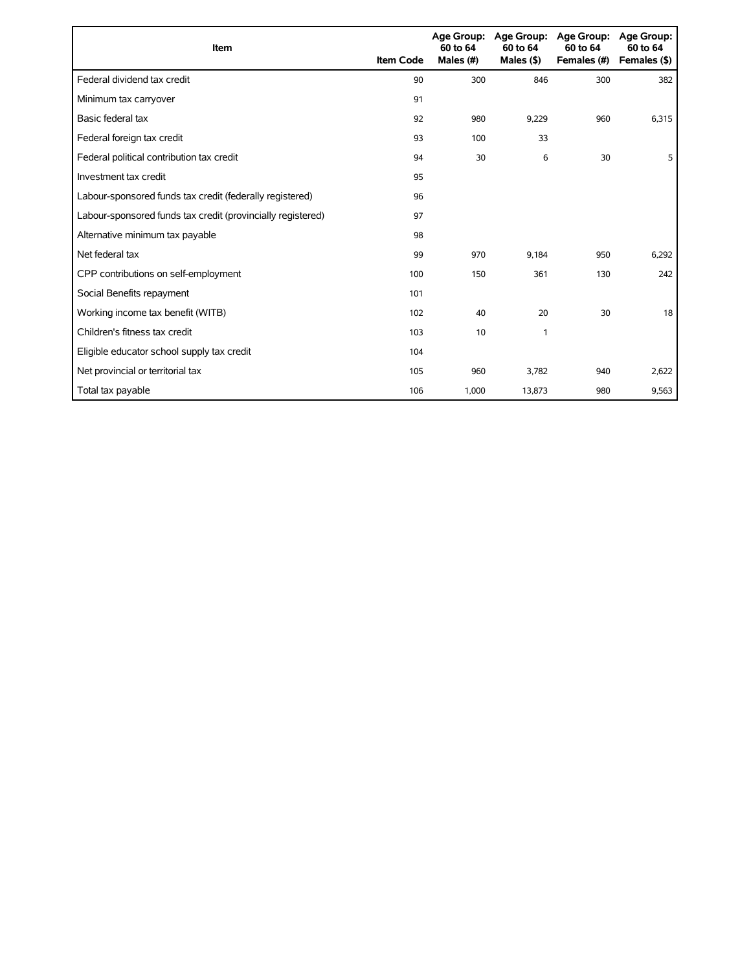| Item                                                        | <b>Item Code</b> | 60 to 64<br>Males (#) | Age Group: Age Group:<br>60 to 64<br>Males $($ \$ $)$ | <b>Age Group:</b><br>60 to 64<br>Females (#) | <b>Age Group:</b><br>60 to 64<br>Females (\$) |
|-------------------------------------------------------------|------------------|-----------------------|-------------------------------------------------------|----------------------------------------------|-----------------------------------------------|
| Federal dividend tax credit                                 | 90               | 300                   | 846                                                   | 300                                          | 382                                           |
| Minimum tax carryover                                       | 91               |                       |                                                       |                                              |                                               |
| Basic federal tax                                           | 92               | 980                   | 9,229                                                 | 960                                          | 6,315                                         |
| Federal foreign tax credit                                  | 93               | 100                   | 33                                                    |                                              |                                               |
| Federal political contribution tax credit                   | 94               | 30                    | 6                                                     | 30                                           | 5                                             |
| Investment tax credit                                       | 95               |                       |                                                       |                                              |                                               |
| Labour-sponsored funds tax credit (federally registered)    | 96               |                       |                                                       |                                              |                                               |
| Labour-sponsored funds tax credit (provincially registered) | 97               |                       |                                                       |                                              |                                               |
| Alternative minimum tax payable                             | 98               |                       |                                                       |                                              |                                               |
| Net federal tax                                             | 99               | 970                   | 9.184                                                 | 950                                          | 6,292                                         |
| CPP contributions on self-employment                        | 100              | 150                   | 361                                                   | 130                                          | 242                                           |
| Social Benefits repayment                                   | 101              |                       |                                                       |                                              |                                               |
| Working income tax benefit (WITB)                           | 102              | 40                    | 20                                                    | 30                                           | 18                                            |
| Children's fitness tax credit                               | 103              | 10                    | 1                                                     |                                              |                                               |
| Eligible educator school supply tax credit                  | 104              |                       |                                                       |                                              |                                               |
| Net provincial or territorial tax                           | 105              | 960                   | 3.782                                                 | 940                                          | 2,622                                         |
| Total tax payable                                           | 106              | 1,000                 | 13,873                                                | 980                                          | 9,563                                         |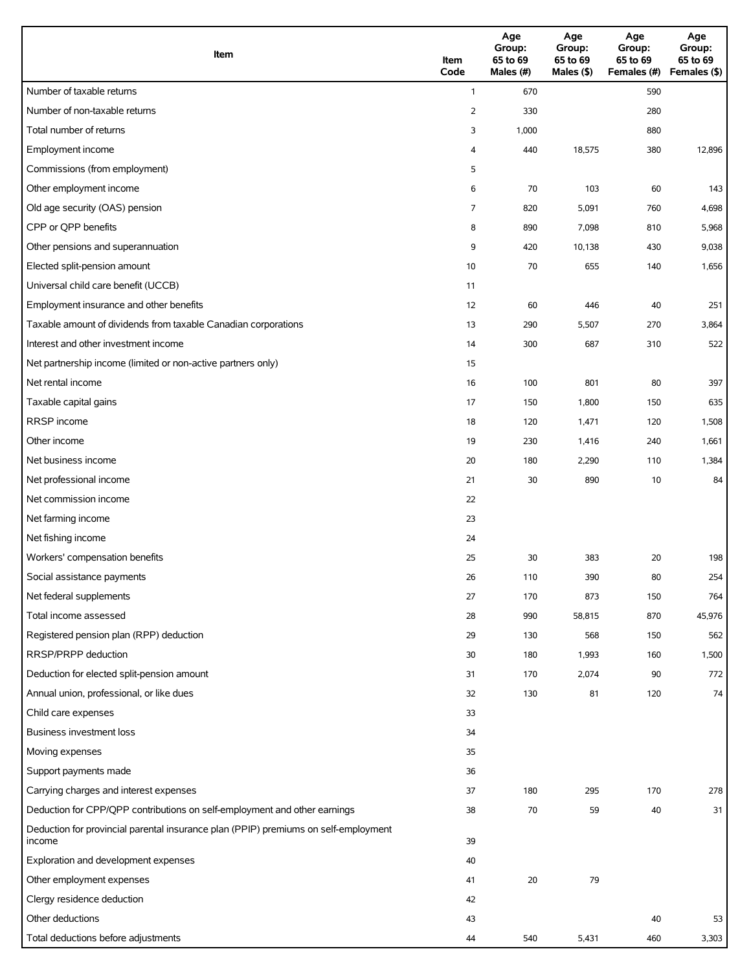| Item                                                                                          | Item<br>Code | Age<br>Group:<br>65 to 69<br>Males (#) | Age<br>Group:<br>65 to 69<br>Males (\$) | Age<br>Group:<br>65 to 69<br>Females (#) | Age<br>Group:<br>65 to 69<br>Females (\$) |
|-----------------------------------------------------------------------------------------------|--------------|----------------------------------------|-----------------------------------------|------------------------------------------|-------------------------------------------|
| Number of taxable returns                                                                     | $\mathbf{1}$ | 670                                    |                                         | 590                                      |                                           |
| Number of non-taxable returns                                                                 | 2            | 330                                    |                                         | 280                                      |                                           |
| Total number of returns                                                                       | 3            | 1,000                                  |                                         | 880                                      |                                           |
| Employment income                                                                             | 4            | 440                                    | 18,575                                  | 380                                      | 12,896                                    |
| Commissions (from employment)                                                                 | 5            |                                        |                                         |                                          |                                           |
| Other employment income                                                                       | 6            | 70                                     | 103                                     | 60                                       | 143                                       |
| Old age security (OAS) pension                                                                | 7            | 820                                    | 5,091                                   | 760                                      | 4,698                                     |
| CPP or QPP benefits                                                                           | 8            | 890                                    | 7,098                                   | 810                                      | 5,968                                     |
| Other pensions and superannuation                                                             | 9            | 420                                    | 10,138                                  | 430                                      | 9,038                                     |
| Elected split-pension amount                                                                  | 10           | 70                                     | 655                                     | 140                                      | 1,656                                     |
| Universal child care benefit (UCCB)                                                           | 11           |                                        |                                         |                                          |                                           |
| Employment insurance and other benefits                                                       | 12           | 60                                     | 446                                     | 40                                       | 251                                       |
| Taxable amount of dividends from taxable Canadian corporations                                | 13           | 290                                    | 5,507                                   | 270                                      | 3,864                                     |
| Interest and other investment income                                                          | 14           | 300                                    | 687                                     | 310                                      | 522                                       |
| Net partnership income (limited or non-active partners only)                                  | 15           |                                        |                                         |                                          |                                           |
| Net rental income                                                                             | 16           | 100                                    | 801                                     | 80                                       | 397                                       |
| Taxable capital gains                                                                         | 17           | 150                                    | 1,800                                   | 150                                      | 635                                       |
| RRSP income                                                                                   | 18           | 120                                    | 1,471                                   | 120                                      | 1,508                                     |
| Other income                                                                                  | 19           | 230                                    | 1,416                                   | 240                                      | 1,661                                     |
| Net business income                                                                           | 20           | 180                                    | 2,290                                   | 110                                      | 1,384                                     |
| Net professional income                                                                       | 21           | 30                                     | 890                                     | 10                                       | 84                                        |
| Net commission income                                                                         | 22           |                                        |                                         |                                          |                                           |
| Net farming income                                                                            | 23           |                                        |                                         |                                          |                                           |
| Net fishing income                                                                            | 24           |                                        |                                         |                                          |                                           |
| Workers' compensation benefits                                                                | 25           | 30                                     | 383                                     | 20                                       | 198                                       |
| Social assistance payments                                                                    | 26           | 110                                    | 390                                     | 80                                       | 254                                       |
| Net federal supplements                                                                       | 27           | 170                                    | 873                                     | 150                                      | 764                                       |
| Total income assessed                                                                         | 28           | 990                                    | 58,815                                  | 870                                      | 45,976                                    |
| Registered pension plan (RPP) deduction                                                       | 29           | 130                                    | 568                                     | 150                                      | 562                                       |
| RRSP/PRPP deduction                                                                           | 30           | 180                                    | 1,993                                   | 160                                      | 1,500                                     |
| Deduction for elected split-pension amount                                                    | 31           | 170                                    | 2,074                                   | 90                                       | 772                                       |
| Annual union, professional, or like dues                                                      | 32           | 130                                    | 81                                      | 120                                      | 74                                        |
| Child care expenses                                                                           | 33           |                                        |                                         |                                          |                                           |
| Business investment loss                                                                      | 34           |                                        |                                         |                                          |                                           |
| Moving expenses                                                                               | 35           |                                        |                                         |                                          |                                           |
| Support payments made                                                                         | 36           |                                        |                                         |                                          |                                           |
| Carrying charges and interest expenses                                                        | 37           | 180                                    | 295                                     | 170                                      | 278                                       |
| Deduction for CPP/QPP contributions on self-employment and other earnings                     | 38           | 70                                     | 59                                      | 40                                       | 31                                        |
| Deduction for provincial parental insurance plan (PPIP) premiums on self-employment<br>income | 39           |                                        |                                         |                                          |                                           |
| Exploration and development expenses                                                          | 40           |                                        |                                         |                                          |                                           |
| Other employment expenses                                                                     | 41           | 20                                     | 79                                      |                                          |                                           |
| Clergy residence deduction                                                                    | 42           |                                        |                                         |                                          |                                           |
| Other deductions                                                                              | 43           |                                        |                                         | 40                                       | 53                                        |
| Total deductions before adjustments                                                           | 44           | 540                                    | 5,431                                   | 460                                      | 3,303                                     |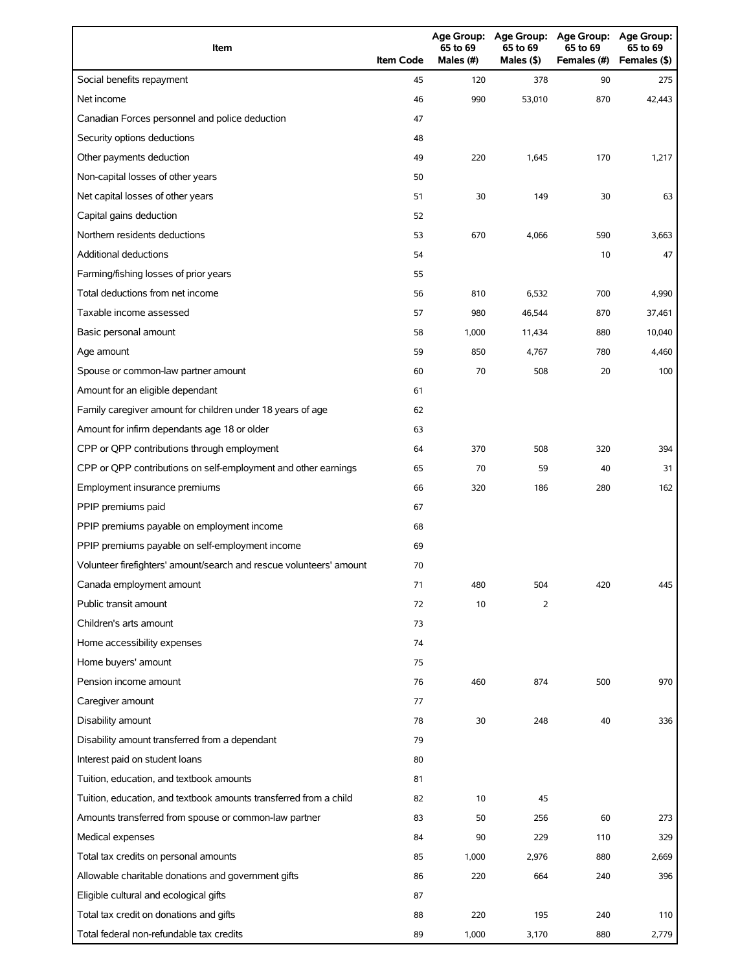| Item                                                                | <b>Item Code</b> | 65 to 69<br>Males $(H)$ | 65 to 69<br>Males $(§)$ | Age Group: Age Group: Age Group:<br>65 to 69<br>Females (#) | <b>Age Group:</b><br>65 to 69<br>Females (\$) |
|---------------------------------------------------------------------|------------------|-------------------------|-------------------------|-------------------------------------------------------------|-----------------------------------------------|
| Social benefits repayment                                           | 45               | 120                     | 378                     | 90                                                          | 275                                           |
| Net income                                                          | 46               | 990                     | 53,010                  | 870                                                         | 42.443                                        |
| Canadian Forces personnel and police deduction                      | 47               |                         |                         |                                                             |                                               |
| Security options deductions                                         | 48               |                         |                         |                                                             |                                               |
| Other payments deduction                                            | 49               | 220                     | 1,645                   | 170                                                         | 1,217                                         |
| Non-capital losses of other years                                   | 50               |                         |                         |                                                             |                                               |
| Net capital losses of other years                                   | 51               | 30                      | 149                     | 30                                                          | 63                                            |
| Capital gains deduction                                             | 52               |                         |                         |                                                             |                                               |
| Northern residents deductions                                       | 53               | 670                     | 4,066                   | 590                                                         | 3,663                                         |
| Additional deductions                                               | 54               |                         |                         | 10                                                          | 47                                            |
| Farming/fishing losses of prior years                               | 55               |                         |                         |                                                             |                                               |
| Total deductions from net income                                    | 56               | 810                     | 6,532                   | 700                                                         | 4,990                                         |
| Taxable income assessed                                             | 57               | 980                     | 46,544                  | 870                                                         | 37,461                                        |
| Basic personal amount                                               | 58               | 1,000                   | 11,434                  | 880                                                         | 10,040                                        |
| Age amount                                                          | 59               | 850                     | 4,767                   | 780                                                         | 4,460                                         |
| Spouse or common-law partner amount                                 | 60               | 70                      | 508                     | 20                                                          | 100                                           |
| Amount for an eligible dependant                                    | 61               |                         |                         |                                                             |                                               |
| Family caregiver amount for children under 18 years of age          | 62               |                         |                         |                                                             |                                               |
| Amount for infirm dependants age 18 or older                        | 63               |                         |                         |                                                             |                                               |
| CPP or QPP contributions through employment                         | 64               | 370                     | 508                     | 320                                                         | 394                                           |
| CPP or QPP contributions on self-employment and other earnings      | 65               | 70                      | 59                      | 40                                                          | 31                                            |
| Employment insurance premiums                                       | 66               | 320                     | 186                     | 280                                                         | 162                                           |
| PPIP premiums paid                                                  | 67               |                         |                         |                                                             |                                               |
| PPIP premiums payable on employment income                          | 68               |                         |                         |                                                             |                                               |
| PPIP premiums payable on self-employment income                     | 69               |                         |                         |                                                             |                                               |
| Volunteer firefighters' amount/search and rescue volunteers' amount | 70               |                         |                         |                                                             |                                               |
| Canada employment amount                                            | 71               | 480                     | 504                     | 420                                                         | 445                                           |
| Public transit amount                                               | 72               | 10                      | 2                       |                                                             |                                               |
| Children's arts amount                                              | 73               |                         |                         |                                                             |                                               |
| Home accessibility expenses                                         | 74               |                         |                         |                                                             |                                               |
| Home buyers' amount                                                 | 75               |                         |                         |                                                             |                                               |
| Pension income amount                                               | 76               | 460                     | 874                     | 500                                                         | 970                                           |
| Caregiver amount                                                    | 77               |                         |                         |                                                             |                                               |
| Disability amount                                                   | 78               | 30                      | 248                     | 40                                                          | 336                                           |
| Disability amount transferred from a dependant                      | 79               |                         |                         |                                                             |                                               |
| Interest paid on student loans                                      | 80               |                         |                         |                                                             |                                               |
| Tuition, education, and textbook amounts                            | 81               |                         |                         |                                                             |                                               |
| Tuition, education, and textbook amounts transferred from a child   | 82               | 10                      | 45                      |                                                             |                                               |
| Amounts transferred from spouse or common-law partner               | 83               | 50                      | 256                     | 60                                                          | 273                                           |
| Medical expenses                                                    | 84               | 90                      | 229                     | 110                                                         | 329                                           |
| Total tax credits on personal amounts                               | 85               | 1,000                   | 2,976                   | 880                                                         | 2,669                                         |
| Allowable charitable donations and government gifts                 | 86               | 220                     | 664                     | 240                                                         | 396                                           |
| Eligible cultural and ecological gifts                              | 87               |                         |                         |                                                             |                                               |
| Total tax credit on donations and gifts                             | 88               | 220                     | 195                     | 240                                                         | 110                                           |
| Total federal non-refundable tax credits                            | 89               | 1,000                   | 3,170                   | 880                                                         | 2,779                                         |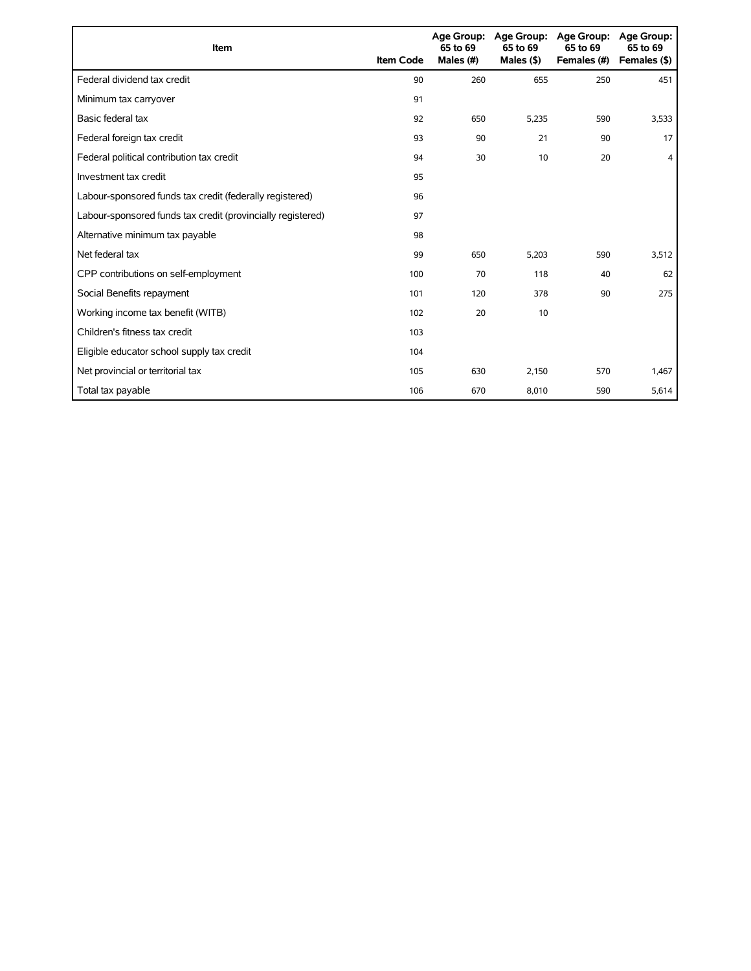| Item                                                        | <b>Item Code</b> | 65 to 69<br>Males (#) | Age Group: Age Group:<br>65 to 69<br>Males $($ \$ $)$ | <b>Age Group:</b><br>65 to 69<br>Females (#) | Age Group:<br>65 to 69<br>Females (\$) |
|-------------------------------------------------------------|------------------|-----------------------|-------------------------------------------------------|----------------------------------------------|----------------------------------------|
| Federal dividend tax credit                                 | 90               | 260                   | 655                                                   | 250                                          | 451                                    |
| Minimum tax carryover                                       | 91               |                       |                                                       |                                              |                                        |
| Basic federal tax                                           | 92               | 650                   | 5,235                                                 | 590                                          | 3,533                                  |
| Federal foreign tax credit                                  | 93               | 90                    | 21                                                    | 90                                           | 17                                     |
| Federal political contribution tax credit                   | 94               | 30                    | 10                                                    | 20                                           | 4                                      |
| Investment tax credit                                       | 95               |                       |                                                       |                                              |                                        |
| Labour-sponsored funds tax credit (federally registered)    | 96               |                       |                                                       |                                              |                                        |
| Labour-sponsored funds tax credit (provincially registered) | 97               |                       |                                                       |                                              |                                        |
| Alternative minimum tax payable                             | 98               |                       |                                                       |                                              |                                        |
| Net federal tax                                             | 99               | 650                   | 5,203                                                 | 590                                          | 3,512                                  |
| CPP contributions on self-employment                        | 100              | 70                    | 118                                                   | 40                                           | 62                                     |
| Social Benefits repayment                                   | 101              | 120                   | 378                                                   | 90                                           | 275                                    |
| Working income tax benefit (WITB)                           | 102              | 20                    | 10                                                    |                                              |                                        |
| Children's fitness tax credit                               | 103              |                       |                                                       |                                              |                                        |
| Eligible educator school supply tax credit                  | 104              |                       |                                                       |                                              |                                        |
| Net provincial or territorial tax                           | 105              | 630                   | 2,150                                                 | 570                                          | 1,467                                  |
| Total tax payable                                           | 106              | 670                   | 8,010                                                 | 590                                          | 5,614                                  |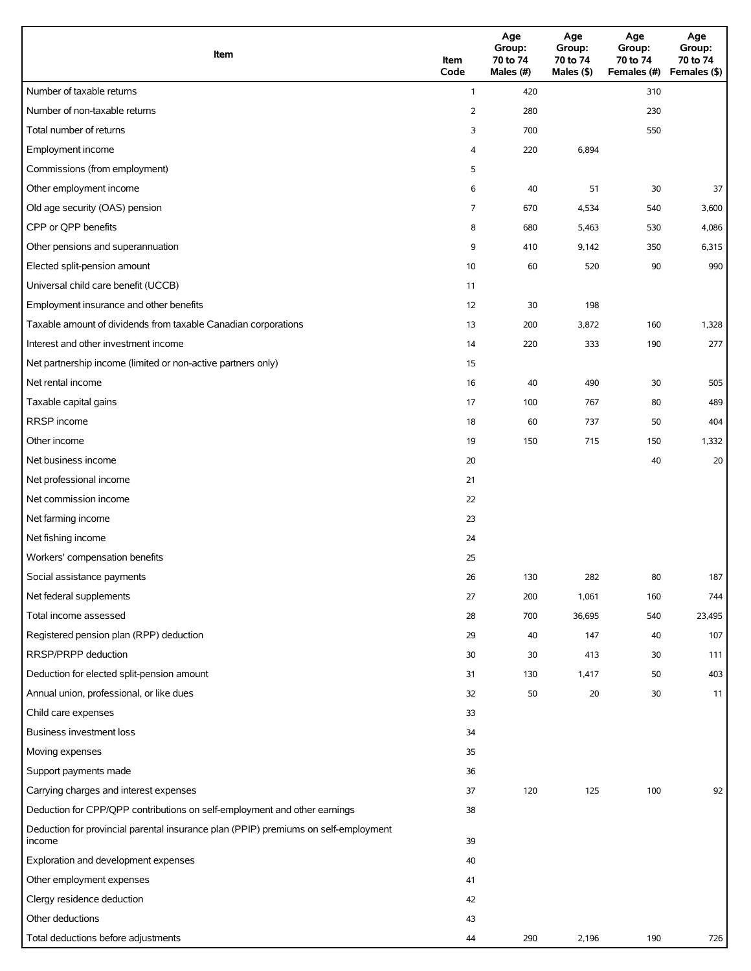| Item                                                                                          | Item<br>Code | Age<br>Group:<br>70 to 74<br>Males (#) | Age<br>Group:<br>70 to 74<br>Males $(\$)$ | Age<br>Group:<br>70 to 74<br>Females (#) | Age<br>Group:<br>70 to 74<br>Females (\$) |
|-----------------------------------------------------------------------------------------------|--------------|----------------------------------------|-------------------------------------------|------------------------------------------|-------------------------------------------|
| Number of taxable returns                                                                     | $\mathbf{1}$ | 420                                    |                                           | 310                                      |                                           |
| Number of non-taxable returns                                                                 | 2            | 280                                    |                                           | 230                                      |                                           |
| Total number of returns                                                                       | 3            | 700                                    |                                           | 550                                      |                                           |
| Employment income                                                                             | 4            | 220                                    | 6,894                                     |                                          |                                           |
| Commissions (from employment)                                                                 | 5            |                                        |                                           |                                          |                                           |
| Other employment income                                                                       | 6            | 40                                     | 51                                        | 30                                       | 37                                        |
| Old age security (OAS) pension                                                                | 7            | 670                                    | 4,534                                     | 540                                      | 3,600                                     |
| CPP or QPP benefits                                                                           | 8            | 680                                    | 5,463                                     | 530                                      | 4,086                                     |
| Other pensions and superannuation                                                             | 9            | 410                                    | 9,142                                     | 350                                      | 6,315                                     |
| Elected split-pension amount                                                                  | 10           | 60                                     | 520                                       | 90                                       | 990                                       |
| Universal child care benefit (UCCB)                                                           | 11           |                                        |                                           |                                          |                                           |
| Employment insurance and other benefits                                                       | 12           | 30                                     | 198                                       |                                          |                                           |
| Taxable amount of dividends from taxable Canadian corporations                                | 13           | 200                                    | 3,872                                     | 160                                      | 1,328                                     |
| Interest and other investment income                                                          | 14           | 220                                    | 333                                       | 190                                      | 277                                       |
| Net partnership income (limited or non-active partners only)                                  | 15           |                                        |                                           |                                          |                                           |
| Net rental income                                                                             | 16           | 40                                     | 490                                       | 30                                       | 505                                       |
| Taxable capital gains                                                                         | 17           | 100                                    | 767                                       | 80                                       | 489                                       |
| RRSP income                                                                                   | 18           | 60                                     | 737                                       | 50                                       | 404                                       |
| Other income                                                                                  | 19           | 150                                    | 715                                       | 150                                      | 1,332                                     |
| Net business income                                                                           | 20           |                                        |                                           | 40                                       | 20                                        |
| Net professional income                                                                       | 21           |                                        |                                           |                                          |                                           |
| Net commission income                                                                         | 22           |                                        |                                           |                                          |                                           |
| Net farming income                                                                            | 23           |                                        |                                           |                                          |                                           |
| Net fishing income                                                                            | 24           |                                        |                                           |                                          |                                           |
| Workers' compensation benefits                                                                | 25           |                                        |                                           |                                          |                                           |
| Social assistance payments                                                                    | 26           | 130                                    | 282                                       | 80                                       | 187                                       |
| Net federal supplements                                                                       | 27           | 200                                    | 1,061                                     | 160                                      | 744                                       |
| Total income assessed                                                                         | 28           | 700                                    | 36,695                                    | 540                                      | 23,495                                    |
| Registered pension plan (RPP) deduction                                                       | 29           | 40                                     | 147                                       | 40                                       | 107                                       |
| RRSP/PRPP deduction                                                                           | 30           | 30                                     | 413                                       | 30                                       | 111                                       |
| Deduction for elected split-pension amount                                                    | 31           | 130                                    | 1,417                                     | 50                                       | 403                                       |
| Annual union, professional, or like dues                                                      | 32           | 50                                     | 20                                        | 30                                       | 11                                        |
| Child care expenses                                                                           | 33           |                                        |                                           |                                          |                                           |
| Business investment loss                                                                      | 34           |                                        |                                           |                                          |                                           |
| Moving expenses                                                                               | 35           |                                        |                                           |                                          |                                           |
| Support payments made                                                                         | 36           |                                        |                                           |                                          |                                           |
| Carrying charges and interest expenses                                                        | 37           | 120                                    | 125                                       | 100                                      | 92                                        |
| Deduction for CPP/QPP contributions on self-employment and other earnings                     | 38           |                                        |                                           |                                          |                                           |
| Deduction for provincial parental insurance plan (PPIP) premiums on self-employment<br>income | 39           |                                        |                                           |                                          |                                           |
| Exploration and development expenses                                                          | 40           |                                        |                                           |                                          |                                           |
| Other employment expenses                                                                     | 41           |                                        |                                           |                                          |                                           |
| Clergy residence deduction                                                                    | 42           |                                        |                                           |                                          |                                           |
| Other deductions                                                                              | 43           |                                        |                                           |                                          |                                           |
| Total deductions before adjustments                                                           | 44           | 290                                    | 2,196                                     | 190                                      | 726                                       |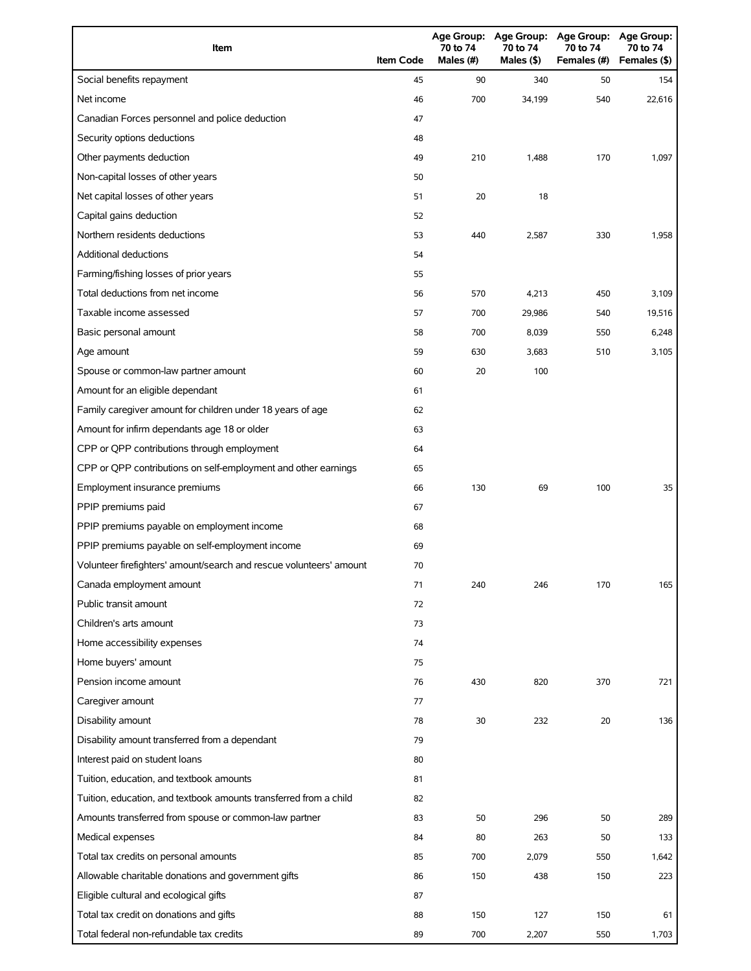| Item                                                                | <b>Item Code</b> | 70 to 74<br>Males (#) | 70 to 74<br>Males $(§)$ | Age Group: Age Group: Age Group:<br>70 to 74<br>Females (#) | Age Group:<br>70 to 74<br>Females (\$) |
|---------------------------------------------------------------------|------------------|-----------------------|-------------------------|-------------------------------------------------------------|----------------------------------------|
| Social benefits repayment                                           | 45               | 90                    | 340                     | 50                                                          | 154                                    |
| Net income                                                          | 46               | 700                   | 34,199                  | 540                                                         | 22.616                                 |
| Canadian Forces personnel and police deduction                      | 47               |                       |                         |                                                             |                                        |
| Security options deductions                                         | 48               |                       |                         |                                                             |                                        |
| Other payments deduction                                            | 49               | 210                   | 1,488                   | 170                                                         | 1,097                                  |
| Non-capital losses of other years                                   | 50               |                       |                         |                                                             |                                        |
| Net capital losses of other years                                   | 51               | 20                    | 18                      |                                                             |                                        |
| Capital gains deduction                                             | 52               |                       |                         |                                                             |                                        |
| Northern residents deductions                                       | 53               | 440                   | 2,587                   | 330                                                         | 1,958                                  |
| Additional deductions                                               | 54               |                       |                         |                                                             |                                        |
| Farming/fishing losses of prior years                               | 55               |                       |                         |                                                             |                                        |
| Total deductions from net income                                    | 56               | 570                   | 4,213                   | 450                                                         | 3,109                                  |
| Taxable income assessed                                             | 57               | 700                   | 29,986                  | 540                                                         | 19,516                                 |
| Basic personal amount                                               | 58               | 700                   | 8,039                   | 550                                                         | 6,248                                  |
| Age amount                                                          | 59               | 630                   | 3,683                   | 510                                                         | 3,105                                  |
| Spouse or common-law partner amount                                 | 60               | 20                    | 100                     |                                                             |                                        |
| Amount for an eligible dependant                                    | 61               |                       |                         |                                                             |                                        |
| Family caregiver amount for children under 18 years of age          | 62               |                       |                         |                                                             |                                        |
| Amount for infirm dependants age 18 or older                        | 63               |                       |                         |                                                             |                                        |
| CPP or QPP contributions through employment                         | 64               |                       |                         |                                                             |                                        |
| CPP or QPP contributions on self-employment and other earnings      | 65               |                       |                         |                                                             |                                        |
| Employment insurance premiums                                       | 66               | 130                   | 69                      | 100                                                         | 35                                     |
| PPIP premiums paid                                                  | 67               |                       |                         |                                                             |                                        |
| PPIP premiums payable on employment income                          | 68               |                       |                         |                                                             |                                        |
| PPIP premiums payable on self-employment income                     | 69               |                       |                         |                                                             |                                        |
| Volunteer firefighters' amount/search and rescue volunteers' amount | 70               |                       |                         |                                                             |                                        |
| Canada employment amount                                            | 71               | 240                   | 246                     | 170                                                         | 165                                    |
| Public transit amount                                               | 72               |                       |                         |                                                             |                                        |
| Children's arts amount                                              | 73               |                       |                         |                                                             |                                        |
| Home accessibility expenses                                         | 74               |                       |                         |                                                             |                                        |
| Home buyers' amount                                                 | 75               |                       |                         |                                                             |                                        |
| Pension income amount                                               | 76               | 430                   | 820                     | 370                                                         | 721                                    |
| Caregiver amount                                                    | 77               |                       |                         |                                                             |                                        |
| Disability amount                                                   | 78               | 30                    | 232                     | 20                                                          | 136                                    |
| Disability amount transferred from a dependant                      | 79               |                       |                         |                                                             |                                        |
| Interest paid on student loans                                      | 80               |                       |                         |                                                             |                                        |
| Tuition, education, and textbook amounts                            | 81               |                       |                         |                                                             |                                        |
| Tuition, education, and textbook amounts transferred from a child   | 82               |                       |                         |                                                             |                                        |
| Amounts transferred from spouse or common-law partner               | 83               | 50                    | 296                     | 50                                                          | 289                                    |
| Medical expenses                                                    | 84               | 80                    | 263                     | 50                                                          | 133                                    |
| Total tax credits on personal amounts                               | 85               | 700                   | 2,079                   | 550                                                         | 1,642                                  |
| Allowable charitable donations and government gifts                 | 86               | 150                   | 438                     | 150                                                         | 223                                    |
| Eligible cultural and ecological gifts                              | 87               |                       |                         |                                                             |                                        |
| Total tax credit on donations and gifts                             | 88               | 150                   | 127                     | 150                                                         | 61                                     |
| Total federal non-refundable tax credits                            | 89               | 700                   | 2,207                   | 550                                                         | 1,703                                  |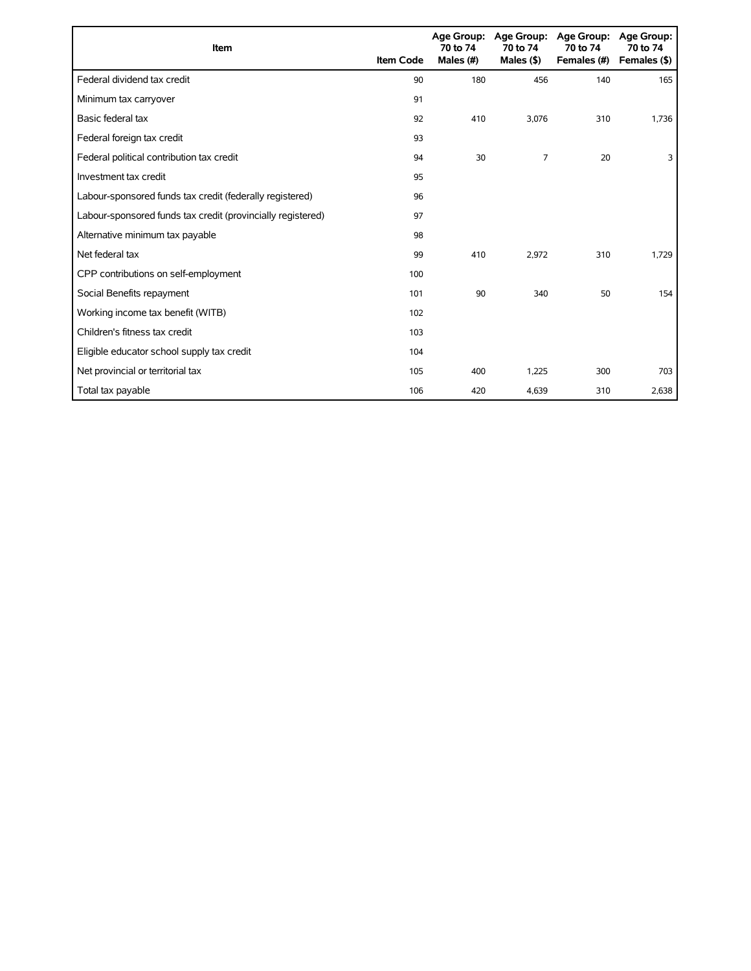| Item                                                        | <b>Item Code</b> | 70 to 74<br>Males (#) | Age Group: Age Group:<br>70 to 74<br>Males $($ \$) | <b>Age Group:</b><br>70 to 74<br>Females (#) | <b>Age Group:</b><br>70 to 74<br>Females (\$) |
|-------------------------------------------------------------|------------------|-----------------------|----------------------------------------------------|----------------------------------------------|-----------------------------------------------|
| Federal dividend tax credit                                 | 90               | 180                   | 456                                                | 140                                          | 165                                           |
| Minimum tax carryover                                       | 91               |                       |                                                    |                                              |                                               |
| Basic federal tax                                           | 92               | 410                   | 3,076                                              | 310                                          | 1,736                                         |
| Federal foreign tax credit                                  | 93               |                       |                                                    |                                              |                                               |
| Federal political contribution tax credit                   | 94               | 30                    | 7                                                  | 20                                           | 3                                             |
| Investment tax credit                                       | 95               |                       |                                                    |                                              |                                               |
| Labour-sponsored funds tax credit (federally registered)    | 96               |                       |                                                    |                                              |                                               |
| Labour-sponsored funds tax credit (provincially registered) | 97               |                       |                                                    |                                              |                                               |
| Alternative minimum tax payable                             | 98               |                       |                                                    |                                              |                                               |
| Net federal tax                                             | 99               | 410                   | 2,972                                              | 310                                          | 1,729                                         |
| CPP contributions on self-employment                        | 100              |                       |                                                    |                                              |                                               |
| Social Benefits repayment                                   | 101              | 90                    | 340                                                | 50                                           | 154                                           |
| Working income tax benefit (WITB)                           | 102              |                       |                                                    |                                              |                                               |
| Children's fitness tax credit                               | 103              |                       |                                                    |                                              |                                               |
| Eligible educator school supply tax credit                  | 104              |                       |                                                    |                                              |                                               |
| Net provincial or territorial tax                           | 105              | 400                   | 1,225                                              | 300                                          | 703                                           |
| Total tax payable                                           | 106              | 420                   | 4,639                                              | 310                                          | 2,638                                         |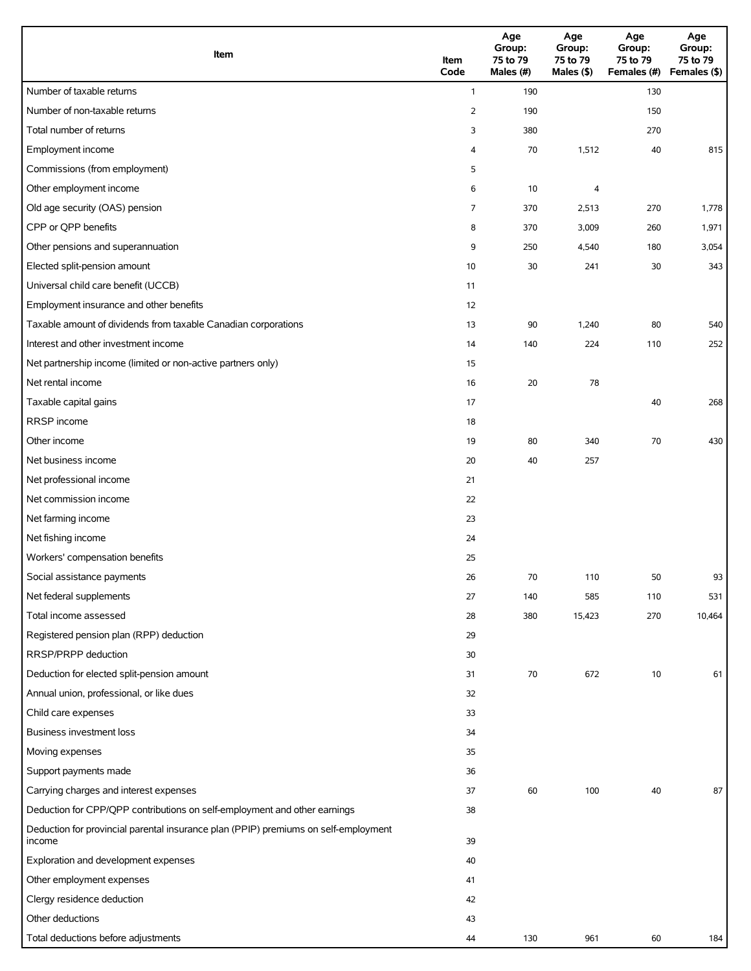| Item                                                                                          | Item<br>Code   | Age<br>Group:<br>75 to 79<br>Males (#) | Age<br>Group:<br>75 to 79<br>Males (\$) | Age<br>Group:<br>75 to 79<br>Females (#) | Age<br>Group:<br>75 to 79<br>Females (\$) |
|-----------------------------------------------------------------------------------------------|----------------|----------------------------------------|-----------------------------------------|------------------------------------------|-------------------------------------------|
| Number of taxable returns                                                                     | $\mathbf{1}$   | 190                                    |                                         | 130                                      |                                           |
| Number of non-taxable returns                                                                 | $\overline{2}$ | 190                                    |                                         | 150                                      |                                           |
| Total number of returns                                                                       | 3              | 380                                    |                                         | 270                                      |                                           |
| Employment income                                                                             | 4              | 70                                     | 1,512                                   | 40                                       | 815                                       |
| Commissions (from employment)                                                                 | 5              |                                        |                                         |                                          |                                           |
| Other employment income                                                                       | 6              | 10                                     | 4                                       |                                          |                                           |
| Old age security (OAS) pension                                                                | 7              | 370                                    | 2,513                                   | 270                                      | 1,778                                     |
| CPP or QPP benefits                                                                           | 8              | 370                                    | 3,009                                   | 260                                      | 1,971                                     |
| Other pensions and superannuation                                                             | 9              | 250                                    | 4,540                                   | 180                                      | 3,054                                     |
| Elected split-pension amount                                                                  | 10             | 30                                     | 241                                     | 30                                       | 343                                       |
| Universal child care benefit (UCCB)                                                           | 11             |                                        |                                         |                                          |                                           |
| Employment insurance and other benefits                                                       | 12             |                                        |                                         |                                          |                                           |
| Taxable amount of dividends from taxable Canadian corporations                                | 13             | 90                                     | 1,240                                   | 80                                       | 540                                       |
| Interest and other investment income                                                          | 14             | 140                                    | 224                                     | 110                                      | 252                                       |
| Net partnership income (limited or non-active partners only)                                  | 15             |                                        |                                         |                                          |                                           |
| Net rental income                                                                             | 16             | 20                                     | 78                                      |                                          |                                           |
| Taxable capital gains                                                                         | 17             |                                        |                                         | 40                                       | 268                                       |
| RRSP income                                                                                   | 18             |                                        |                                         |                                          |                                           |
| Other income                                                                                  | 19             | 80                                     | 340                                     | 70                                       | 430                                       |
| Net business income                                                                           | 20             | 40                                     | 257                                     |                                          |                                           |
| Net professional income                                                                       | 21             |                                        |                                         |                                          |                                           |
| Net commission income                                                                         | 22             |                                        |                                         |                                          |                                           |
| Net farming income                                                                            | 23             |                                        |                                         |                                          |                                           |
| Net fishing income                                                                            | 24             |                                        |                                         |                                          |                                           |
| Workers' compensation benefits                                                                | 25             |                                        |                                         |                                          |                                           |
| Social assistance payments                                                                    | 26             | 70                                     | 110                                     | 50                                       | 93                                        |
| Net federal supplements                                                                       | 27             | 140                                    | 585                                     | 110                                      | 531                                       |
| Total income assessed                                                                         | 28             | 380                                    | 15,423                                  | 270                                      | 10,464                                    |
| Registered pension plan (RPP) deduction                                                       | 29             |                                        |                                         |                                          |                                           |
| RRSP/PRPP deduction                                                                           | 30             |                                        |                                         |                                          |                                           |
| Deduction for elected split-pension amount                                                    | 31             | 70                                     | 672                                     | 10                                       | 61                                        |
| Annual union, professional, or like dues                                                      | 32             |                                        |                                         |                                          |                                           |
| Child care expenses                                                                           | 33             |                                        |                                         |                                          |                                           |
| Business investment loss                                                                      | 34             |                                        |                                         |                                          |                                           |
| Moving expenses                                                                               | 35             |                                        |                                         |                                          |                                           |
| Support payments made                                                                         | 36             |                                        |                                         |                                          |                                           |
| Carrying charges and interest expenses                                                        | 37             | 60                                     | 100                                     | 40                                       | 87                                        |
| Deduction for CPP/QPP contributions on self-employment and other earnings                     | 38             |                                        |                                         |                                          |                                           |
| Deduction for provincial parental insurance plan (PPIP) premiums on self-employment<br>income | 39             |                                        |                                         |                                          |                                           |
| Exploration and development expenses                                                          | 40             |                                        |                                         |                                          |                                           |
| Other employment expenses                                                                     | 41             |                                        |                                         |                                          |                                           |
| Clergy residence deduction                                                                    | 42             |                                        |                                         |                                          |                                           |
| Other deductions                                                                              | 43             |                                        |                                         |                                          |                                           |
| Total deductions before adjustments                                                           | 44             | 130                                    | 961                                     | 60                                       | 184                                       |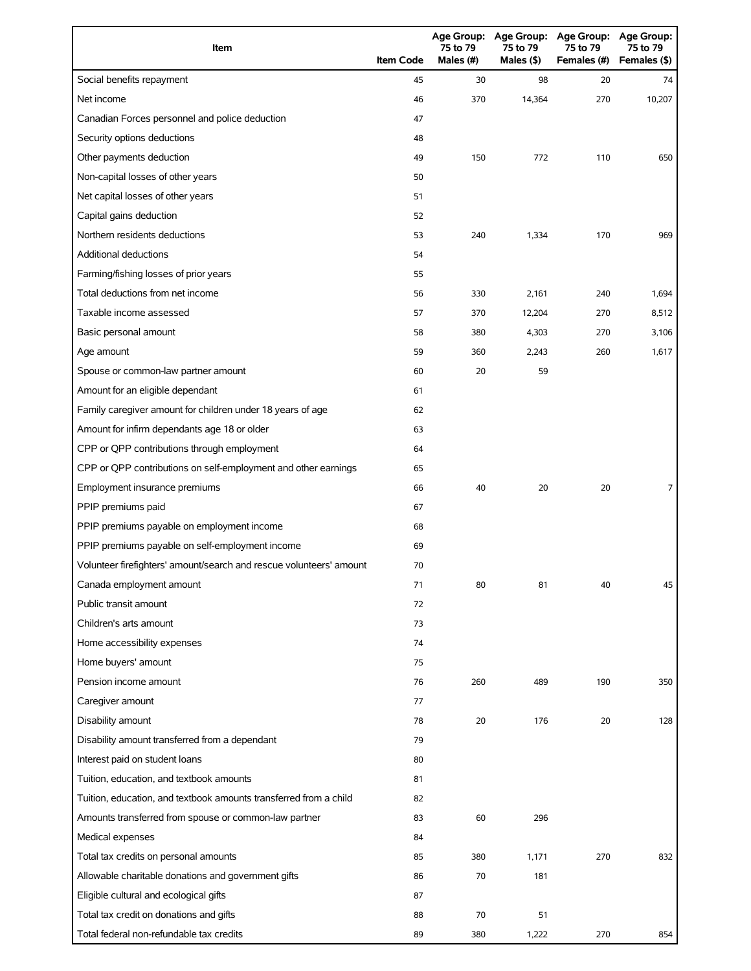| Item                                                                | <b>Item Code</b> | 75 to 79<br>Males (#) | 75 to 79<br>Males (\$) | Age Group: Age Group: Age Group: Age Group:<br>75 to 79<br>Females (#) | 75 to 79<br>Females (\$) |
|---------------------------------------------------------------------|------------------|-----------------------|------------------------|------------------------------------------------------------------------|--------------------------|
| Social benefits repayment                                           | 45               | 30                    | 98                     | 20                                                                     | 74                       |
| Net income                                                          | 46               | 370                   | 14,364                 | 270                                                                    | 10,207                   |
| Canadian Forces personnel and police deduction                      | 47               |                       |                        |                                                                        |                          |
| Security options deductions                                         | 48               |                       |                        |                                                                        |                          |
| Other payments deduction                                            | 49               | 150                   | 772                    | 110                                                                    | 650                      |
| Non-capital losses of other years                                   | 50               |                       |                        |                                                                        |                          |
| Net capital losses of other years                                   | 51               |                       |                        |                                                                        |                          |
| Capital gains deduction                                             | 52               |                       |                        |                                                                        |                          |
| Northern residents deductions                                       | 53               | 240                   | 1,334                  | 170                                                                    | 969                      |
| Additional deductions                                               | 54               |                       |                        |                                                                        |                          |
| Farming/fishing losses of prior years                               | 55               |                       |                        |                                                                        |                          |
| Total deductions from net income                                    | 56               | 330                   | 2,161                  | 240                                                                    | 1,694                    |
| Taxable income assessed                                             | 57               | 370                   | 12,204                 | 270                                                                    | 8,512                    |
| Basic personal amount                                               | 58               | 380                   | 4,303                  | 270                                                                    | 3,106                    |
| Age amount                                                          | 59               | 360                   | 2,243                  | 260                                                                    | 1,617                    |
| Spouse or common-law partner amount                                 | 60               | 20                    | 59                     |                                                                        |                          |
| Amount for an eligible dependant                                    | 61               |                       |                        |                                                                        |                          |
| Family caregiver amount for children under 18 years of age          | 62               |                       |                        |                                                                        |                          |
| Amount for infirm dependants age 18 or older                        | 63               |                       |                        |                                                                        |                          |
| CPP or QPP contributions through employment                         | 64               |                       |                        |                                                                        |                          |
| CPP or QPP contributions on self-employment and other earnings      | 65               |                       |                        |                                                                        |                          |
| Employment insurance premiums                                       | 66               | 40                    | 20                     | 20                                                                     | 7                        |
| PPIP premiums paid                                                  | 67               |                       |                        |                                                                        |                          |
| PPIP premiums payable on employment income                          | 68               |                       |                        |                                                                        |                          |
| PPIP premiums payable on self-employment income                     | 69               |                       |                        |                                                                        |                          |
| Volunteer firefighters' amount/search and rescue volunteers' amount | 70               |                       |                        |                                                                        |                          |
| Canada employment amount                                            | 71               | 80                    | 81                     | 40                                                                     | 45                       |
| Public transit amount                                               | 72               |                       |                        |                                                                        |                          |
| Children's arts amount                                              | 73               |                       |                        |                                                                        |                          |
| Home accessibility expenses                                         | 74               |                       |                        |                                                                        |                          |
| Home buyers' amount                                                 | 75               |                       |                        |                                                                        |                          |
| Pension income amount                                               | 76               | 260                   | 489                    | 190                                                                    | 350                      |
| Caregiver amount                                                    | 77               |                       |                        |                                                                        |                          |
| Disability amount                                                   | 78               | 20                    | 176                    | 20                                                                     | 128                      |
| Disability amount transferred from a dependant                      | 79               |                       |                        |                                                                        |                          |
| Interest paid on student loans                                      | 80               |                       |                        |                                                                        |                          |
| Tuition, education, and textbook amounts                            | 81               |                       |                        |                                                                        |                          |
| Tuition, education, and textbook amounts transferred from a child   | 82               |                       |                        |                                                                        |                          |
| Amounts transferred from spouse or common-law partner               | 83               | 60                    | 296                    |                                                                        |                          |
| Medical expenses                                                    | 84               |                       |                        |                                                                        |                          |
| Total tax credits on personal amounts                               | 85               | 380                   | 1,171                  | 270                                                                    | 832                      |
| Allowable charitable donations and government gifts                 | 86               | 70                    | 181                    |                                                                        |                          |
| Eligible cultural and ecological gifts                              | 87               |                       |                        |                                                                        |                          |
| Total tax credit on donations and gifts                             | 88               | 70                    | 51                     |                                                                        |                          |
| Total federal non-refundable tax credits                            | 89               | 380                   | 1,222                  | 270                                                                    | 854                      |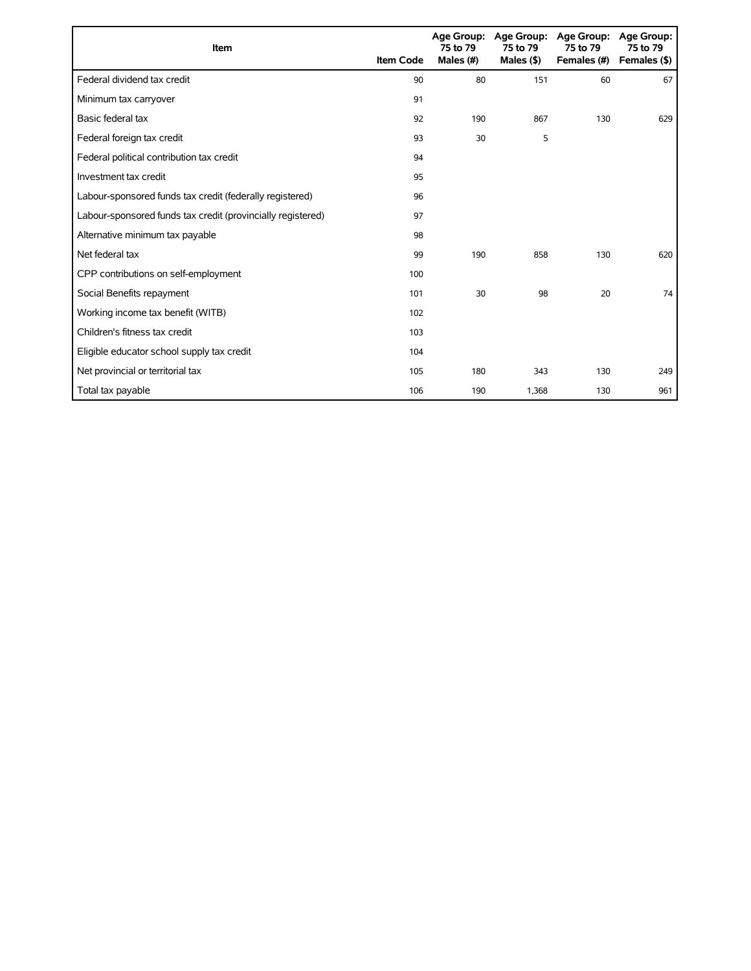| Item                                                        | <b>Item Code</b> | 75 to 79<br>Males (#) | 75 to 79<br>Males $($ \$ $)$ | Age Group: Age Group: Age Group:<br>75 to 79<br>Females (#) | Age Group:<br>75 to 79<br>Females (\$) |
|-------------------------------------------------------------|------------------|-----------------------|------------------------------|-------------------------------------------------------------|----------------------------------------|
| Federal dividend tax credit                                 | 90               | 80                    | 151                          | 60                                                          | 67                                     |
| Minimum tax carryover                                       | 91               |                       |                              |                                                             |                                        |
| Basic federal tax                                           | 92               | 190                   | 867                          | 130                                                         | 629                                    |
| Federal foreign tax credit                                  | 93               | 30                    | 5                            |                                                             |                                        |
| Federal political contribution tax credit                   | 94               |                       |                              |                                                             |                                        |
| Investment tax credit                                       | 95               |                       |                              |                                                             |                                        |
| Labour-sponsored funds tax credit (federally registered)    | 96               |                       |                              |                                                             |                                        |
| Labour-sponsored funds tax credit (provincially registered) | 97               |                       |                              |                                                             |                                        |
| Alternative minimum tax payable                             | 98               |                       |                              |                                                             |                                        |
| Net federal tax                                             | 99               | 190                   | 858                          | 130                                                         | 620                                    |
| CPP contributions on self-employment                        | 100              |                       |                              |                                                             |                                        |
| Social Benefits repayment                                   | 101              | 30                    | 98                           | 20                                                          | 74                                     |
| Working income tax benefit (WITB)                           | 102              |                       |                              |                                                             |                                        |
| Children's fitness tax credit                               | 103              |                       |                              |                                                             |                                        |
| Eligible educator school supply tax credit                  | 104              |                       |                              |                                                             |                                        |
| Net provincial or territorial tax                           | 105              | 180                   | 343                          | 130                                                         | 249                                    |
| Total tax payable                                           | 106              | 190                   | 1,368                        | 130                                                         | 961                                    |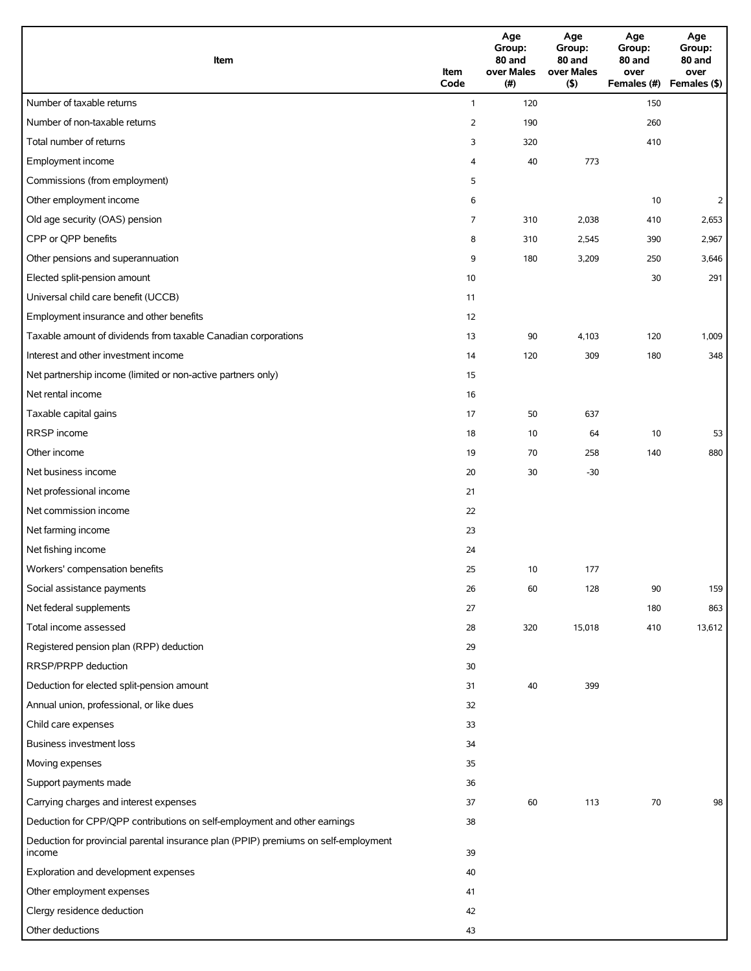| Item                                                                                          | Item<br>Code   | Age<br>Group:<br>80 and<br>over Males<br>(#) | Age<br>Group:<br>80 and<br>over Males<br>(5) | Age<br>Group:<br>80 and<br>over<br>Females (#) | Age<br>Group:<br>80 and<br>over<br>Females (\$) |
|-----------------------------------------------------------------------------------------------|----------------|----------------------------------------------|----------------------------------------------|------------------------------------------------|-------------------------------------------------|
| Number of taxable returns                                                                     | $\mathbf{1}$   | 120                                          |                                              | 150                                            |                                                 |
| Number of non-taxable returns                                                                 | $\overline{2}$ | 190                                          |                                              | 260                                            |                                                 |
| Total number of returns                                                                       | 3              | 320                                          |                                              | 410                                            |                                                 |
| Employment income                                                                             | 4              | 40                                           | 773                                          |                                                |                                                 |
| Commissions (from employment)                                                                 | 5              |                                              |                                              |                                                |                                                 |
| Other employment income                                                                       | 6              |                                              |                                              | 10                                             | $\overline{2}$                                  |
| Old age security (OAS) pension                                                                | 7              | 310                                          | 2,038                                        | 410                                            | 2,653                                           |
| CPP or QPP benefits                                                                           | 8              | 310                                          | 2,545                                        | 390                                            | 2,967                                           |
| Other pensions and superannuation                                                             | 9              | 180                                          | 3,209                                        | 250                                            | 3,646                                           |
| Elected split-pension amount                                                                  | 10             |                                              |                                              | 30                                             | 291                                             |
| Universal child care benefit (UCCB)                                                           | 11             |                                              |                                              |                                                |                                                 |
| Employment insurance and other benefits                                                       | 12             |                                              |                                              |                                                |                                                 |
| Taxable amount of dividends from taxable Canadian corporations                                | 13             | 90                                           | 4,103                                        | 120                                            | 1,009                                           |
| Interest and other investment income                                                          | 14             | 120                                          | 309                                          | 180                                            | 348                                             |
| Net partnership income (limited or non-active partners only)                                  | 15             |                                              |                                              |                                                |                                                 |
| Net rental income                                                                             | 16             |                                              |                                              |                                                |                                                 |
| Taxable capital gains                                                                         | 17             | 50                                           | 637                                          |                                                |                                                 |
| RRSP income                                                                                   | 18             | 10                                           | 64                                           | 10                                             | 53                                              |
| Other income                                                                                  | 19             | 70                                           | 258                                          | 140                                            | 880                                             |
| Net business income                                                                           | 20             | 30                                           | $-30$                                        |                                                |                                                 |
| Net professional income                                                                       | 21             |                                              |                                              |                                                |                                                 |
| Net commission income                                                                         | 22             |                                              |                                              |                                                |                                                 |
| Net farming income                                                                            | 23             |                                              |                                              |                                                |                                                 |
| Net fishing income                                                                            | 24             |                                              |                                              |                                                |                                                 |
| Workers' compensation benefits                                                                | 25             | 10                                           | 177                                          |                                                |                                                 |
| Social assistance payments                                                                    | 26             | 60                                           | 128                                          | 90                                             | 159                                             |
| Net federal supplements                                                                       | 27             |                                              |                                              | 180                                            | 863                                             |
| Total income assessed                                                                         | 28             | 320                                          | 15,018                                       | 410                                            | 13,612                                          |
| Registered pension plan (RPP) deduction                                                       | 29             |                                              |                                              |                                                |                                                 |
| RRSP/PRPP deduction                                                                           | 30             |                                              |                                              |                                                |                                                 |
| Deduction for elected split-pension amount                                                    | 31             | 40                                           | 399                                          |                                                |                                                 |
| Annual union, professional, or like dues                                                      | 32             |                                              |                                              |                                                |                                                 |
| Child care expenses                                                                           | 33             |                                              |                                              |                                                |                                                 |
| Business investment loss                                                                      | 34             |                                              |                                              |                                                |                                                 |
| Moving expenses                                                                               | 35             |                                              |                                              |                                                |                                                 |
| Support payments made                                                                         | 36             |                                              |                                              |                                                |                                                 |
| Carrying charges and interest expenses                                                        | 37             | 60                                           | 113                                          | 70                                             | 98                                              |
| Deduction for CPP/QPP contributions on self-employment and other earnings                     | 38             |                                              |                                              |                                                |                                                 |
| Deduction for provincial parental insurance plan (PPIP) premiums on self-employment<br>income | 39             |                                              |                                              |                                                |                                                 |
| Exploration and development expenses                                                          | 40             |                                              |                                              |                                                |                                                 |
| Other employment expenses                                                                     | 41             |                                              |                                              |                                                |                                                 |
| Clergy residence deduction                                                                    | 42             |                                              |                                              |                                                |                                                 |
| Other deductions                                                                              | 43             |                                              |                                              |                                                |                                                 |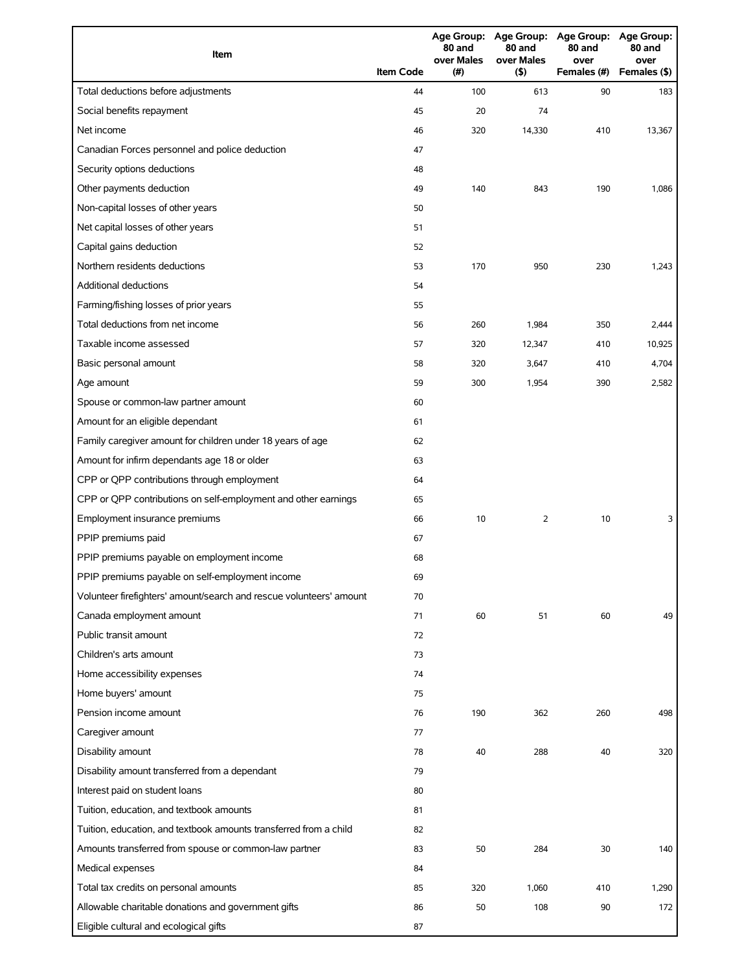| Item                                                                | <b>Item Code</b> | 80 and<br>over Males<br>(#) | 80 and<br>over Males<br>(5) | Age Group: Age Group: Age Group: Age Group:<br>80 and<br>over<br>Females (#) | 80 and<br>over<br>Females (\$) |
|---------------------------------------------------------------------|------------------|-----------------------------|-----------------------------|------------------------------------------------------------------------------|--------------------------------|
| Total deductions before adjustments                                 | 44               | 100                         | 613                         | 90                                                                           | 183                            |
| Social benefits repayment                                           | 45               | 20                          | 74                          |                                                                              |                                |
| Net income                                                          | 46               | 320                         | 14,330                      | 410                                                                          | 13,367                         |
| Canadian Forces personnel and police deduction                      | 47               |                             |                             |                                                                              |                                |
| Security options deductions                                         | 48               |                             |                             |                                                                              |                                |
| Other payments deduction                                            | 49               | 140                         | 843                         | 190                                                                          | 1,086                          |
| Non-capital losses of other years                                   | 50               |                             |                             |                                                                              |                                |
| Net capital losses of other years                                   | 51               |                             |                             |                                                                              |                                |
| Capital gains deduction                                             | 52               |                             |                             |                                                                              |                                |
| Northern residents deductions                                       | 53               | 170                         | 950                         | 230                                                                          | 1,243                          |
| <b>Additional deductions</b>                                        | 54               |                             |                             |                                                                              |                                |
| Farming/fishing losses of prior years                               | 55               |                             |                             |                                                                              |                                |
| Total deductions from net income                                    | 56               | 260                         | 1,984                       | 350                                                                          | 2,444                          |
| Taxable income assessed                                             | 57               | 320                         | 12,347                      | 410                                                                          | 10,925                         |
| Basic personal amount                                               | 58               | 320                         | 3,647                       | 410                                                                          | 4,704                          |
| Age amount                                                          | 59               | 300                         | 1,954                       | 390                                                                          | 2,582                          |
| Spouse or common-law partner amount                                 | 60               |                             |                             |                                                                              |                                |
| Amount for an eligible dependant                                    | 61               |                             |                             |                                                                              |                                |
| Family caregiver amount for children under 18 years of age          | 62               |                             |                             |                                                                              |                                |
| Amount for infirm dependants age 18 or older                        | 63               |                             |                             |                                                                              |                                |
| CPP or QPP contributions through employment                         | 64               |                             |                             |                                                                              |                                |
| CPP or QPP contributions on self-employment and other earnings      | 65               |                             |                             |                                                                              |                                |
| Employment insurance premiums                                       | 66               | 10                          | 2                           | 10                                                                           | 3                              |
| PPIP premiums paid                                                  | 67               |                             |                             |                                                                              |                                |
| PPIP premiums payable on employment income                          | 68               |                             |                             |                                                                              |                                |
| PPIP premiums payable on self-employment income                     | 69               |                             |                             |                                                                              |                                |
| Volunteer firefighters' amount/search and rescue volunteers' amount | 70               |                             |                             |                                                                              |                                |
| Canada employment amount                                            | 71               | 60                          | 51                          | 60                                                                           | 49                             |
| Public transit amount                                               | 72               |                             |                             |                                                                              |                                |
| Children's arts amount                                              | 73               |                             |                             |                                                                              |                                |
| Home accessibility expenses                                         | 74               |                             |                             |                                                                              |                                |
| Home buyers' amount                                                 | 75               |                             |                             |                                                                              |                                |
| Pension income amount                                               | 76               | 190                         | 362                         | 260                                                                          | 498                            |
| Caregiver amount                                                    | 77               |                             |                             |                                                                              |                                |
| Disability amount                                                   | 78               | 40                          | 288                         | 40                                                                           | 320                            |
| Disability amount transferred from a dependant                      | 79               |                             |                             |                                                                              |                                |
| Interest paid on student loans                                      | 80               |                             |                             |                                                                              |                                |
| Tuition, education, and textbook amounts                            | 81               |                             |                             |                                                                              |                                |
| Tuition, education, and textbook amounts transferred from a child   | 82               |                             |                             |                                                                              |                                |
| Amounts transferred from spouse or common-law partner               | 83               | 50                          | 284                         | 30                                                                           | 140                            |
| Medical expenses                                                    | 84               |                             |                             |                                                                              |                                |
| Total tax credits on personal amounts                               | 85               | 320                         | 1,060                       | 410                                                                          | 1,290                          |
| Allowable charitable donations and government gifts                 | 86               | 50                          | 108                         | 90                                                                           | 172                            |
| Eligible cultural and ecological gifts                              | 87               |                             |                             |                                                                              |                                |